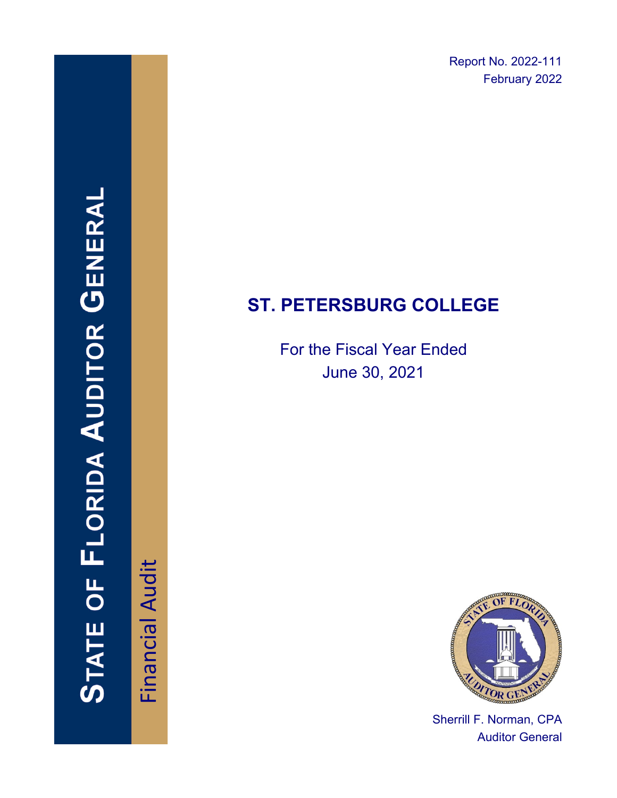Report No. 2022-111 February 2022

# **ST. PETERSBURG COLLEGE**

For the Fiscal Year Ended June 30, 2021



Sherrill F. Norman, CPA Auditor General

Financial Audit Financial Audit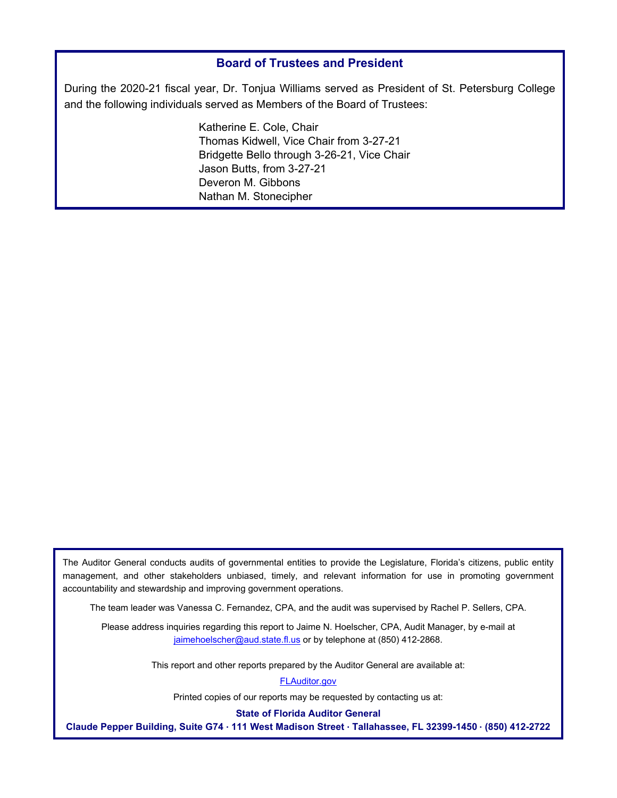#### **Board of Trustees and President**

During the 2020-21 fiscal year, Dr. Tonjua Williams served as President of St. Petersburg College and the following individuals served as Members of the Board of Trustees:

> Katherine E. Cole, Chair Thomas Kidwell, Vice Chair from 3-27-21 Bridgette Bello through 3-26-21, Vice Chair Jason Butts, from 3-27-21 Deveron M. Gibbons Nathan M. Stonecipher

The Auditor General conducts audits of governmental entities to provide the Legislature, Florida's citizens, public entity management, and other stakeholders unbiased, timely, and relevant information for use in promoting government accountability and stewardship and improving government operations.

The team leader was Vanessa C. Fernandez, CPA, and the audit was supervised by Rachel P. Sellers, CPA.

Please address inquiries regarding this report to Jaime N. Hoelscher, CPA, Audit Manager, by e-mail at jaimehoelscher@aud.state.fl.us or by telephone at (850) 412-2868.

This report and other reports prepared by the Auditor General are available at:

[FLAuditor.gov](http://flauditor.gov/) 

Printed copies of our reports may be requested by contacting us at:

**State of Florida Auditor General** 

**Claude Pepper Building, Suite G74 ∙ 111 West Madison Street ∙ Tallahassee, FL 32399-1450 ∙ (850) 412-2722**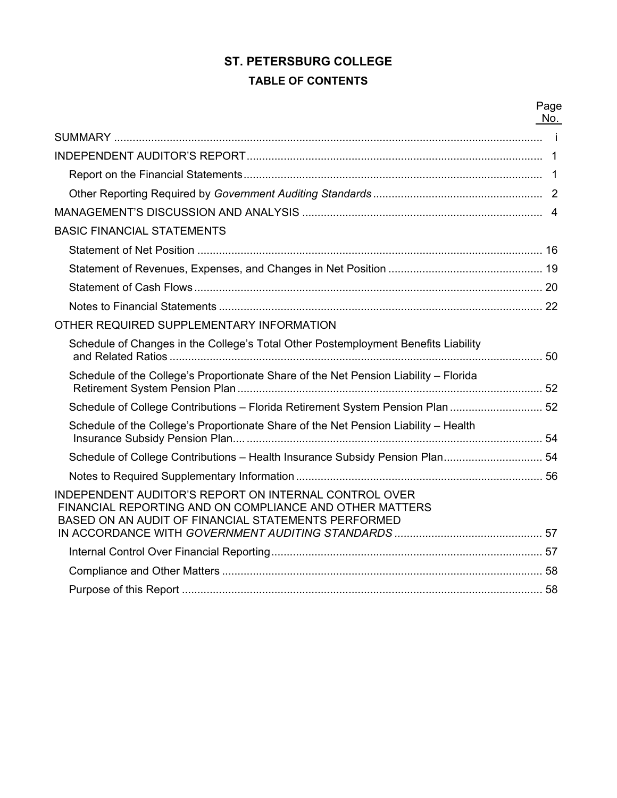## **ST. PETERSBURG COLLEGE TABLE OF CONTENTS**

|                                                                                                                                                                         | Page<br>No. |
|-------------------------------------------------------------------------------------------------------------------------------------------------------------------------|-------------|
|                                                                                                                                                                         |             |
|                                                                                                                                                                         |             |
|                                                                                                                                                                         |             |
|                                                                                                                                                                         |             |
|                                                                                                                                                                         |             |
| <b>BASIC FINANCIAL STATEMENTS</b>                                                                                                                                       |             |
|                                                                                                                                                                         |             |
|                                                                                                                                                                         |             |
|                                                                                                                                                                         |             |
|                                                                                                                                                                         |             |
| OTHER REQUIRED SUPPLEMENTARY INFORMATION                                                                                                                                |             |
| Schedule of Changes in the College's Total Other Postemployment Benefits Liability                                                                                      |             |
| Schedule of the College's Proportionate Share of the Net Pension Liability - Florida                                                                                    |             |
| Schedule of College Contributions - Florida Retirement System Pension Plan  52                                                                                          |             |
| Schedule of the College's Proportionate Share of the Net Pension Liability - Health                                                                                     |             |
| Schedule of College Contributions - Health Insurance Subsidy Pension Plan 54                                                                                            |             |
|                                                                                                                                                                         |             |
| INDEPENDENT AUDITOR'S REPORT ON INTERNAL CONTROL OVER<br>FINANCIAL REPORTING AND ON COMPLIANCE AND OTHER MATTERS<br>BASED ON AN AUDIT OF FINANCIAL STATEMENTS PERFORMED |             |
|                                                                                                                                                                         |             |
|                                                                                                                                                                         |             |
|                                                                                                                                                                         |             |
|                                                                                                                                                                         |             |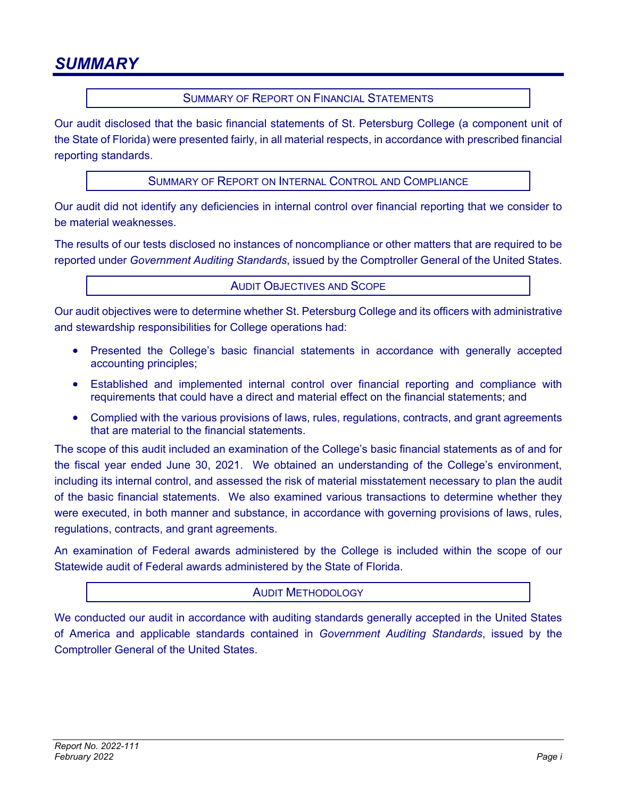## SUMMARY OF REPORT ON FINANCIAL STATEMENTS

<span id="page-3-0"></span>Our audit disclosed that the basic financial statements of St. Petersburg College (a component unit of the State of Florida) were presented fairly, in all material respects, in accordance with prescribed financial reporting standards.

SUMMARY OF REPORT ON INTERNAL CONTROL AND COMPLIANCE

Our audit did not identify any deficiencies in internal control over financial reporting that we consider to be material weaknesses.

The results of our tests disclosed no instances of noncompliance or other matters that are required to be reported under *Government Auditing Standards*, issued by the Comptroller General of the United States.

#### AUDIT OBJECTIVES AND SCOPE

Our audit objectives were to determine whether St. Petersburg College and its officers with administrative and stewardship responsibilities for College operations had:

- Presented the College's basic financial statements in accordance with generally accepted accounting principles;
- Established and implemented internal control over financial reporting and compliance with requirements that could have a direct and material effect on the financial statements; and
- Complied with the various provisions of laws, rules, regulations, contracts, and grant agreements that are material to the financial statements.

The scope of this audit included an examination of the College's basic financial statements as of and for the fiscal year ended June 30, 2021. We obtained an understanding of the College's environment, including its internal control, and assessed the risk of material misstatement necessary to plan the audit of the basic financial statements. We also examined various transactions to determine whether they were executed, in both manner and substance, in accordance with governing provisions of laws, rules, regulations, contracts, and grant agreements.

An examination of Federal awards administered by the College is included within the scope of our Statewide audit of Federal awards administered by the State of Florida.

## AUDIT METHODOLOGY

We conducted our audit in accordance with auditing standards generally accepted in the United States of America and applicable standards contained in *Government Auditing Standards*, issued by the Comptroller General of the United States.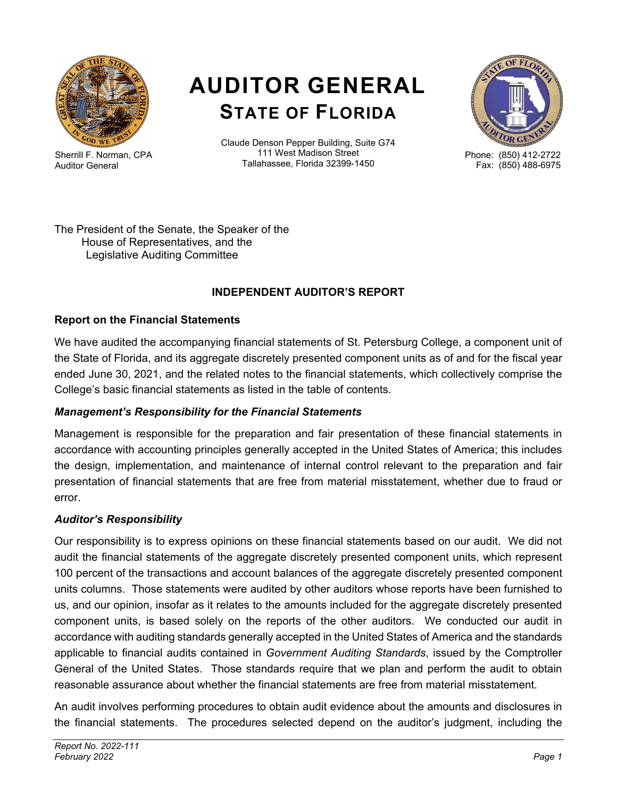<span id="page-4-0"></span>

Sherrill F. Norman, CPA Auditor General

# **AUDITOR GENERAL STATE OF FLORIDA**

Claude Denson Pepper Building, Suite G74 111 West Madison Street Tallahassee, Florida 32399-1450



Phone: (850) 412-2722 Fax: (850) 488-6975

The President of the Senate, the Speaker of the House of Representatives, and the Legislative Auditing Committee

## **INDEPENDENT AUDITOR'S REPORT**

## **Report on the Financial Statements**

We have audited the accompanying financial statements of St. Petersburg College, a component unit of the State of Florida, and its aggregate discretely presented component units as of and for the fiscal year ended June 30, 2021, and the related notes to the financial statements, which collectively comprise the College's basic financial statements as listed in the table of contents.

## *Management's Responsibility for the Financial Statements*

Management is responsible for the preparation and fair presentation of these financial statements in accordance with accounting principles generally accepted in the United States of America; this includes the design, implementation, and maintenance of internal control relevant to the preparation and fair presentation of financial statements that are free from material misstatement, whether due to fraud or error.

## *Auditor's Responsibility*

Our responsibility is to express opinions on these financial statements based on our audit. We did not audit the financial statements of the aggregate discretely presented component units, which represent 100 percent of the transactions and account balances of the aggregate discretely presented component units columns. Those statements were audited by other auditors whose reports have been furnished to us, and our opinion, insofar as it relates to the amounts included for the aggregate discretely presented component units, is based solely on the reports of the other auditors. We conducted our audit in accordance with auditing standards generally accepted in the United States of America and the standards applicable to financial audits contained in *Government Auditing Standards*, issued by the Comptroller General of the United States. Those standards require that we plan and perform the audit to obtain reasonable assurance about whether the financial statements are free from material misstatement.

An audit involves performing procedures to obtain audit evidence about the amounts and disclosures in the financial statements. The procedures selected depend on the auditor's judgment, including the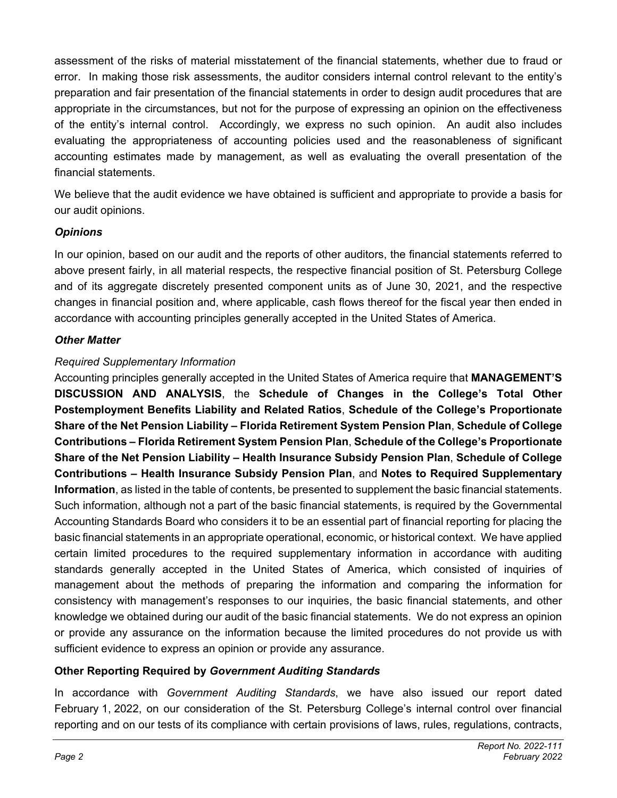<span id="page-5-0"></span>assessment of the risks of material misstatement of the financial statements, whether due to fraud or error. In making those risk assessments, the auditor considers internal control relevant to the entity's preparation and fair presentation of the financial statements in order to design audit procedures that are appropriate in the circumstances, but not for the purpose of expressing an opinion on the effectiveness of the entity's internal control. Accordingly, we express no such opinion. An audit also includes evaluating the appropriateness of accounting policies used and the reasonableness of significant accounting estimates made by management, as well as evaluating the overall presentation of the financial statements.

We believe that the audit evidence we have obtained is sufficient and appropriate to provide a basis for our audit opinions.

## *Opinions*

In our opinion, based on our audit and the reports of other auditors, the financial statements referred to above present fairly, in all material respects, the respective financial position of St. Petersburg College and of its aggregate discretely presented component units as of June 30, 2021, and the respective changes in financial position and, where applicable, cash flows thereof for the fiscal year then ended in accordance with accounting principles generally accepted in the United States of America.

## *Other Matter*

## *Required Supplementary Information*

Accounting principles generally accepted in the United States of America require that **MANAGEMENT'S DISCUSSION AND ANALYSIS**, the **Schedule of Changes in the College's Total Other Postemployment Benefits Liability and Related Ratios**, **Schedule of the College's Proportionate Share of the Net Pension Liability – Florida Retirement System Pension Plan**, **Schedule of College Contributions – Florida Retirement System Pension Plan**, **Schedule of the College's Proportionate Share of the Net Pension Liability – Health Insurance Subsidy Pension Plan**, **Schedule of College Contributions – Health Insurance Subsidy Pension Plan**, and **Notes to Required Supplementary Information**, as listed in the table of contents, be presented to supplement the basic financial statements. Such information, although not a part of the basic financial statements, is required by the Governmental Accounting Standards Board who considers it to be an essential part of financial reporting for placing the basic financial statements in an appropriate operational, economic, or historical context. We have applied certain limited procedures to the required supplementary information in accordance with auditing standards generally accepted in the United States of America, which consisted of inquiries of management about the methods of preparing the information and comparing the information for consistency with management's responses to our inquiries, the basic financial statements, and other knowledge we obtained during our audit of the basic financial statements. We do not express an opinion or provide any assurance on the information because the limited procedures do not provide us with sufficient evidence to express an opinion or provide any assurance.

## **Other Reporting Required by** *Government Auditing Standards*

In accordance with *Government Auditing Standards*, we have also issued our report dated February 1, 2022, on our consideration of the St. Petersburg College's internal control over financial reporting and on our tests of its compliance with certain provisions of laws, rules, regulations, contracts,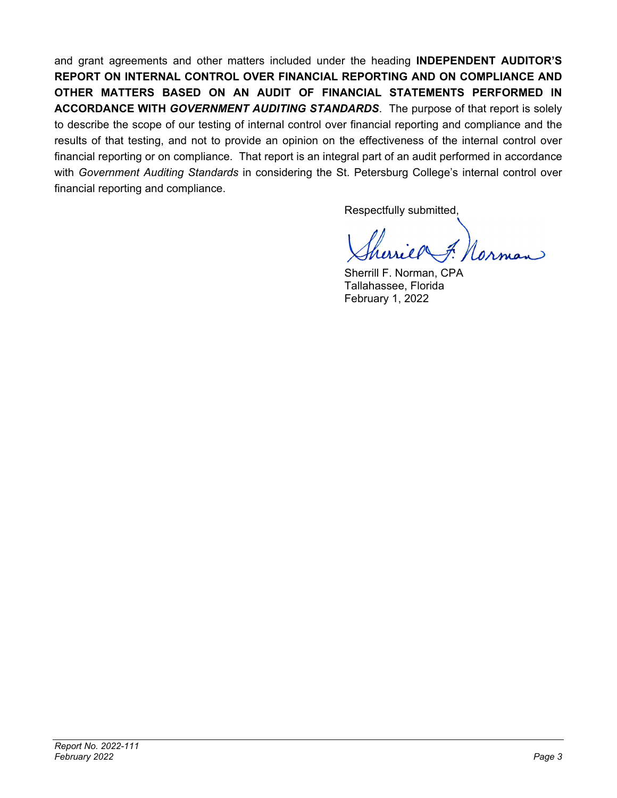and grant agreements and other matters included under the heading **INDEPENDENT AUDITOR'S REPORT ON INTERNAL CONTROL OVER FINANCIAL REPORTING AND ON COMPLIANCE AND OTHER MATTERS BASED ON AN AUDIT OF FINANCIAL STATEMENTS PERFORMED IN ACCORDANCE WITH** *GOVERNMENT AUDITING STANDARDS*. The purpose of that report is solely to describe the scope of our testing of internal control over financial reporting and compliance and the results of that testing, and not to provide an opinion on the effectiveness of the internal control over financial reporting or on compliance. That report is an integral part of an audit performed in accordance with *Government Auditing Standards* in considering the St. Petersburg College's internal control over financial reporting and compliance.

Respectfully submitted,

Sherrill F. Norman, CPA Tallahassee, Florida February 1, 2022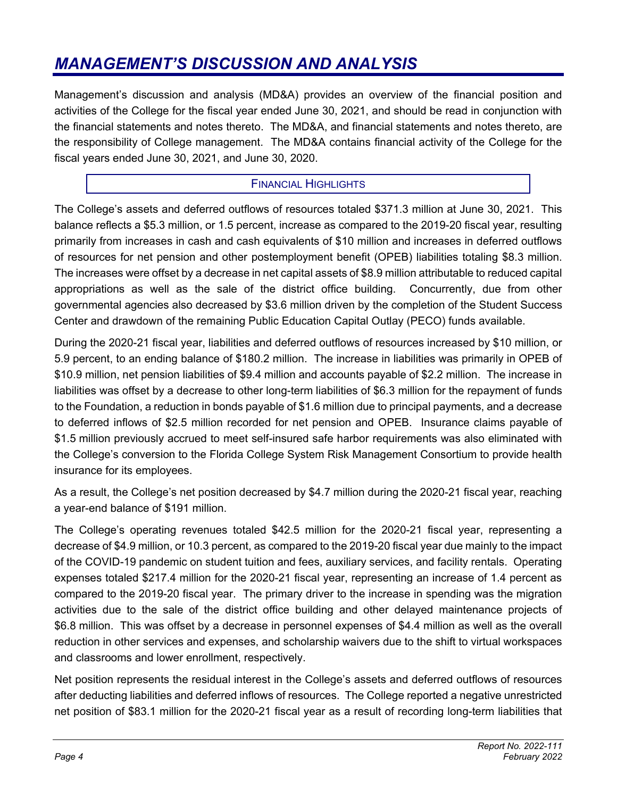## <span id="page-7-0"></span>*MANAGEMENT'S DISCUSSION AND ANALYSIS*

Management's discussion and analysis (MD&A) provides an overview of the financial position and activities of the College for the fiscal year ended June 30, 2021, and should be read in conjunction with the financial statements and notes thereto. The MD&A, and financial statements and notes thereto, are the responsibility of College management. The MD&A contains financial activity of the College for the fiscal years ended June 30, 2021, and June 30, 2020.

## FINANCIAL HIGHLIGHTS

The College's assets and deferred outflows of resources totaled \$371.3 million at June 30, 2021. This balance reflects a \$5.3 million, or 1.5 percent, increase as compared to the 2019-20 fiscal year, resulting primarily from increases in cash and cash equivalents of \$10 million and increases in deferred outflows of resources for net pension and other postemployment benefit (OPEB) liabilities totaling \$8.3 million. The increases were offset by a decrease in net capital assets of \$8.9 million attributable to reduced capital appropriations as well as the sale of the district office building. Concurrently, due from other governmental agencies also decreased by \$3.6 million driven by the completion of the Student Success Center and drawdown of the remaining Public Education Capital Outlay (PECO) funds available.

During the 2020-21 fiscal year, liabilities and deferred outflows of resources increased by \$10 million, or 5.9 percent, to an ending balance of \$180.2 million. The increase in liabilities was primarily in OPEB of \$10.9 million, net pension liabilities of \$9.4 million and accounts payable of \$2.2 million. The increase in liabilities was offset by a decrease to other long-term liabilities of \$6.3 million for the repayment of funds to the Foundation, a reduction in bonds payable of \$1.6 million due to principal payments, and a decrease to deferred inflows of \$2.5 million recorded for net pension and OPEB. Insurance claims payable of \$1.5 million previously accrued to meet self-insured safe harbor requirements was also eliminated with the College's conversion to the Florida College System Risk Management Consortium to provide health insurance for its employees.

As a result, the College's net position decreased by \$4.7 million during the 2020-21 fiscal year, reaching a year-end balance of \$191 million.

The College's operating revenues totaled \$42.5 million for the 2020-21 fiscal year, representing a decrease of \$4.9 million, or 10.3 percent, as compared to the 2019-20 fiscal year due mainly to the impact of the COVID-19 pandemic on student tuition and fees, auxiliary services, and facility rentals. Operating expenses totaled \$217.4 million for the 2020-21 fiscal year, representing an increase of 1.4 percent as compared to the 2019-20 fiscal year. The primary driver to the increase in spending was the migration activities due to the sale of the district office building and other delayed maintenance projects of \$6.8 million. This was offset by a decrease in personnel expenses of \$4.4 million as well as the overall reduction in other services and expenses, and scholarship waivers due to the shift to virtual workspaces and classrooms and lower enrollment, respectively.

Net position represents the residual interest in the College's assets and deferred outflows of resources after deducting liabilities and deferred inflows of resources. The College reported a negative unrestricted net position of \$83.1 million for the 2020-21 fiscal year as a result of recording long-term liabilities that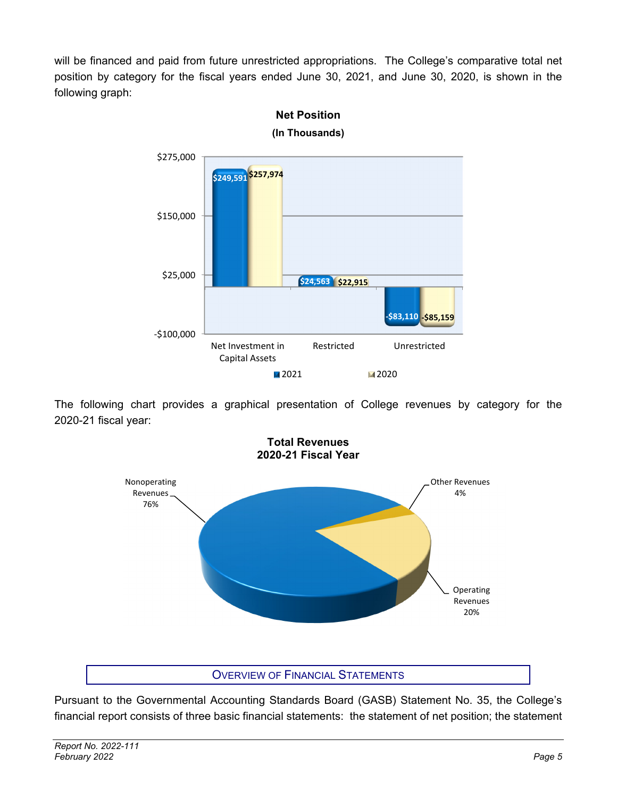will be financed and paid from future unrestricted appropriations. The College's comparative total net position by category for the fiscal years ended June 30, 2021, and June 30, 2020, is shown in the following graph:



The following chart provides a graphical presentation of College revenues by category for the 2020-21 fiscal year:



Pursuant to the Governmental Accounting Standards Board (GASB) Statement No. 35, the College's financial report consists of three basic financial statements: the statement of net position; the statement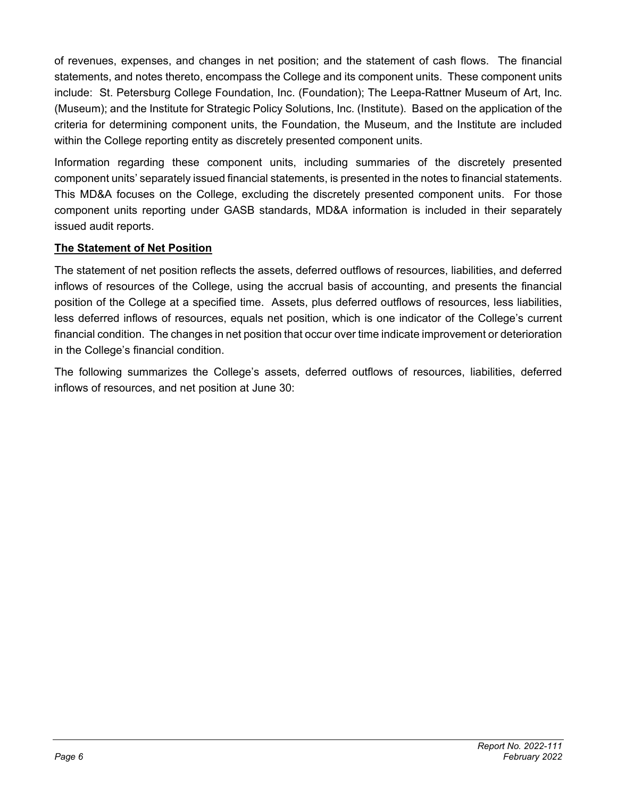of revenues, expenses, and changes in net position; and the statement of cash flows. The financial statements, and notes thereto, encompass the College and its component units. These component units include: St. Petersburg College Foundation, Inc. (Foundation); The Leepa-Rattner Museum of Art, Inc. (Museum); and the Institute for Strategic Policy Solutions, Inc. (Institute). Based on the application of the criteria for determining component units, the Foundation, the Museum, and the Institute are included within the College reporting entity as discretely presented component units.

Information regarding these component units, including summaries of the discretely presented component units' separately issued financial statements, is presented in the notes to financial statements. This MD&A focuses on the College, excluding the discretely presented component units. For those component units reporting under GASB standards, MD&A information is included in their separately issued audit reports.

## **The Statement of Net Position**

The statement of net position reflects the assets, deferred outflows of resources, liabilities, and deferred inflows of resources of the College, using the accrual basis of accounting, and presents the financial position of the College at a specified time. Assets, plus deferred outflows of resources, less liabilities, less deferred inflows of resources, equals net position, which is one indicator of the College's current financial condition. The changes in net position that occur over time indicate improvement or deterioration in the College's financial condition.

The following summarizes the College's assets, deferred outflows of resources, liabilities, deferred inflows of resources, and net position at June 30: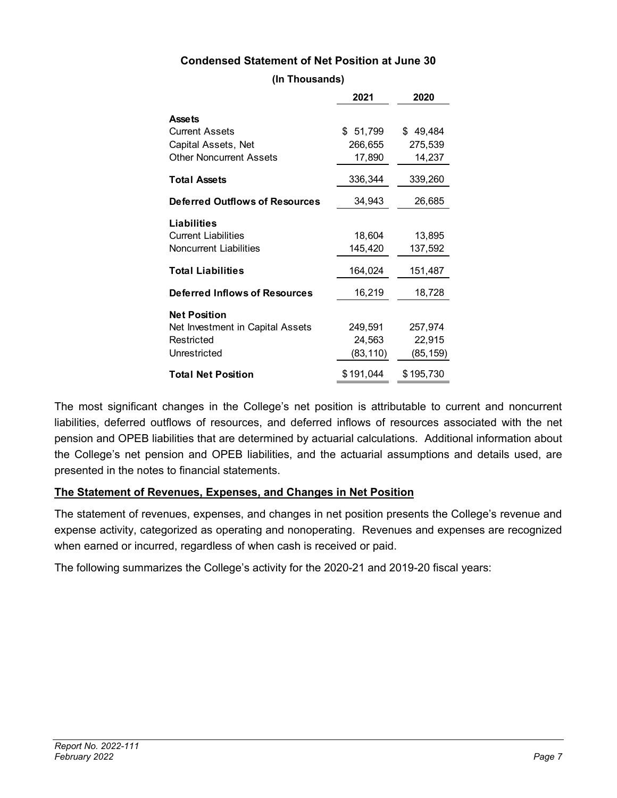## **Condensed Statement of Net Position at June 30**

**(In Thousands)** 

|                                       | 2021      | 2020         |
|---------------------------------------|-----------|--------------|
| <b>Assets</b>                         |           |              |
| Current Assets                        | \$51,799  | 49,484<br>\$ |
| Capital Assets, Net                   | 266,655   | 275,539      |
| <b>Other Noncurrent Assets</b>        | 17,890    | 14,237       |
| <b>Total Assets</b>                   | 336,344   | 339,260      |
| <b>Deferred Outflows of Resources</b> | 34,943    | 26,685       |
| Liabilities                           |           |              |
| <b>Current Liabilities</b>            | 18,604    | 13,895       |
| <b>Noncurrent Liabilities</b>         | 145,420   | 137,592      |
| <b>Total Liabilities</b>              | 164,024   | 151,487      |
| <b>Deferred Inflows of Resources</b>  | 16,219    | 18,728       |
| <b>Net Position</b>                   |           |              |
| Net Investment in Capital Assets      | 249,591   | 257,974      |
| Restricted                            | 24,563    | 22,915       |
| Unrestricted                          | (83, 110) | (85, 159)    |
| <b>Total Net Position</b>             | \$191,044 | \$195,730    |

The most significant changes in the College's net position is attributable to current and noncurrent liabilities, deferred outflows of resources, and deferred inflows of resources associated with the net pension and OPEB liabilities that are determined by actuarial calculations. Additional information about the College's net pension and OPEB liabilities, and the actuarial assumptions and details used, are presented in the notes to financial statements.

## **The Statement of Revenues, Expenses, and Changes in Net Position**

The statement of revenues, expenses, and changes in net position presents the College's revenue and expense activity, categorized as operating and nonoperating. Revenues and expenses are recognized when earned or incurred, regardless of when cash is received or paid.

The following summarizes the College's activity for the 2020-21 and 2019-20 fiscal years: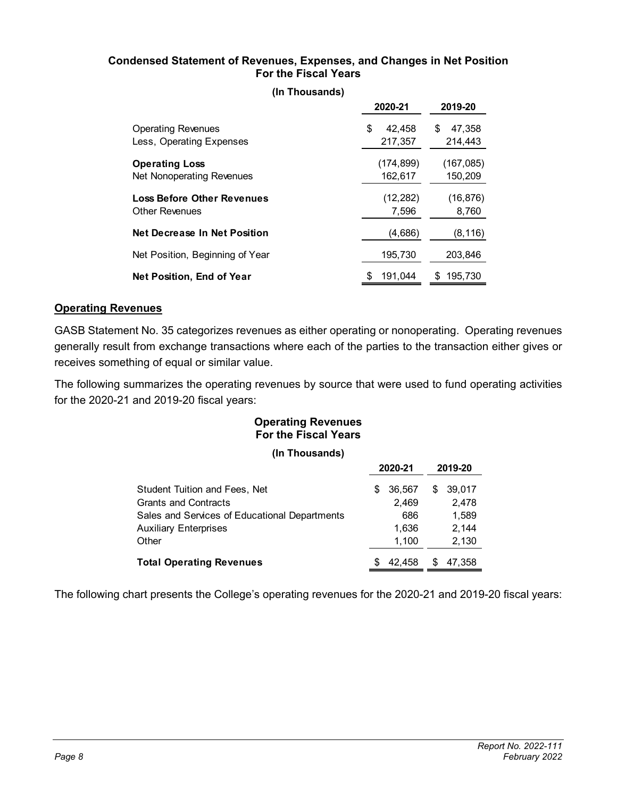#### **Condensed Statement of Revenues, Expenses, and Changes in Net Position For the Fiscal Years**

|                                                       | 2020-21                 | 2019-20                 |
|-------------------------------------------------------|-------------------------|-------------------------|
| <b>Operating Revenues</b><br>Less, Operating Expenses | 42,458<br>\$<br>217,357 | 47,358<br>\$<br>214.443 |
| <b>Operating Loss</b><br>Net Nonoperating Revenues    | (174, 899)<br>162,617   | (167,085)<br>150,209    |
| <b>Loss Before Other Revenues</b><br>Other Revenues   | (12, 282)<br>7,596      | (16, 876)<br>8,760      |
| Net Decrease In Net Position                          | (4,686)                 | (8, 116)                |
| Net Position, Beginning of Year                       | 195,730                 | 203.846                 |
| Net Position, End of Year                             | 191.044<br>S            | 195.730<br>S.           |

#### **(In Thousands)**

#### **Operating Revenues**

GASB Statement No. 35 categorizes revenues as either operating or nonoperating. Operating revenues generally result from exchange transactions where each of the parties to the transaction either gives or receives something of equal or similar value.

The following summarizes the operating revenues by source that were used to fund operating activities for the 2020-21 and 2019-20 fiscal years:

### **Operating Revenues For the Fiscal Years**

#### **(In Thousands)**

|                                                                               |   | 2020-21      | 2019-20        |
|-------------------------------------------------------------------------------|---|--------------|----------------|
| Student Tuition and Fees, Net                                                 | S | 36.567       | \$<br>39,017   |
| Grants and Contracts                                                          |   | 2,469<br>686 | 2,478          |
| Sales and Services of Educational Departments<br><b>Auxiliary Enterprises</b> |   | 1,636        | 1,589<br>2.144 |
| Other                                                                         |   | 1.100        | 2,130          |
| <b>Total Operating Revenues</b>                                               | S | 42.458       | \$<br>47,358   |

The following chart presents the College's operating revenues for the 2020-21 and 2019-20 fiscal years: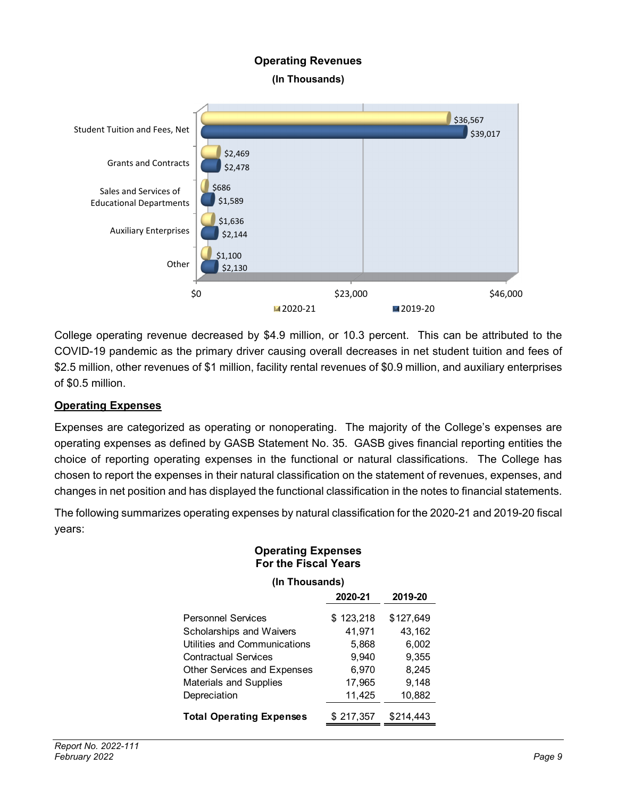

College operating revenue decreased by \$4.9 million, or 10.3 percent. This can be attributed to the COVID-19 pandemic as the primary driver causing overall decreases in net student tuition and fees of \$2.5 million, other revenues of \$1 million, facility rental revenues of \$0.9 million, and auxiliary enterprises of \$0.5 million.

## **Operating Expenses**

Expenses are categorized as operating or nonoperating. The majority of the College's expenses are operating expenses as defined by GASB Statement No. 35. GASB gives financial reporting entities the choice of reporting operating expenses in the functional or natural classifications. The College has chosen to report the expenses in their natural classification on the statement of revenues, expenses, and changes in net position and has displayed the functional classification in the notes to financial statements.

The following summarizes operating expenses by natural classification for the 2020-21 and 2019-20 fiscal years:

#### **Operating Expenses For the Fiscal Years**

#### **(In Thousands)**

|                                    | 2020-21   | 2019-20   |
|------------------------------------|-----------|-----------|
| <b>Personnel Services</b>          | \$123,218 | \$127,649 |
| Scholarships and Waivers           | 41,971    | 43,162    |
| Utilities and Communications       | 5,868     | 6,002     |
| <b>Contractual Services</b>        | 9,940     | 9,355     |
| <b>Other Services and Expenses</b> | 6,970     | 8,245     |
| <b>Materials and Supplies</b>      | 17,965    | 9,148     |
| Depreciation                       | 11,425    | 10,882    |
| <b>Total Operating Expenses</b>    | \$217,357 | \$214.443 |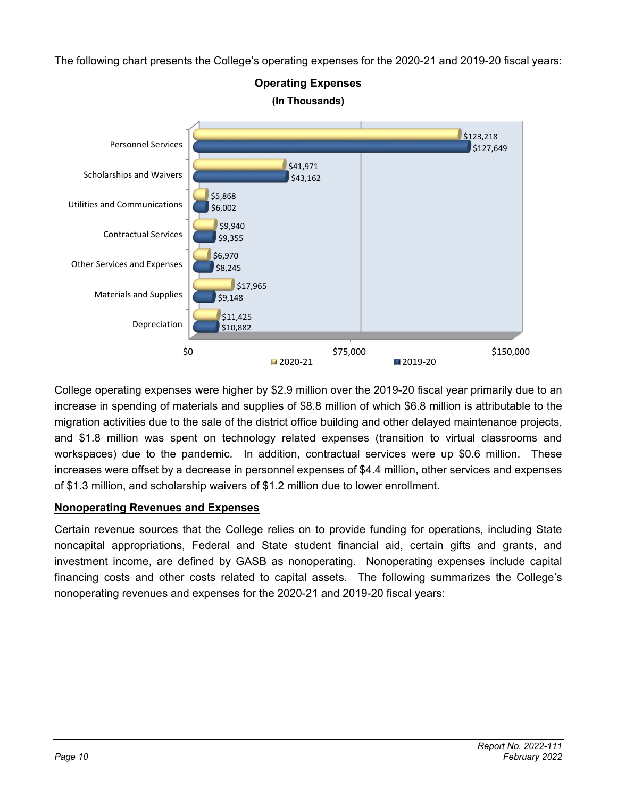The following chart presents the College's operating expenses for the 2020-21 and 2019-20 fiscal years:



College operating expenses were higher by \$2.9 million over the 2019-20 fiscal year primarily due to an increase in spending of materials and supplies of \$8.8 million of which \$6.8 million is attributable to the migration activities due to the sale of the district office building and other delayed maintenance projects, and \$1.8 million was spent on technology related expenses (transition to virtual classrooms and workspaces) due to the pandemic. In addition, contractual services were up \$0.6 million. These increases were offset by a decrease in personnel expenses of \$4.4 million, other services and expenses of \$1.3 million, and scholarship waivers of \$1.2 million due to lower enrollment.

#### **Nonoperating Revenues and Expenses**

Certain revenue sources that the College relies on to provide funding for operations, including State noncapital appropriations, Federal and State student financial aid, certain gifts and grants, and investment income, are defined by GASB as nonoperating. Nonoperating expenses include capital financing costs and other costs related to capital assets. The following summarizes the College's nonoperating revenues and expenses for the 2020-21 and 2019-20 fiscal years: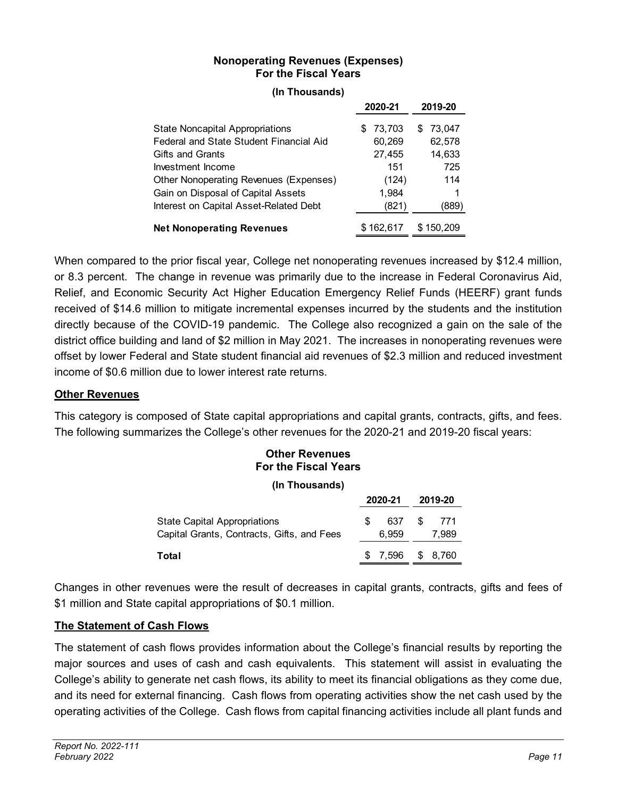#### **Nonoperating Revenues (Expenses) For the Fiscal Years**

|                                         | 2020-21     | 2019-20      |
|-----------------------------------------|-------------|--------------|
| <b>State Noncapital Appropriations</b>  | 73,703<br>S | 73,047<br>S. |
| Federal and State Student Financial Aid | 60,269      | 62,578       |
| Gifts and Grants                        | 27,455      | 14,633       |
| Investment Income                       | 151         | 725          |
| Other Nonoperating Revenues (Expenses)  | (124)       | 114          |
| Gain on Disposal of Capital Assets      | 1,984       | 1            |
| Interest on Capital Asset-Related Debt  | (821)       | (889)        |
| <b>Net Nonoperating Revenues</b>        | \$162.617   | \$150.209    |

#### **(In Thousands)**

When compared to the prior fiscal year, College net nonoperating revenues increased by \$12.4 million, or 8.3 percent. The change in revenue was primarily due to the increase in Federal Coronavirus Aid, Relief, and Economic Security Act Higher Education Emergency Relief Funds (HEERF) grant funds received of \$14.6 million to mitigate incremental expenses incurred by the students and the institution directly because of the COVID-19 pandemic. The College also recognized a gain on the sale of the district office building and land of \$2 million in May 2021. The increases in nonoperating revenues were offset by lower Federal and State student financial aid revenues of \$2.3 million and reduced investment income of \$0.6 million due to lower interest rate returns.

## **Other Revenues**

This category is composed of State capital appropriations and capital grants, contracts, gifts, and fees. The following summarizes the College's other revenues for the 2020-21 and 2019-20 fiscal years:

## **Other Revenues For the Fiscal Years**

#### **(In Thousands)**

|                                                                                   |     | 2020-21           |     | 2019-20        |
|-----------------------------------------------------------------------------------|-----|-------------------|-----|----------------|
| <b>State Capital Appropriations</b><br>Capital Grants, Contracts, Gifts, and Fees | SS. | 637<br>6.959      | \$. | - 771<br>7.989 |
| Total                                                                             |     | $$7,596$ $$8,760$ |     |                |

Changes in other revenues were the result of decreases in capital grants, contracts, gifts and fees of \$1 million and State capital appropriations of \$0.1 million.

## **The Statement of Cash Flows**

The statement of cash flows provides information about the College's financial results by reporting the major sources and uses of cash and cash equivalents. This statement will assist in evaluating the College's ability to generate net cash flows, its ability to meet its financial obligations as they come due, and its need for external financing. Cash flows from operating activities show the net cash used by the operating activities of the College. Cash flows from capital financing activities include all plant funds and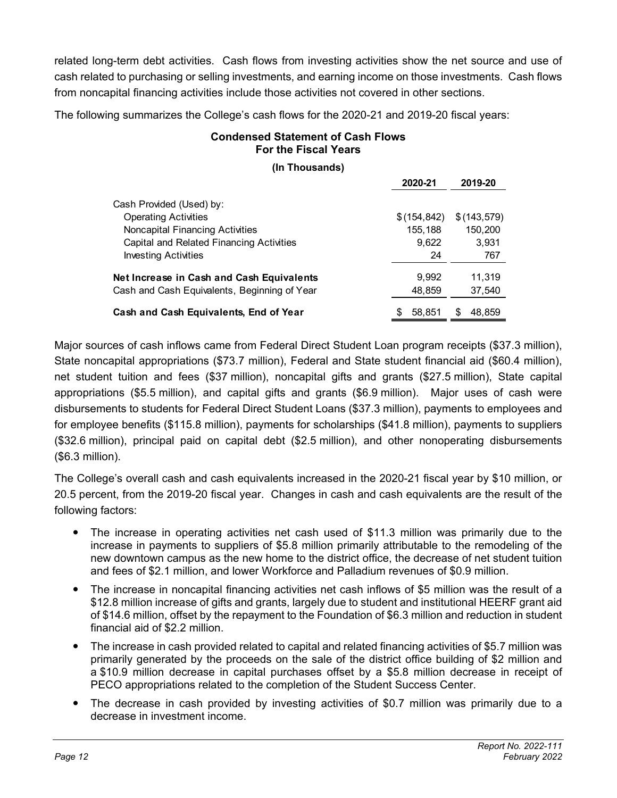related long-term debt activities. Cash flows from investing activities show the net source and use of cash related to purchasing or selling investments, and earning income on those investments. Cash flows from noncapital financing activities include those activities not covered in other sections.

The following summarizes the College's cash flows for the 2020-21 and 2019-20 fiscal years:

## **Condensed Statement of Cash Flows For the Fiscal Years**

#### **(In Thousands)**

|                                              | 2020-21      | 2019-20      |
|----------------------------------------------|--------------|--------------|
| Cash Provided (Used) by:                     |              |              |
| <b>Operating Activities</b>                  | \$(154, 842) | \$(143, 579) |
| <b>Noncapital Financing Activities</b>       | 155,188      | 150,200      |
| Capital and Related Financing Activities     | 9,622        | 3,931        |
| <b>Investing Activities</b>                  | 24           | 767          |
| Net Increase in Cash and Cash Equivalents    | 9.992        | 11,319       |
| Cash and Cash Equivalents, Beginning of Year | 48,859       | 37,540       |
| Cash and Cash Equivalents, End of Year       | 58.851<br>S  | 48.859       |

Major sources of cash inflows came from Federal Direct Student Loan program receipts (\$37.3 million), State noncapital appropriations (\$73.7 million), Federal and State student financial aid (\$60.4 million), net student tuition and fees (\$37 million), noncapital gifts and grants (\$27.5 million), State capital appropriations (\$5.5 million), and capital gifts and grants (\$6.9 million). Major uses of cash were disbursements to students for Federal Direct Student Loans (\$37.3 million), payments to employees and for employee benefits (\$115.8 million), payments for scholarships (\$41.8 million), payments to suppliers (\$32.6 million), principal paid on capital debt (\$2.5 million), and other nonoperating disbursements (\$6.3 million).

The College's overall cash and cash equivalents increased in the 2020-21 fiscal year by \$10 million, or 20.5 percent, from the 2019-20 fiscal year. Changes in cash and cash equivalents are the result of the following factors:

- The increase in operating activities net cash used of \$11.3 million was primarily due to the increase in payments to suppliers of \$5.8 million primarily attributable to the remodeling of the new downtown campus as the new home to the district office, the decrease of net student tuition and fees of \$2.1 million, and lower Workforce and Palladium revenues of \$0.9 million.
- The increase in noncapital financing activities net cash inflows of \$5 million was the result of a \$12.8 million increase of gifts and grants, largely due to student and institutional HEERF grant aid of \$14.6 million, offset by the repayment to the Foundation of \$6.3 million and reduction in student financial aid of \$2.2 million.
- The increase in cash provided related to capital and related financing activities of \$5.7 million was primarily generated by the proceeds on the sale of the district office building of \$2 million and a \$10.9 million decrease in capital purchases offset by a \$5.8 million decrease in receipt of PECO appropriations related to the completion of the Student Success Center.
- The decrease in cash provided by investing activities of \$0.7 million was primarily due to a decrease in investment income.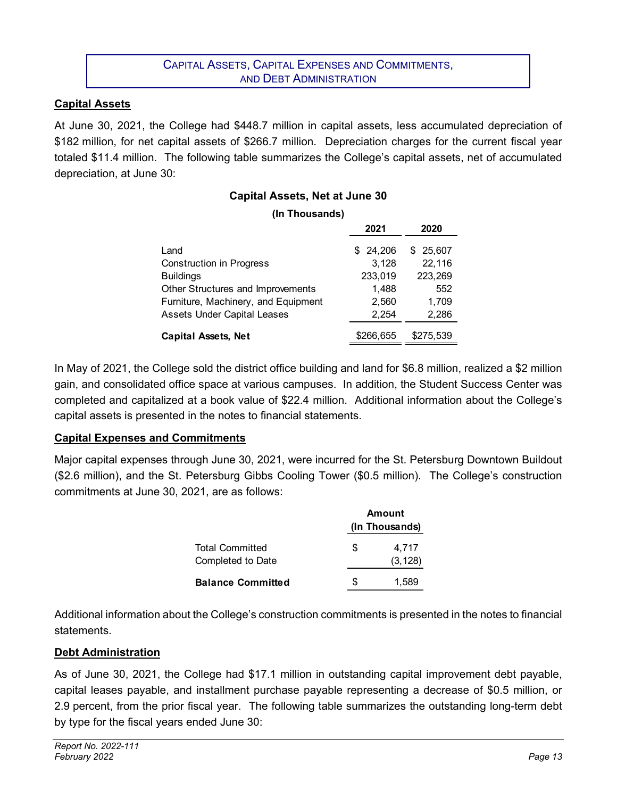### CAPITAL ASSETS, CAPITAL EXPENSES AND COMMITMENTS, AND DEBT ADMINISTRATION

## **Capital Assets**

At June 30, 2021, the College had \$448.7 million in capital assets, less accumulated depreciation of \$182 million, for net capital assets of \$266.7 million. Depreciation charges for the current fiscal year totaled \$11.4 million. The following table summarizes the College's capital assets, net of accumulated depreciation, at June 30:

### **Capital Assets, Net at June 30**

#### **(In Thousands)**

|                                                                                              | 2021                      | 2020                    |
|----------------------------------------------------------------------------------------------|---------------------------|-------------------------|
| Land<br><b>Construction in Progress</b>                                                      | \$24,206<br>3,128         | \$25,607<br>22,116      |
| <b>Buildings</b><br>Other Structures and Improvements<br>Furniture, Machinery, and Equipment | 233,019<br>1,488<br>2,560 | 223,269<br>552<br>1,709 |
| <b>Assets Under Capital Leases</b>                                                           | 2,254                     | 2,286                   |
| <b>Capital Assets, Net</b>                                                                   | \$266,655                 | \$275,539               |

In May of 2021, the College sold the district office building and land for \$6.8 million, realized a \$2 million gain, and consolidated office space at various campuses. In addition, the Student Success Center was completed and capitalized at a book value of \$22.4 million. Additional information about the College's capital assets is presented in the notes to financial statements.

#### **Capital Expenses and Commitments**

Major capital expenses through June 30, 2021, were incurred for the St. Petersburg Downtown Buildout (\$2.6 million), and the St. Petersburg Gibbs Cooling Tower (\$0.5 million). The College's construction commitments at June 30, 2021, are as follows:

|                                             | Amount<br>(In Thousands) |                   |
|---------------------------------------------|--------------------------|-------------------|
| <b>Total Committed</b><br>Completed to Date | \$                       | 4.717<br>(3, 128) |
| <b>Balance Committed</b>                    | S                        | 1,589             |

Additional information about the College's construction commitments is presented in the notes to financial statements.

## **Debt Administration**

As of June 30, 2021, the College had \$17.1 million in outstanding capital improvement debt payable, capital leases payable, and installment purchase payable representing a decrease of \$0.5 million, or 2.9 percent, from the prior fiscal year. The following table summarizes the outstanding long-term debt by type for the fiscal years ended June 30: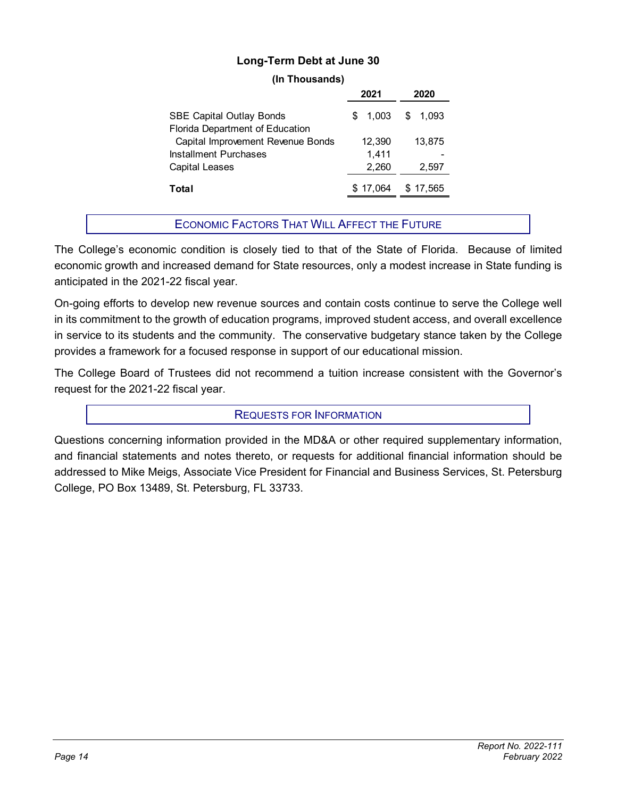## **Long-Term Debt at June 30**

#### **(In Thousands)**

|                                                                                     | 2021                     | 2020            |
|-------------------------------------------------------------------------------------|--------------------------|-----------------|
| <b>SBE Capital Outlay Bonds</b><br>Florida Department of Education                  | $$1.003$ $$1.093$        |                 |
| Capital Improvement Revenue Bonds<br>Installment Purchases<br><b>Capital Leases</b> | 12.390<br>1.411<br>2,260 | 13.875<br>2,597 |
| Total                                                                               | \$17.064                 | \$17,565        |

## ECONOMIC FACTORS THAT WILL AFFECT THE FUTURE

The College's economic condition is closely tied to that of the State of Florida. Because of limited economic growth and increased demand for State resources, only a modest increase in State funding is anticipated in the 2021-22 fiscal year.

On-going efforts to develop new revenue sources and contain costs continue to serve the College well in its commitment to the growth of education programs, improved student access, and overall excellence in service to its students and the community. The conservative budgetary stance taken by the College provides a framework for a focused response in support of our educational mission.

The College Board of Trustees did not recommend a tuition increase consistent with the Governor's request for the 2021-22 fiscal year.

## REQUESTS FOR INFORMATION

Questions concerning information provided in the MD&A or other required supplementary information, and financial statements and notes thereto, or requests for additional financial information should be addressed to Mike Meigs, Associate Vice President for Financial and Business Services, St. Petersburg College, PO Box 13489, St. Petersburg, FL 33733.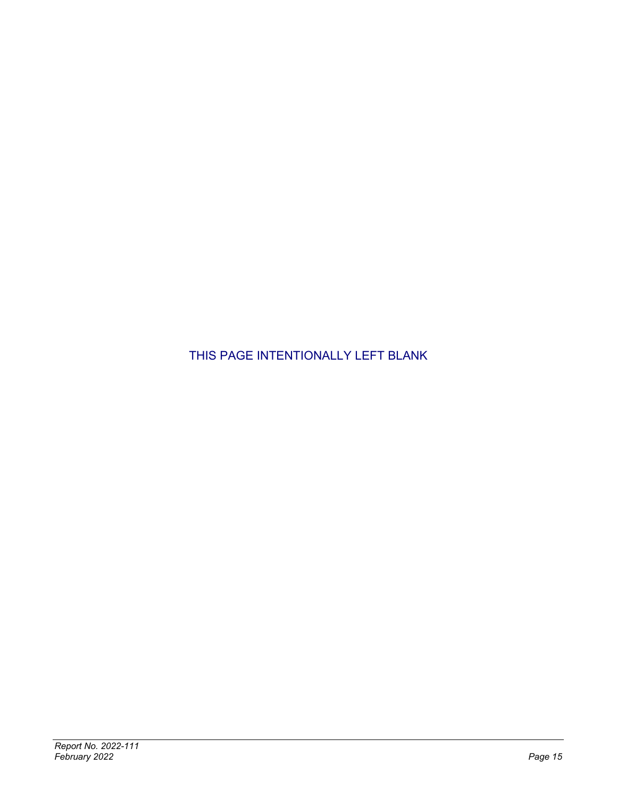THIS PAGE INTENTIONALLY LEFT BLANK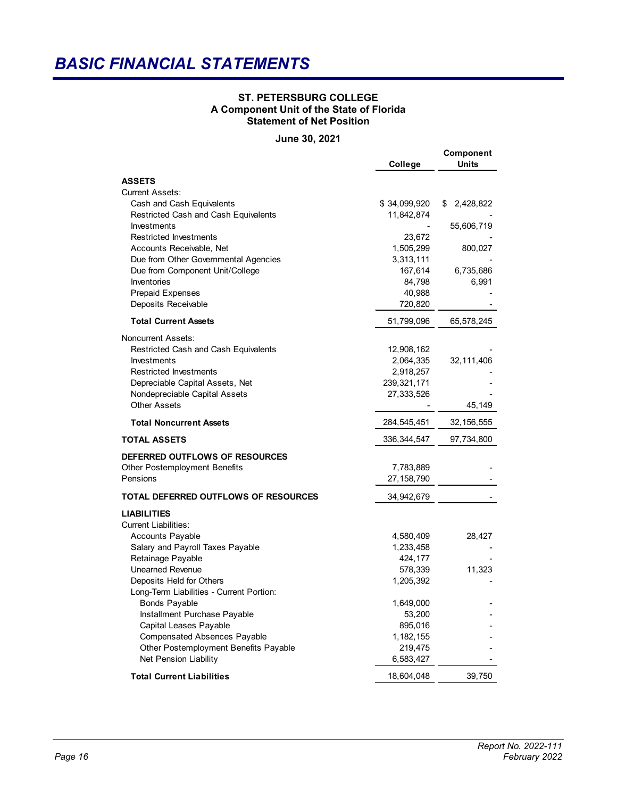## <span id="page-19-0"></span>*BASIC FINANCIAL STATEMENTS*

#### **ST. PETERSBURG COLLEGE A Component Unit of the State of Florida Statement of Net Position**

#### **June 30, 2021**

|                                          |               | Component    |
|------------------------------------------|---------------|--------------|
|                                          | College       | <b>Units</b> |
| <b>ASSETS</b>                            |               |              |
| <b>Current Assets:</b>                   |               |              |
| Cash and Cash Equivalents                | \$34,099,920  | \$2,428,822  |
| Restricted Cash and Cash Equivalents     | 11,842,874    |              |
| Investments                              |               | 55,606,719   |
| Restricted Investments                   | 23,672        |              |
| Accounts Receivable, Net                 | 1,505,299     | 800,027      |
| Due from Other Governmental Agencies     | 3,313,111     |              |
| Due from Component Unit/College          | 167,614       | 6,735,686    |
| Inventories                              | 84,798        | 6,991        |
| <b>Prepaid Expenses</b>                  | 40,988        |              |
| Deposits Receivable                      | 720,820       |              |
| <b>Total Current Assets</b>              |               |              |
|                                          | 51,799,096    | 65,578,245   |
| <b>Noncurrent Assets:</b>                |               |              |
| Restricted Cash and Cash Equivalents     | 12,908,162    |              |
| Investments                              | 2,064,335     | 32,111,406   |
| Restricted Investments                   | 2,918,257     |              |
| Depreciable Capital Assets, Net          | 239, 321, 171 |              |
| Nondepreciable Capital Assets            | 27,333,526    |              |
| <b>Other Assets</b>                      |               | 45,149       |
| <b>Total Noncurrent Assets</b>           | 284,545,451   | 32, 156, 555 |
| <b>TOTAL ASSETS</b>                      | 336, 344, 547 | 97,734,800   |
| DEFERRED OUTFLOWS OF RESOURCES           |               |              |
| <b>Other Postemployment Benefits</b>     | 7,783,889     |              |
| Pensions                                 | 27, 158, 790  |              |
| TOTAL DEFERRED OUTFLOWS OF RESOURCES     | 34,942,679    |              |
|                                          |               |              |
| <b>LIABILITIES</b>                       |               |              |
| <b>Current Liabilities:</b>              |               |              |
| <b>Accounts Payable</b>                  | 4,580,409     | 28,427       |
| Salary and Payroll Taxes Payable         | 1,233,458     |              |
| Retainage Payable                        | 424,177       |              |
| <b>Unearned Revenue</b>                  | 578,339       | 11,323       |
| Deposits Held for Others                 | 1,205,392     |              |
| Long-Term Liabilities - Current Portion: |               |              |
| <b>Bonds Payable</b>                     | 1,649,000     |              |
| Installment Purchase Payable             | 53,200        |              |
| Capital Leases Payable                   | 895,016       |              |
| <b>Compensated Absences Payable</b>      | 1, 182, 155   |              |
| Other Postemployment Benefits Payable    | 219,475       |              |
| Net Pension Liability                    | 6,583,427     |              |
| <b>Total Current Liabilities</b>         | 18,604,048    | 39,750       |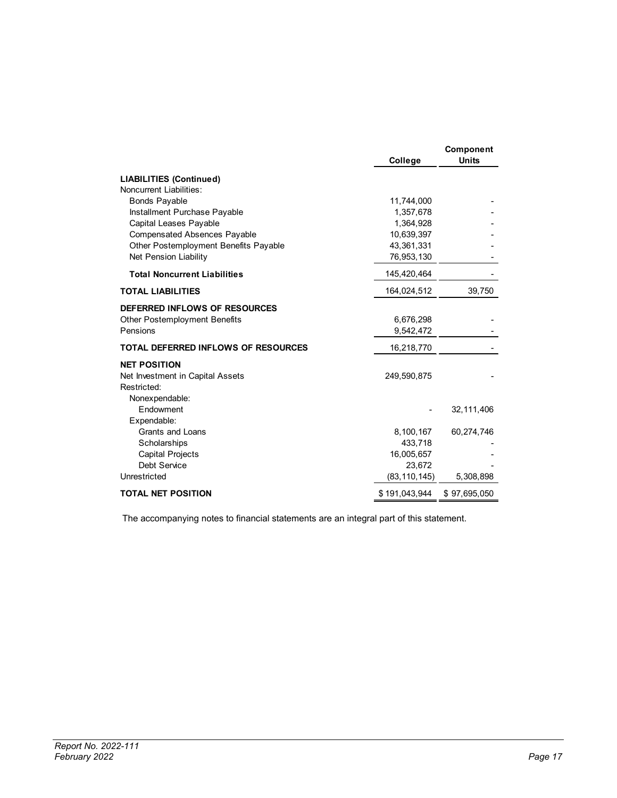|                                       |                | Component    |
|---------------------------------------|----------------|--------------|
|                                       | College        | <b>Units</b> |
| <b>LIABILITIES (Continued)</b>        |                |              |
| Noncurrent Liabilities:               |                |              |
| <b>Bonds Payable</b>                  | 11,744,000     |              |
| Installment Purchase Payable          | 1,357,678      |              |
| Capital Leases Payable                | 1,364,928      |              |
| <b>Compensated Absences Payable</b>   | 10,639,397     |              |
| Other Postemployment Benefits Payable | 43,361,331     |              |
| Net Pension Liability                 | 76,953,130     |              |
| <b>Total Noncurrent Liabilities</b>   | 145,420,464    |              |
| <b>TOTAL LIABILITIES</b>              | 164,024,512    | 39,750       |
| DEFERRED INFLOWS OF RESOURCES         |                |              |
| <b>Other Postemployment Benefits</b>  | 6,676,298      |              |
| Pensions                              | 9,542,472      |              |
| TOTAL DEFERRED INFLOWS OF RESOURCES   | 16,218,770     |              |
| <b>NET POSITION</b>                   |                |              |
| Net Investment in Capital Assets      | 249,590,875    |              |
| Restricted:                           |                |              |
| Nonexpendable:                        |                |              |
| Endowment                             |                | 32, 111, 406 |
| Expendable:                           |                |              |
| Grants and Loans                      | 8,100,167      | 60,274,746   |
| Scholarships                          | 433,718        |              |
| <b>Capital Projects</b>               | 16,005,657     |              |
| Debt Service                          | 23,672         |              |
| Unrestricted                          | (83, 110, 145) | 5,308,898    |
| <b>TOTAL NET POSITION</b>             | \$191,043,944  | \$97,695,050 |

The accompanying notes to financial statements are an integral part of this statement.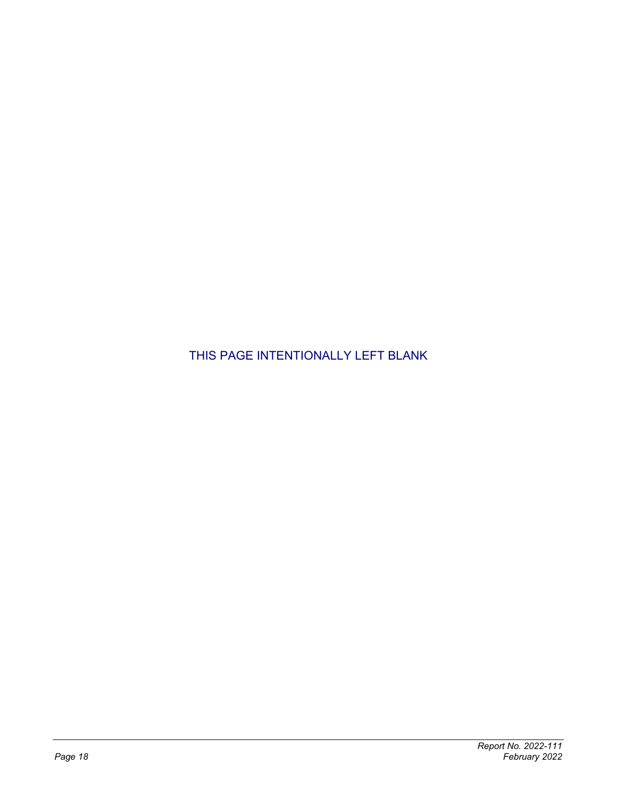THIS PAGE INTENTIONALLY LEFT BLANK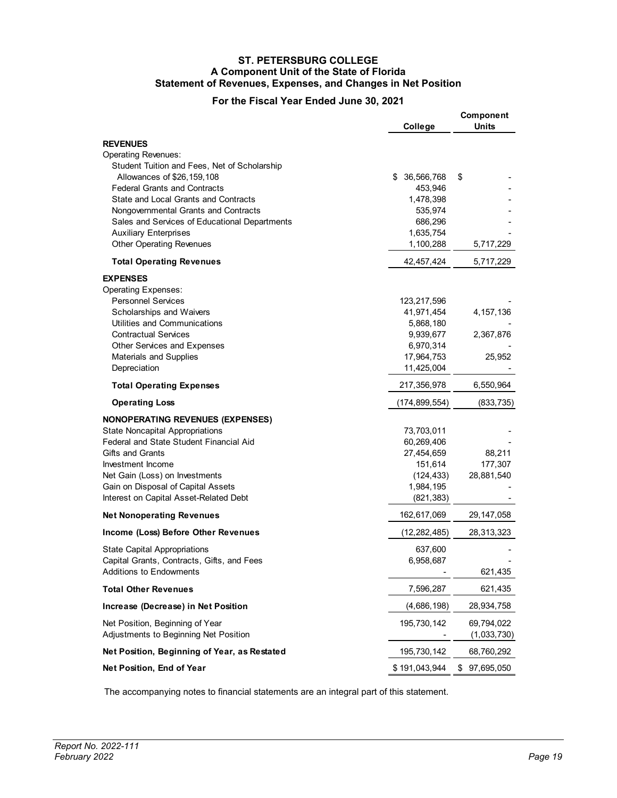#### **ST. PETERSBURG COLLEGE A Component Unit of the State of Florida Statement of Revenues, Expenses, and Changes in Net Position**

#### **For the Fiscal Year Ended June 30, 2021**

<span id="page-22-0"></span>

| <b>Units</b><br>College<br><b>REVENUES</b><br><b>Operating Revenues:</b><br>Student Tuition and Fees, Net of Scholarship<br>Allowances of \$26,159,108<br>\$ 36,566,768<br>\$<br><b>Federal Grants and Contracts</b><br>453,946<br>State and Local Grants and Contracts<br>1,478,398<br>Nongovernmental Grants and Contracts<br>535,974<br>Sales and Services of Educational Departments<br>686,296<br><b>Auxiliary Enterprises</b><br>1,635,754<br><b>Other Operating Revenues</b><br>1,100,288<br>5,717,229 | Component |  |
|---------------------------------------------------------------------------------------------------------------------------------------------------------------------------------------------------------------------------------------------------------------------------------------------------------------------------------------------------------------------------------------------------------------------------------------------------------------------------------------------------------------|-----------|--|
|                                                                                                                                                                                                                                                                                                                                                                                                                                                                                                               |           |  |
|                                                                                                                                                                                                                                                                                                                                                                                                                                                                                                               |           |  |
|                                                                                                                                                                                                                                                                                                                                                                                                                                                                                                               |           |  |
|                                                                                                                                                                                                                                                                                                                                                                                                                                                                                                               |           |  |
|                                                                                                                                                                                                                                                                                                                                                                                                                                                                                                               |           |  |
|                                                                                                                                                                                                                                                                                                                                                                                                                                                                                                               |           |  |
|                                                                                                                                                                                                                                                                                                                                                                                                                                                                                                               |           |  |
|                                                                                                                                                                                                                                                                                                                                                                                                                                                                                                               |           |  |
|                                                                                                                                                                                                                                                                                                                                                                                                                                                                                                               |           |  |
|                                                                                                                                                                                                                                                                                                                                                                                                                                                                                                               |           |  |
|                                                                                                                                                                                                                                                                                                                                                                                                                                                                                                               |           |  |
| 42,457,424<br>5,717,229<br><b>Total Operating Revenues</b>                                                                                                                                                                                                                                                                                                                                                                                                                                                    |           |  |
| <b>EXPENSES</b>                                                                                                                                                                                                                                                                                                                                                                                                                                                                                               |           |  |
| <b>Operating Expenses:</b>                                                                                                                                                                                                                                                                                                                                                                                                                                                                                    |           |  |
| <b>Personnel Services</b><br>123,217,596                                                                                                                                                                                                                                                                                                                                                                                                                                                                      |           |  |
| Scholarships and Waivers<br>41,971,454<br>4, 157, 136                                                                                                                                                                                                                                                                                                                                                                                                                                                         |           |  |
| Utilities and Communications<br>5,868,180                                                                                                                                                                                                                                                                                                                                                                                                                                                                     |           |  |
| <b>Contractual Services</b><br>9,939,677<br>2,367,876                                                                                                                                                                                                                                                                                                                                                                                                                                                         |           |  |
| <b>Other Services and Expenses</b><br>6,970,314                                                                                                                                                                                                                                                                                                                                                                                                                                                               |           |  |
| <b>Materials and Supplies</b><br>17,964,753<br>25,952                                                                                                                                                                                                                                                                                                                                                                                                                                                         |           |  |
| Depreciation<br>11,425,004                                                                                                                                                                                                                                                                                                                                                                                                                                                                                    |           |  |
| <b>Total Operating Expenses</b><br>217,356,978<br>6,550,964                                                                                                                                                                                                                                                                                                                                                                                                                                                   |           |  |
| <b>Operating Loss</b><br>(174, 899, 554)<br>(833, 735)                                                                                                                                                                                                                                                                                                                                                                                                                                                        |           |  |
| <b>NONOPERATING REVENUES (EXPENSES)</b>                                                                                                                                                                                                                                                                                                                                                                                                                                                                       |           |  |
| <b>State Noncapital Appropriations</b><br>73,703,011                                                                                                                                                                                                                                                                                                                                                                                                                                                          |           |  |
| Federal and State Student Financial Aid<br>60,269,406                                                                                                                                                                                                                                                                                                                                                                                                                                                         |           |  |
| Gifts and Grants<br>27,454,659<br>88,211                                                                                                                                                                                                                                                                                                                                                                                                                                                                      |           |  |
| Investment Income<br>151,614<br>177,307                                                                                                                                                                                                                                                                                                                                                                                                                                                                       |           |  |
| Net Gain (Loss) on Investments<br>(124, 433)<br>28,881,540                                                                                                                                                                                                                                                                                                                                                                                                                                                    |           |  |
| Gain on Disposal of Capital Assets<br>1,984,195                                                                                                                                                                                                                                                                                                                                                                                                                                                               |           |  |
| Interest on Capital Asset-Related Debt<br>(821, 383)                                                                                                                                                                                                                                                                                                                                                                                                                                                          |           |  |
| 162,617,069<br>29, 147, 058<br><b>Net Nonoperating Revenues</b>                                                                                                                                                                                                                                                                                                                                                                                                                                               |           |  |
| Income (Loss) Before Other Revenues<br>(12, 282, 485)<br>28,313,323                                                                                                                                                                                                                                                                                                                                                                                                                                           |           |  |
| <b>State Capital Appropriations</b><br>637,600                                                                                                                                                                                                                                                                                                                                                                                                                                                                |           |  |
| Capital Grants, Contracts, Gifts, and Fees<br>6,958,687                                                                                                                                                                                                                                                                                                                                                                                                                                                       |           |  |
| <b>Additions to Endowments</b><br>621,435                                                                                                                                                                                                                                                                                                                                                                                                                                                                     |           |  |
| <b>Total Other Revenues</b><br>7,596,287<br>621,435                                                                                                                                                                                                                                                                                                                                                                                                                                                           |           |  |
| Increase (Decrease) in Net Position<br>(4,686,198)<br>28,934,758                                                                                                                                                                                                                                                                                                                                                                                                                                              |           |  |
| 195,730,142<br>Net Position, Beginning of Year<br>69,794,022                                                                                                                                                                                                                                                                                                                                                                                                                                                  |           |  |
| Adjustments to Beginning Net Position<br>(1,033,730)                                                                                                                                                                                                                                                                                                                                                                                                                                                          |           |  |
| Net Position, Beginning of Year, as Restated<br>195,730,142<br>68,760,292                                                                                                                                                                                                                                                                                                                                                                                                                                     |           |  |
| Net Position, End of Year<br>\$191,043,944<br>\$97,695,050                                                                                                                                                                                                                                                                                                                                                                                                                                                    |           |  |

The accompanying notes to financial statements are an integral part of this statement.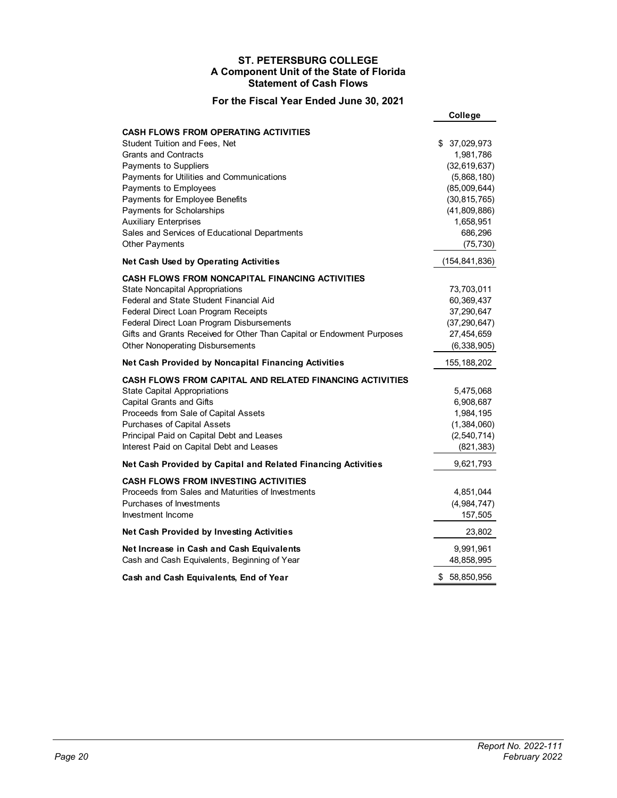#### **ST. PETERSBURG COLLEGE A Component Unit of the State of Florida Statement of Cash Flows**

#### **For the Fiscal Year Ended June 30, 2021**

<span id="page-23-0"></span>

|                                                                        | College         |
|------------------------------------------------------------------------|-----------------|
| <b>CASH FLOWS FROM OPERATING ACTIVITIES</b>                            |                 |
| Student Tuition and Fees, Net                                          | \$ 37,029,973   |
| <b>Grants and Contracts</b>                                            | 1,981,786       |
| <b>Payments to Suppliers</b>                                           | (32, 619, 637)  |
| Payments for Utilities and Communications                              | (5,868,180)     |
| Payments to Employees                                                  | (85,009,644)    |
| Payments for Employee Benefits                                         | (30, 815, 765)  |
| Payments for Scholarships                                              | (41,809,886)    |
| <b>Auxiliary Enterprises</b>                                           | 1,658,951       |
| Sales and Services of Educational Departments                          | 686,296         |
| <b>Other Payments</b>                                                  | (75, 730)       |
| <b>Net Cash Used by Operating Activities</b>                           | (154, 841, 836) |
| <b>CASH FLOWS FROM NONCAPITAL FINANCING ACTIVITIES</b>                 |                 |
| <b>State Noncapital Appropriations</b>                                 | 73,703,011      |
| Federal and State Student Financial Aid                                | 60,369,437      |
| Federal Direct Loan Program Receipts                                   | 37,290,647      |
| Federal Direct Loan Program Disbursements                              | (37, 290, 647)  |
| Gifts and Grants Received for Other Than Capital or Endowment Purposes | 27,454,659      |
| <b>Other Nonoperating Disbursements</b>                                | (6,338,905)     |
| Net Cash Provided by Noncapital Financing Activities                   | 155, 188, 202   |
| <b>CASH FLOWS FROM CAPITAL AND RELATED FINANCING ACTIVITIES</b>        |                 |
| <b>State Capital Appropriations</b>                                    | 5,475,068       |
| Capital Grants and Gifts                                               | 6,908,687       |
| Proceeds from Sale of Capital Assets                                   | 1,984,195       |
| Purchases of Capital Assets                                            | (1,384,060)     |
| Principal Paid on Capital Debt and Leases                              | (2, 540, 714)   |
| Interest Paid on Capital Debt and Leases                               | (821, 383)      |
| Net Cash Provided by Capital and Related Financing Activities          | 9,621,793       |
| <b>CASH FLOWS FROM INVESTING ACTIVITIES</b>                            |                 |
| Proceeds from Sales and Maturities of Investments                      | 4,851,044       |
| Purchases of Investments                                               | (4,984,747)     |
| Investment Income                                                      | 157,505         |
| <b>Net Cash Provided by Investing Activities</b>                       | 23,802          |
| Net Increase in Cash and Cash Equivalents                              | 9,991,961       |
| Cash and Cash Equivalents, Beginning of Year                           | 48,858,995      |
| Cash and Cash Equivalents, End of Year                                 | \$ 58,850,956   |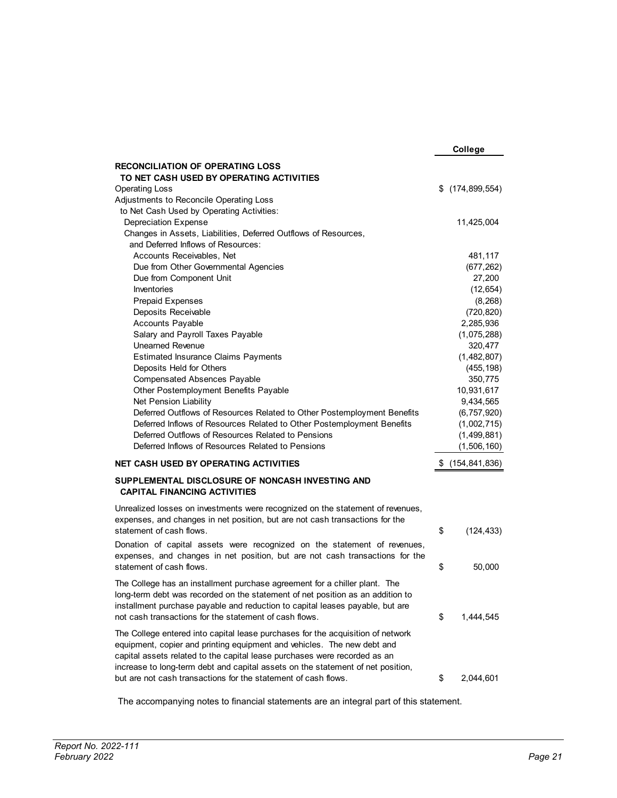|                                                                                                         | College               |
|---------------------------------------------------------------------------------------------------------|-----------------------|
| <b>RECONCILIATION OF OPERATING LOSS</b>                                                                 |                       |
| TO NET CASH USED BY OPERATING ACTIVITIES                                                                |                       |
| <b>Operating Loss</b>                                                                                   | $$$ (174,899,554)     |
| Adjustments to Reconcile Operating Loss                                                                 |                       |
| to Net Cash Used by Operating Activities:                                                               |                       |
| <b>Depreciation Expense</b>                                                                             | 11,425,004            |
| Changes in Assets, Liabilities, Deferred Outflows of Resources,                                         |                       |
| and Deferred Inflows of Resources:<br>Accounts Receivables, Net                                         |                       |
| Due from Other Governmental Agencies                                                                    | 481,117<br>(677, 262) |
| Due from Component Unit                                                                                 | 27,200                |
| Inventories                                                                                             | (12, 654)             |
| <b>Prepaid Expenses</b>                                                                                 | (8, 268)              |
| Deposits Receivable                                                                                     | (720, 820)            |
| <b>Accounts Payable</b>                                                                                 | 2,285,936             |
| Salary and Payroll Taxes Payable                                                                        | (1,075,288)           |
| <b>Unearned Revenue</b>                                                                                 | 320,477               |
| <b>Estimated Insurance Claims Payments</b>                                                              | (1,482,807)           |
| Deposits Held for Others                                                                                | (455, 198)            |
| <b>Compensated Absences Payable</b>                                                                     | 350,775               |
| Other Postemployment Benefits Payable                                                                   | 10,931,617            |
| Net Pension Liability                                                                                   | 9,434,565             |
| Deferred Outflows of Resources Related to Other Postemployment Benefits                                 | (6, 757, 920)         |
| Deferred Inflows of Resources Related to Other Postemployment Benefits                                  | (1,002,715)           |
| Deferred Outflows of Resources Related to Pensions<br>Deferred Inflows of Resources Related to Pensions | (1,499,881)           |
|                                                                                                         | (1,506,160)           |
| <b>NET CASH USED BY OPERATING ACTIVITIES</b>                                                            | $$$ $(154, 841, 836)$ |
| SUPPLEMENTAL DISCLOSURE OF NONCASH INVESTING AND<br><b>CAPITAL FINANCING ACTIVITIES</b>                 |                       |
| Unrealized losses on investments were recognized on the statement of revenues,                          |                       |
| expenses, and changes in net position, but are not cash transactions for the                            |                       |
| statement of cash flows.                                                                                | \$<br>(124, 433)      |
| Donation of capital assets were recognized on the statement of revenues,                                |                       |
| expenses, and changes in net position, but are not cash transactions for the                            |                       |
| statement of cash flows.                                                                                | \$<br>50,000          |
| The College has an installment purchase agreement for a chiller plant. The                              |                       |
| long-term debt was recorded on the statement of net position as an addition to                          |                       |
| installment purchase payable and reduction to capital leases payable, but are                           |                       |
| not cash transactions for the statement of cash flows.                                                  | \$<br>1,444,545       |
| The College entered into capital lease purchases for the acquisition of network                         |                       |
| equipment, copier and printing equipment and vehicles. The new debt and                                 |                       |
| capital assets related to the capital lease purchases were recorded as an                               |                       |
| increase to long-term debt and capital assets on the statement of net position,                         |                       |
| but are not cash transactions for the statement of cash flows.                                          | \$<br>2,044,601       |

The accompanying notes to financial statements are an integral part of this statement.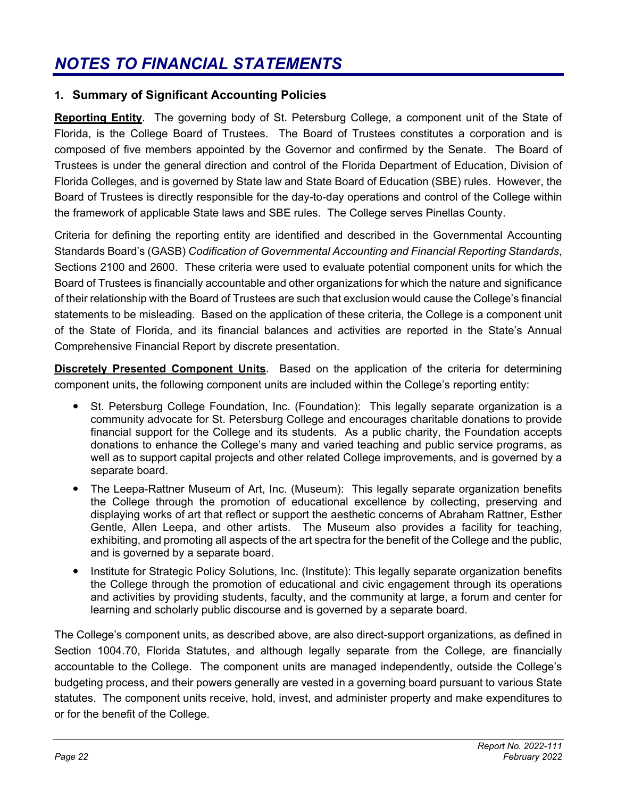## <span id="page-25-0"></span>*NOTES TO FINANCIAL STATEMENTS*

## **1. Summary of Significant Accounting Policies**

**Reporting Entity**. The governing body of St. Petersburg College, a component unit of the State of Florida, is the College Board of Trustees. The Board of Trustees constitutes a corporation and is composed of five members appointed by the Governor and confirmed by the Senate. The Board of Trustees is under the general direction and control of the Florida Department of Education, Division of Florida Colleges, and is governed by State law and State Board of Education (SBE) rules. However, the Board of Trustees is directly responsible for the day-to-day operations and control of the College within the framework of applicable State laws and SBE rules. The College serves Pinellas County.

Criteria for defining the reporting entity are identified and described in the Governmental Accounting Standards Board's (GASB) *Codification of Governmental Accounting and Financial Reporting Standards*, Sections 2100 and 2600. These criteria were used to evaluate potential component units for which the Board of Trustees is financially accountable and other organizations for which the nature and significance of their relationship with the Board of Trustees are such that exclusion would cause the College's financial statements to be misleading. Based on the application of these criteria, the College is a component unit of the State of Florida, and its financial balances and activities are reported in the State's Annual Comprehensive Financial Report by discrete presentation.

**Discretely Presented Component Units**. Based on the application of the criteria for determining component units, the following component units are included within the College's reporting entity:

- St. Petersburg College Foundation, Inc. (Foundation): This legally separate organization is a community advocate for St. Petersburg College and encourages charitable donations to provide financial support for the College and its students. As a public charity, the Foundation accepts donations to enhance the College's many and varied teaching and public service programs, as well as to support capital projects and other related College improvements, and is governed by a separate board.
- The Leepa-Rattner Museum of Art, Inc. (Museum): This legally separate organization benefits the College through the promotion of educational excellence by collecting, preserving and displaying works of art that reflect or support the aesthetic concerns of Abraham Rattner, Esther Gentle, Allen Leepa, and other artists. The Museum also provides a facility for teaching, exhibiting, and promoting all aspects of the art spectra for the benefit of the College and the public, and is governed by a separate board.
- Institute for Strategic Policy Solutions, Inc. (Institute): This legally separate organization benefits the College through the promotion of educational and civic engagement through its operations and activities by providing students, faculty, and the community at large, a forum and center for learning and scholarly public discourse and is governed by a separate board.

The College's component units, as described above, are also direct-support organizations, as defined in Section 1004.70, Florida Statutes, and although legally separate from the College, are financially accountable to the College. The component units are managed independently, outside the College's budgeting process, and their powers generally are vested in a governing board pursuant to various State statutes. The component units receive, hold, invest, and administer property and make expenditures to or for the benefit of the College.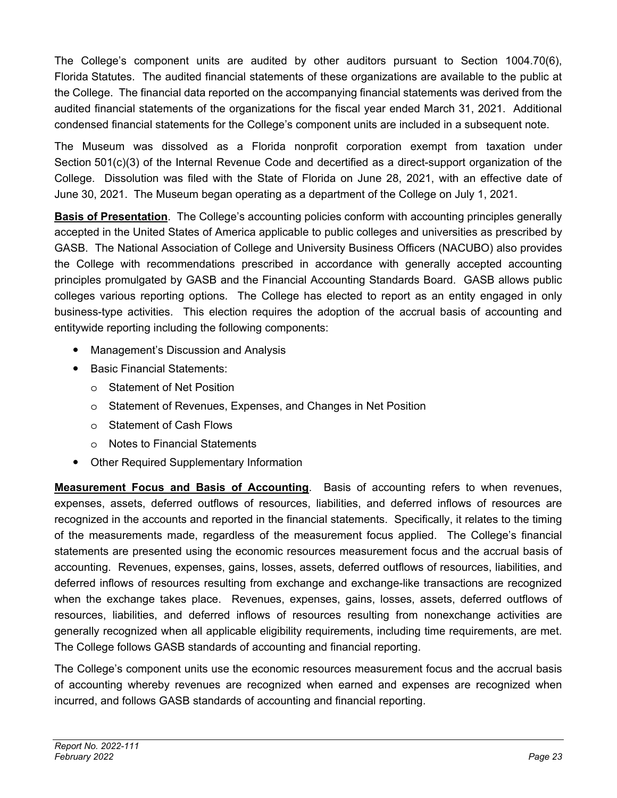The College's component units are audited by other auditors pursuant to Section 1004.70(6), Florida Statutes. The audited financial statements of these organizations are available to the public at the College. The financial data reported on the accompanying financial statements was derived from the audited financial statements of the organizations for the fiscal year ended March 31, 2021. Additional condensed financial statements for the College's component units are included in a subsequent note.

The Museum was dissolved as a Florida nonprofit corporation exempt from taxation under Section 501(c)(3) of the Internal Revenue Code and decertified as a direct-support organization of the College. Dissolution was filed with the State of Florida on June 28, 2021, with an effective date of June 30, 2021. The Museum began operating as a department of the College on July 1, 2021.

**Basis of Presentation**. The College's accounting policies conform with accounting principles generally accepted in the United States of America applicable to public colleges and universities as prescribed by GASB. The National Association of College and University Business Officers (NACUBO) also provides the College with recommendations prescribed in accordance with generally accepted accounting principles promulgated by GASB and the Financial Accounting Standards Board. GASB allows public colleges various reporting options. The College has elected to report as an entity engaged in only business-type activities. This election requires the adoption of the accrual basis of accounting and entitywide reporting including the following components:

- Management's Discussion and Analysis
- Basic Financial Statements:
	- o Statement of Net Position
	- o Statement of Revenues, Expenses, and Changes in Net Position
	- o Statement of Cash Flows
	- o Notes to Financial Statements
- Other Required Supplementary Information

**Measurement Focus and Basis of Accounting**. Basis of accounting refers to when revenues, expenses, assets, deferred outflows of resources, liabilities, and deferred inflows of resources are recognized in the accounts and reported in the financial statements. Specifically, it relates to the timing of the measurements made, regardless of the measurement focus applied. The College's financial statements are presented using the economic resources measurement focus and the accrual basis of accounting. Revenues, expenses, gains, losses, assets, deferred outflows of resources, liabilities, and deferred inflows of resources resulting from exchange and exchange-like transactions are recognized when the exchange takes place. Revenues, expenses, gains, losses, assets, deferred outflows of resources, liabilities, and deferred inflows of resources resulting from nonexchange activities are generally recognized when all applicable eligibility requirements, including time requirements, are met. The College follows GASB standards of accounting and financial reporting.

The College's component units use the economic resources measurement focus and the accrual basis of accounting whereby revenues are recognized when earned and expenses are recognized when incurred, and follows GASB standards of accounting and financial reporting.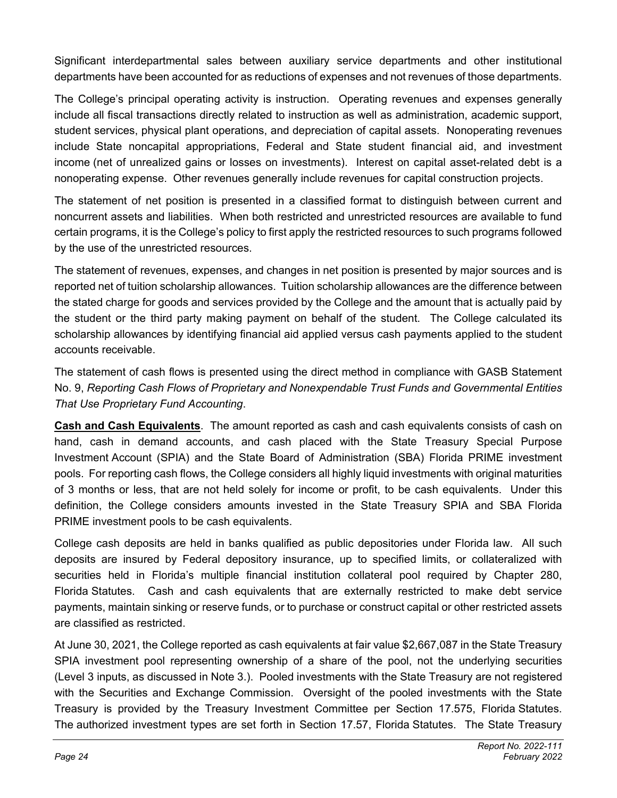Significant interdepartmental sales between auxiliary service departments and other institutional departments have been accounted for as reductions of expenses and not revenues of those departments.

The College's principal operating activity is instruction. Operating revenues and expenses generally include all fiscal transactions directly related to instruction as well as administration, academic support, student services, physical plant operations, and depreciation of capital assets. Nonoperating revenues include State noncapital appropriations, Federal and State student financial aid, and investment income (net of unrealized gains or losses on investments). Interest on capital asset-related debt is a nonoperating expense. Other revenues generally include revenues for capital construction projects.

The statement of net position is presented in a classified format to distinguish between current and noncurrent assets and liabilities. When both restricted and unrestricted resources are available to fund certain programs, it is the College's policy to first apply the restricted resources to such programs followed by the use of the unrestricted resources.

The statement of revenues, expenses, and changes in net position is presented by major sources and is reported net of tuition scholarship allowances. Tuition scholarship allowances are the difference between the stated charge for goods and services provided by the College and the amount that is actually paid by the student or the third party making payment on behalf of the student. The College calculated its scholarship allowances by identifying financial aid applied versus cash payments applied to the student accounts receivable.

The statement of cash flows is presented using the direct method in compliance with GASB Statement No. 9, *Reporting Cash Flows of Proprietary and Nonexpendable Trust Funds and Governmental Entities That Use Proprietary Fund Accounting*.

**Cash and Cash Equivalents**. The amount reported as cash and cash equivalents consists of cash on hand, cash in demand accounts, and cash placed with the State Treasury Special Purpose Investment Account (SPIA) and the State Board of Administration (SBA) Florida PRIME investment pools. For reporting cash flows, the College considers all highly liquid investments with original maturities of 3 months or less, that are not held solely for income or profit, to be cash equivalents. Under this definition, the College considers amounts invested in the State Treasury SPIA and SBA Florida PRIME investment pools to be cash equivalents.

College cash deposits are held in banks qualified as public depositories under Florida law. All such deposits are insured by Federal depository insurance, up to specified limits, or collateralized with securities held in Florida's multiple financial institution collateral pool required by Chapter 280, Florida Statutes. Cash and cash equivalents that are externally restricted to make debt service payments, maintain sinking or reserve funds, or to purchase or construct capital or other restricted assets are classified as restricted.

At June 30, 2021, the College reported as cash equivalents at fair value \$2,667,087 in the State Treasury SPIA investment pool representing ownership of a share of the pool, not the underlying securities (Level 3 inputs, as discussed in Note 3.). Pooled investments with the State Treasury are not registered with the Securities and Exchange Commission. Oversight of the pooled investments with the State Treasury is provided by the Treasury Investment Committee per Section 17.575, Florida Statutes. The authorized investment types are set forth in Section 17.57, Florida Statutes. The State Treasury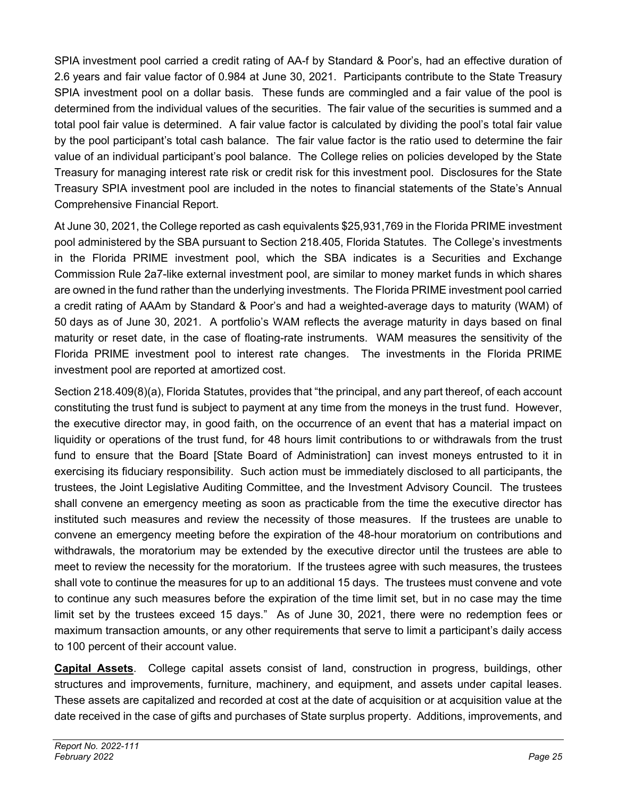SPIA investment pool carried a credit rating of AA-f by Standard & Poor's, had an effective duration of 2.6 years and fair value factor of 0.984 at June 30, 2021. Participants contribute to the State Treasury SPIA investment pool on a dollar basis. These funds are commingled and a fair value of the pool is determined from the individual values of the securities. The fair value of the securities is summed and a total pool fair value is determined. A fair value factor is calculated by dividing the pool's total fair value by the pool participant's total cash balance. The fair value factor is the ratio used to determine the fair value of an individual participant's pool balance. The College relies on policies developed by the State Treasury for managing interest rate risk or credit risk for this investment pool. Disclosures for the State Treasury SPIA investment pool are included in the notes to financial statements of the State's Annual Comprehensive Financial Report.

At June 30, 2021, the College reported as cash equivalents \$25,931,769 in the Florida PRIME investment pool administered by the SBA pursuant to Section 218.405, Florida Statutes. The College's investments in the Florida PRIME investment pool, which the SBA indicates is a Securities and Exchange Commission Rule 2a7-like external investment pool, are similar to money market funds in which shares are owned in the fund rather than the underlying investments. The Florida PRIME investment pool carried a credit rating of AAAm by Standard & Poor's and had a weighted-average days to maturity (WAM) of 50 days as of June 30, 2021. A portfolio's WAM reflects the average maturity in days based on final maturity or reset date, in the case of floating-rate instruments. WAM measures the sensitivity of the Florida PRIME investment pool to interest rate changes. The investments in the Florida PRIME investment pool are reported at amortized cost.

Section 218.409(8)(a), Florida Statutes, provides that "the principal, and any part thereof, of each account constituting the trust fund is subject to payment at any time from the moneys in the trust fund. However, the executive director may, in good faith, on the occurrence of an event that has a material impact on liquidity or operations of the trust fund, for 48 hours limit contributions to or withdrawals from the trust fund to ensure that the Board [State Board of Administration] can invest moneys entrusted to it in exercising its fiduciary responsibility. Such action must be immediately disclosed to all participants, the trustees, the Joint Legislative Auditing Committee, and the Investment Advisory Council. The trustees shall convene an emergency meeting as soon as practicable from the time the executive director has instituted such measures and review the necessity of those measures. If the trustees are unable to convene an emergency meeting before the expiration of the 48-hour moratorium on contributions and withdrawals, the moratorium may be extended by the executive director until the trustees are able to meet to review the necessity for the moratorium. If the trustees agree with such measures, the trustees shall vote to continue the measures for up to an additional 15 days. The trustees must convene and vote to continue any such measures before the expiration of the time limit set, but in no case may the time limit set by the trustees exceed 15 days." As of June 30, 2021, there were no redemption fees or maximum transaction amounts, or any other requirements that serve to limit a participant's daily access to 100 percent of their account value.

**Capital Assets**. College capital assets consist of land, construction in progress, buildings, other structures and improvements, furniture, machinery, and equipment, and assets under capital leases. These assets are capitalized and recorded at cost at the date of acquisition or at acquisition value at the date received in the case of gifts and purchases of State surplus property. Additions, improvements, and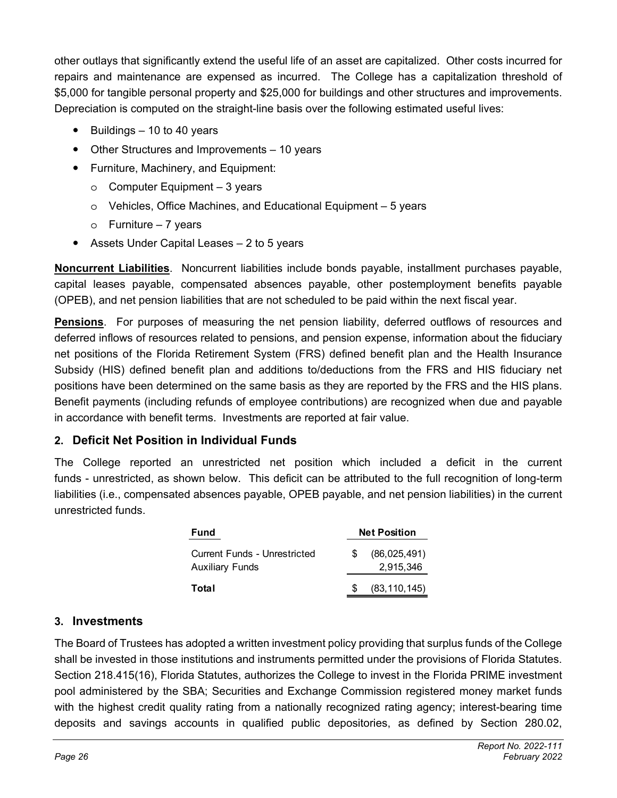other outlays that significantly extend the useful life of an asset are capitalized. Other costs incurred for repairs and maintenance are expensed as incurred. The College has a capitalization threshold of \$5,000 for tangible personal property and \$25,000 for buildings and other structures and improvements. Depreciation is computed on the straight-line basis over the following estimated useful lives:

- $\bullet$  Buildings 10 to 40 years
- Other Structures and Improvements 10 years
- Furniture, Machinery, and Equipment:
	- o Computer Equipment 3 years
	- o Vehicles, Office Machines, and Educational Equipment 5 years
	- $\circ$  Furniture 7 years
- Assets Under Capital Leases 2 to 5 years

**Noncurrent Liabilities**. Noncurrent liabilities include bonds payable, installment purchases payable, capital leases payable, compensated absences payable, other postemployment benefits payable (OPEB), and net pension liabilities that are not scheduled to be paid within the next fiscal year.

**Pensions**. For purposes of measuring the net pension liability, deferred outflows of resources and deferred inflows of resources related to pensions, and pension expense, information about the fiduciary net positions of the Florida Retirement System (FRS) defined benefit plan and the Health Insurance Subsidy (HIS) defined benefit plan and additions to/deductions from the FRS and HIS fiduciary net positions have been determined on the same basis as they are reported by the FRS and the HIS plans. Benefit payments (including refunds of employee contributions) are recognized when due and payable in accordance with benefit terms. Investments are reported at fair value.

## **2. Deficit Net Position in Individual Funds**

The College reported an unrestricted net position which included a deficit in the current funds - unrestricted, as shown below. This deficit can be attributed to the full recognition of long-term liabilities (i.e., compensated absences payable, OPEB payable, and net pension liabilities) in the current unrestricted funds.

| <b>Fund</b>                                                   | <b>Net Position</b> |                           |  |  |  |
|---------------------------------------------------------------|---------------------|---------------------------|--|--|--|
| <b>Current Funds - Unrestricted</b><br><b>Auxiliary Funds</b> |                     | (86,025,491)<br>2,915,346 |  |  |  |
| Total                                                         |                     | (83, 110, 145)            |  |  |  |

## **3. Investments**

The Board of Trustees has adopted a written investment policy providing that surplus funds of the College shall be invested in those institutions and instruments permitted under the provisions of Florida Statutes. Section 218.415(16), Florida Statutes, authorizes the College to invest in the Florida PRIME investment pool administered by the SBA; Securities and Exchange Commission registered money market funds with the highest credit quality rating from a nationally recognized rating agency; interest-bearing time deposits and savings accounts in qualified public depositories, as defined by Section 280.02,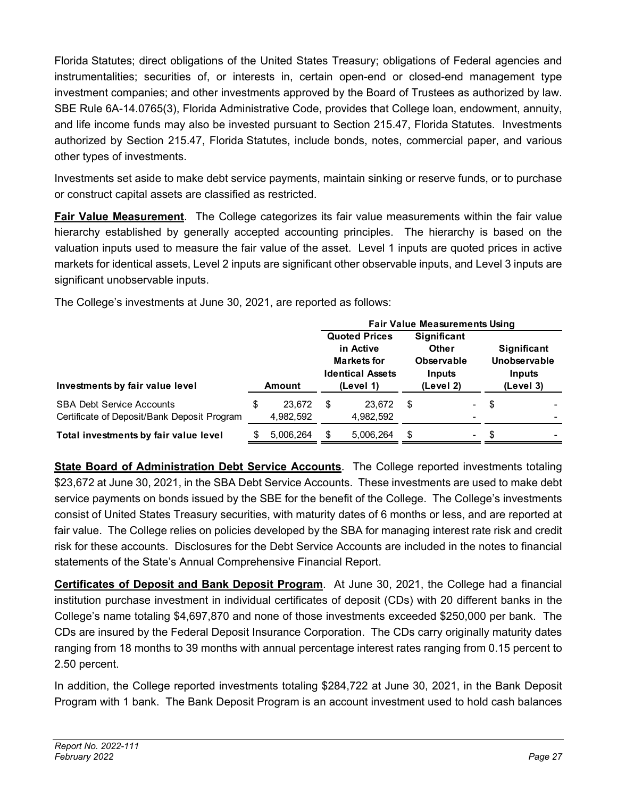Florida Statutes; direct obligations of the United States Treasury; obligations of Federal agencies and instrumentalities; securities of, or interests in, certain open-end or closed-end management type investment companies; and other investments approved by the Board of Trustees as authorized by law. SBE Rule 6A-14.0765(3), Florida Administrative Code, provides that College loan, endowment, annuity, and life income funds may also be invested pursuant to Section 215.47, Florida Statutes. Investments authorized by Section 215.47, Florida Statutes, include bonds, notes, commercial paper, and various other types of investments.

Investments set aside to make debt service payments, maintain sinking or reserve funds, or to purchase or construct capital assets are classified as restricted.

**Fair Value Measurement**. The College categorizes its fair value measurements within the fair value hierarchy established by generally accepted accounting principles. The hierarchy is based on the valuation inputs used to measure the fair value of the asset. Level 1 inputs are quoted prices in active markets for identical assets, Level 2 inputs are significant other observable inputs, and Level 3 inputs are significant unobservable inputs.

|                                                                                 |    |                     |    | <b>Fair Value Measurements Using</b>                                                            |                                                                                       |        |                                                           |  |
|---------------------------------------------------------------------------------|----|---------------------|----|-------------------------------------------------------------------------------------------------|---------------------------------------------------------------------------------------|--------|-----------------------------------------------------------|--|
| Investments by fair value level                                                 |    | Amount              |    | <b>Quoted Prices</b><br>in Active<br><b>Markets for</b><br><b>Identical Assets</b><br>(Level 1) | <b>Significant</b><br><b>Other</b><br><b>Observable</b><br><b>Inputs</b><br>(Level 2) |        | Significant<br>Unobservable<br><b>Inputs</b><br>(Level 3) |  |
| <b>SBA Debt Service Accounts</b><br>Certificate of Deposit/Bank Deposit Program | \$ | 23.672<br>4,982,592 | \$ | 23.672<br>4,982,592                                                                             | \$                                                                                    | $\sim$ | \$                                                        |  |
| Total investments by fair value level                                           |    | 5,006,264           | S  | 5,006,264                                                                                       | \$                                                                                    | ۰.     | \$.                                                       |  |

The College's investments at June 30, 2021, are reported as follows:

**State Board of Administration Debt Service Accounts**. The College reported investments totaling \$23,672 at June 30, 2021, in the SBA Debt Service Accounts. These investments are used to make debt service payments on bonds issued by the SBE for the benefit of the College. The College's investments consist of United States Treasury securities, with maturity dates of 6 months or less, and are reported at fair value. The College relies on policies developed by the SBA for managing interest rate risk and credit risk for these accounts. Disclosures for the Debt Service Accounts are included in the notes to financial statements of the State's Annual Comprehensive Financial Report.

**Certificates of Deposit and Bank Deposit Program**. At June 30, 2021, the College had a financial institution purchase investment in individual certificates of deposit (CDs) with 20 different banks in the College's name totaling \$4,697,870 and none of those investments exceeded \$250,000 per bank. The CDs are insured by the Federal Deposit Insurance Corporation. The CDs carry originally maturity dates ranging from 18 months to 39 months with annual percentage interest rates ranging from 0.15 percent to 2.50 percent.

In addition, the College reported investments totaling \$284,722 at June 30, 2021, in the Bank Deposit Program with 1 bank. The Bank Deposit Program is an account investment used to hold cash balances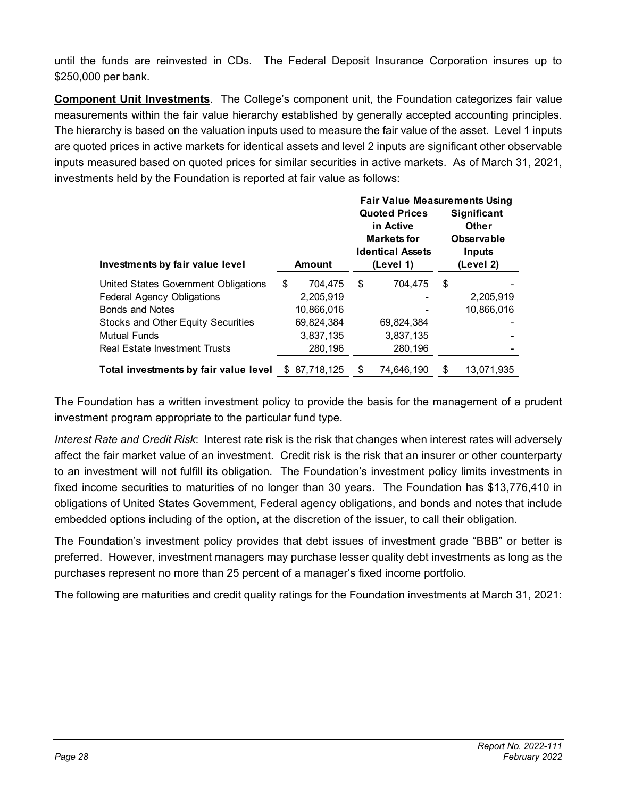until the funds are reinvested in CDs. The Federal Deposit Insurance Corporation insures up to \$250,000 per bank.

**Component Unit Investments**. The College's component unit, the Foundation categorizes fair value measurements within the fair value hierarchy established by generally accepted accounting principles. The hierarchy is based on the valuation inputs used to measure the fair value of the asset. Level 1 inputs are quoted prices in active markets for identical assets and level 2 inputs are significant other observable inputs measured based on quoted prices for similar securities in active markets. As of March 31, 2021, investments held by the Foundation is reported at fair value as follows:

|                                           |               |              | <b>Fair Value Measurements Using</b> |                         |           |                   |  |
|-------------------------------------------|---------------|--------------|--------------------------------------|-------------------------|-----------|-------------------|--|
|                                           |               |              | <b>Quoted Prices</b>                 |                         |           | Significant       |  |
|                                           |               |              |                                      | in Active               |           | <b>Other</b>      |  |
|                                           |               |              |                                      | <b>Markets for</b>      |           | <b>Observable</b> |  |
|                                           |               |              |                                      | <b>Identical Assets</b> |           | Inputs            |  |
| Investments by fair value level           | <b>Amount</b> |              | (Level 1)                            |                         | (Level 2) |                   |  |
| United States Government Obligations      | S             | 704,475      | \$                                   | 704.475                 | \$        |                   |  |
| <b>Federal Agency Obligations</b>         |               | 2,205,919    |                                      |                         |           | 2,205,919         |  |
| <b>Bonds and Notes</b>                    |               | 10.866.016   |                                      |                         |           | 10.866.016        |  |
| <b>Stocks and Other Equity Securities</b> |               | 69,824,384   |                                      | 69,824,384              |           |                   |  |
| <b>Mutual Funds</b>                       |               | 3,837,135    |                                      | 3,837,135               |           |                   |  |
| <b>Real Estate Investment Trusts</b>      |               | 280,196      |                                      | 280,196                 |           |                   |  |
| Total investments by fair value level     |               | \$87,718,125 | \$                                   | 74,646,190              | S         | 13,071,935        |  |

The Foundation has a written investment policy to provide the basis for the management of a prudent investment program appropriate to the particular fund type.

*Interest Rate and Credit Risk*:Interest rate risk is the risk that changes when interest rates will adversely affect the fair market value of an investment. Credit risk is the risk that an insurer or other counterparty to an investment will not fulfill its obligation. The Foundation's investment policy limits investments in fixed income securities to maturities of no longer than 30 years. The Foundation has \$13,776,410 in obligations of United States Government, Federal agency obligations, and bonds and notes that include embedded options including of the option, at the discretion of the issuer, to call their obligation.

The Foundation's investment policy provides that debt issues of investment grade "BBB" or better is preferred. However, investment managers may purchase lesser quality debt investments as long as the purchases represent no more than 25 percent of a manager's fixed income portfolio.

The following are maturities and credit quality ratings for the Foundation investments at March 31, 2021: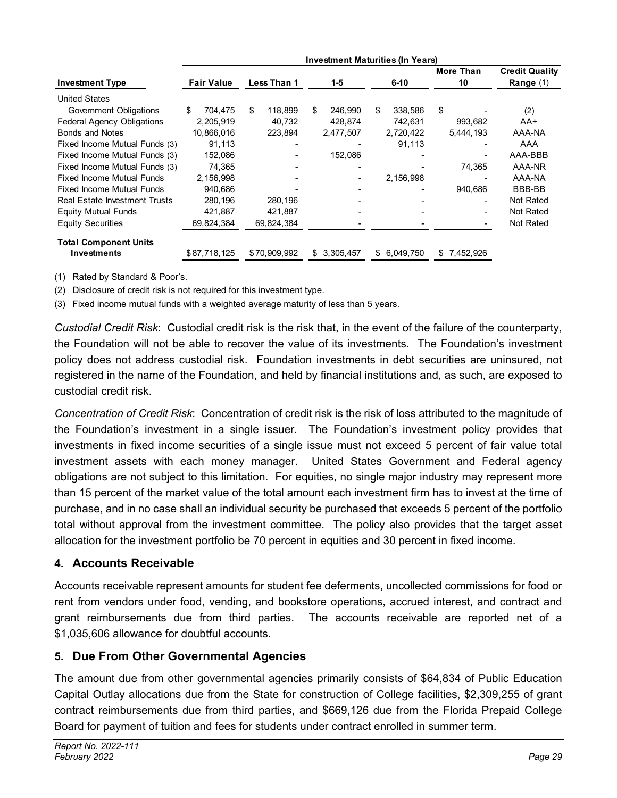|                                      | <b>Investment Maturities (In Years)</b> |               |               |               |                 |                                      |  |  |  |  |  |  |  |
|--------------------------------------|-----------------------------------------|---------------|---------------|---------------|-----------------|--------------------------------------|--|--|--|--|--|--|--|
| <b>Investment Type</b>               | <b>Fair Value</b>                       | Less Than 1   | $1-5$         | $6 - 10$      | More Than<br>10 | <b>Credit Quality</b><br>Range $(1)$ |  |  |  |  |  |  |  |
| <b>United States</b>                 |                                         |               |               |               |                 |                                      |  |  |  |  |  |  |  |
| Government Obligations               | 704.475<br>\$                           | \$<br>118,899 | \$<br>246.990 | \$<br>338.586 | \$              | (2)                                  |  |  |  |  |  |  |  |
| Federal Agency Obligations           | 2,205,919                               | 40,732        | 428,874       | 742,631       | 993,682         | $AA+$                                |  |  |  |  |  |  |  |
| <b>Bonds and Notes</b>               | 10,866,016                              | 223.894       | 2,477,507     | 2,720,422     | 5.444.193       | AAA-NA                               |  |  |  |  |  |  |  |
| Fixed Income Mutual Funds (3)        | 91,113                                  |               |               | 91,113        |                 | AAA                                  |  |  |  |  |  |  |  |
| Fixed Income Mutual Funds (3)        | 152,086                                 |               | 152,086       |               |                 | AAA-BBB                              |  |  |  |  |  |  |  |
| Fixed Income Mutual Funds (3)        | 74,365                                  |               |               |               | 74,365          | AAA-NR                               |  |  |  |  |  |  |  |
| <b>Fixed Income Mutual Funds</b>     | 2,156,998                               |               |               | 2,156,998     |                 | AAA-NA                               |  |  |  |  |  |  |  |
| <b>Fixed Income Mutual Funds</b>     | 940,686                                 |               |               |               | 940,686         | BBB-BB                               |  |  |  |  |  |  |  |
| <b>Real Estate Investment Trusts</b> | 280,196                                 | 280,196       |               |               |                 | Not Rated                            |  |  |  |  |  |  |  |
| <b>Equity Mutual Funds</b>           | 421,887                                 | 421,887       |               |               |                 | Not Rated                            |  |  |  |  |  |  |  |
| <b>Equity Securities</b>             | 69,824,384                              | 69.824,384    |               |               |                 | Not Rated                            |  |  |  |  |  |  |  |
| <b>Total Component Units</b>         |                                         |               |               |               |                 |                                      |  |  |  |  |  |  |  |
| Investments                          | \$87,718,125                            | \$70,909,992  | \$3,305,457   | \$ 6,049,750  | \$7,452,926     |                                      |  |  |  |  |  |  |  |

(1) Rated by Standard & Poor's.

(2) Disclosure of credit risk is not required for this investment type.

(3) Fixed income mutual funds with a weighted average maturity of less than 5 years.

*Custodial Credit Risk*:Custodial credit risk is the risk that, in the event of the failure of the counterparty, the Foundation will not be able to recover the value of its investments. The Foundation's investment policy does not address custodial risk. Foundation investments in debt securities are uninsured, not registered in the name of the Foundation, and held by financial institutions and, as such, are exposed to custodial credit risk.

*Concentration of Credit Risk*:Concentration of credit risk is the risk of loss attributed to the magnitude of the Foundation's investment in a single issuer. The Foundation's investment policy provides that investments in fixed income securities of a single issue must not exceed 5 percent of fair value total investment assets with each money manager. United States Government and Federal agency obligations are not subject to this limitation. For equities, no single major industry may represent more than 15 percent of the market value of the total amount each investment firm has to invest at the time of purchase, and in no case shall an individual security be purchased that exceeds 5 percent of the portfolio total without approval from the investment committee. The policy also provides that the target asset allocation for the investment portfolio be 70 percent in equities and 30 percent in fixed income.

## **4. Accounts Receivable**

Accounts receivable represent amounts for student fee deferments, uncollected commissions for food or rent from vendors under food, vending, and bookstore operations, accrued interest, and contract and grant reimbursements due from third parties. The accounts receivable are reported net of a \$1,035,606 allowance for doubtful accounts.

## **5. Due From Other Governmental Agencies**

The amount due from other governmental agencies primarily consists of \$64,834 of Public Education Capital Outlay allocations due from the State for construction of College facilities, \$2,309,255 of grant contract reimbursements due from third parties, and \$669,126 due from the Florida Prepaid College Board for payment of tuition and fees for students under contract enrolled in summer term.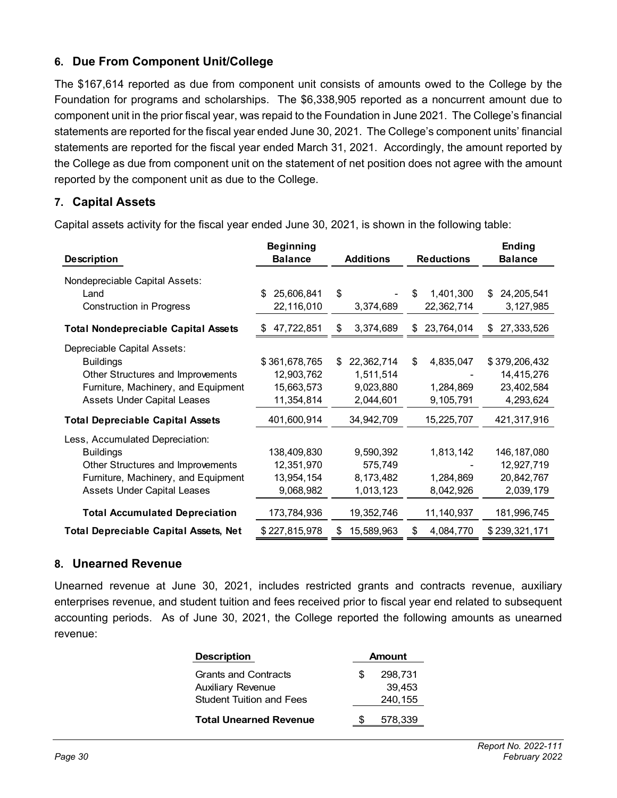## **6. Due From Component Unit/College**

The \$167,614 reported as due from component unit consists of amounts owed to the College by the Foundation for programs and scholarships. The \$6,338,905 reported as a noncurrent amount due to component unit in the prior fiscal year, was repaid to the Foundation in June 2021. The College's financial statements are reported for the fiscal year ended June 30, 2021. The College's component units' financial statements are reported for the fiscal year ended March 31, 2021. Accordingly, the amount reported by the College as due from component unit on the statement of net position does not agree with the amount reported by the component unit as due to the College.

## **7. Capital Assets**

Capital assets activity for the fiscal year ended June 30, 2021, is shown in the following table:

| <b>Description</b>                           | <b>Beginning</b><br><b>Balance</b> | <b>Additions</b> | <b>Reductions</b> | Ending<br><b>Balance</b> |
|----------------------------------------------|------------------------------------|------------------|-------------------|--------------------------|
| Nondepreciable Capital Assets:               |                                    |                  |                   |                          |
| Land                                         | 25,606,841<br>\$                   | \$               | 1,401,300<br>\$   | 24,205,541<br>\$         |
| <b>Construction in Progress</b>              | 22,116,010                         | 3,374,689        | 22,362,714        | 3,127,985                |
| <b>Total Nondepreciable Capital Assets</b>   | 47,722,851<br>\$                   | \$<br>3,374,689  | 23,764,014<br>\$  | 27,333,526<br>S          |
| Depreciable Capital Assets:                  |                                    |                  |                   |                          |
| <b>Buildings</b>                             | \$361,678,765                      | 22,362,714<br>\$ | \$<br>4,835,047   | \$379,206,432            |
| Other Structures and Improvements            | 12,903,762                         | 1,511,514        |                   | 14,415,276               |
| Furniture, Machinery, and Equipment          | 15,663,573                         | 9,023,880        | 1,284,869         | 23,402,584               |
| Assets Under Capital Leases                  | 11,354,814                         | 2,044,601        | 9,105,791         | 4,293,624                |
| <b>Total Depreciable Capital Assets</b>      | 401,600,914                        | 34,942,709       | 15,225,707        | 421,317,916              |
| Less, Accumulated Depreciation:              |                                    |                  |                   |                          |
| <b>Buildings</b>                             | 138,409,830                        | 9,590,392        | 1,813,142         | 146, 187, 080            |
| Other Structures and Improvements            | 12,351,970                         | 575,749          |                   | 12,927,719               |
| Furniture, Machinery, and Equipment          | 13,954,154                         | 8,173,482        | 1,284,869         | 20,842,767               |
| Assets Under Capital Leases                  | 9,068,982                          | 1,013,123        | 8,042,926         | 2,039,179                |
| <b>Total Accumulated Depreciation</b>        | 173,784,936                        | 19,352,746       | 11,140,937        | 181,996,745              |
| <b>Total Depreciable Capital Assets, Net</b> | \$227,815,978                      | 15,589,963<br>\$ | 4,084,770<br>\$   | \$239,321,171            |

#### **8. Unearned Revenue**

Unearned revenue at June 30, 2021, includes restricted grants and contracts revenue, auxiliary enterprises revenue, and student tuition and fees received prior to fiscal year end related to subsequent accounting periods. As of June 30, 2021, the College reported the following amounts as unearned revenue:

| <b>Description</b>              | <b>Amount</b> |          |  |  |
|---------------------------------|---------------|----------|--|--|
| <b>Grants and Contracts</b>     |               | 298.731  |  |  |
| <b>Auxiliary Revenue</b>        |               | 39.453   |  |  |
| <b>Student Tuition and Fees</b> |               | 240, 155 |  |  |
| <b>Total Unearned Revenue</b>   |               | 578,339  |  |  |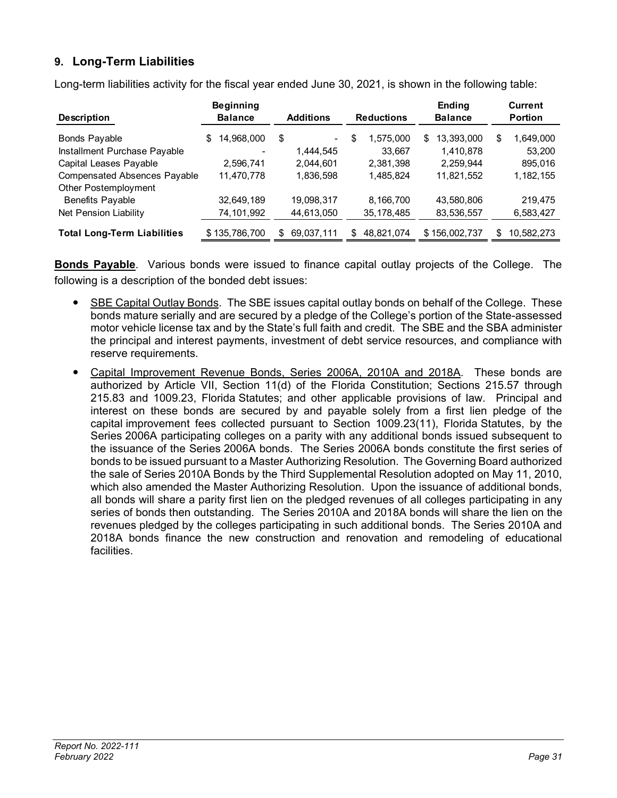## **9. Long-Term Liabilities**

| <b>Description</b>                  |   | <b>Beginning</b><br><b>Balance</b> |    | <b>Additions</b> |    | <b>Reductions</b> |     | <b>Ending</b><br><b>Balance</b> |     | <b>Current</b><br><b>Portion</b> |
|-------------------------------------|---|------------------------------------|----|------------------|----|-------------------|-----|---------------------------------|-----|----------------------------------|
|                                     |   |                                    |    |                  |    |                   |     |                                 |     |                                  |
| <b>Bonds Payable</b>                | S | 14,968,000                         | \$ | ۰                | \$ | 1,575,000         | \$. | 13,393,000                      | \$  | 1,649,000                        |
| Installment Purchase Payable        |   |                                    |    | 1.444.545        |    | 33,667            |     | 1,410,878                       |     | 53,200                           |
| Capital Leases Payable              |   | 2,596,741                          |    | 2,044,601        |    | 2,381,398         |     | 2,259,944                       |     | 895,016                          |
| <b>Compensated Absences Payable</b> |   | 11,470,778                         |    | 1,836,598        |    | 1,485,824         |     | 11,821,552                      |     | 1, 182, 155                      |
| Other Postemployment                |   |                                    |    |                  |    |                   |     |                                 |     |                                  |
| <b>Benefits Payable</b>             |   | 32,649,189                         |    | 19,098,317       |    | 8,166,700         |     | 43,580,806                      |     | 219,475                          |
| Net Pension Liability               |   | 74,101,992                         |    | 44,613,050       |    | 35, 178, 485      |     | 83,536,557                      |     | 6,583,427                        |
| <b>Total Long-Term Liabilities</b>  |   | \$135,786,700                      | S  | 69,037,111       | S  | 48,821,074        |     | \$156,002,737                   | \$. | 10,582,273                       |

Long-term liabilities activity for the fiscal year ended June 30, 2021, is shown in the following table:

**Bonds Payable**. Various bonds were issued to finance capital outlay projects of the College. The following is a description of the bonded debt issues:

- SBE Capital Outlay Bonds. The SBE issues capital outlay bonds on behalf of the College. These bonds mature serially and are secured by a pledge of the College's portion of the State-assessed motor vehicle license tax and by the State's full faith and credit. The SBE and the SBA administer the principal and interest payments, investment of debt service resources, and compliance with reserve requirements.
- Capital Improvement Revenue Bonds, Series 2006A, 2010A and 2018A. These bonds are authorized by Article VII, Section 11(d) of the Florida Constitution; Sections 215.57 through 215.83 and 1009.23, Florida Statutes; and other applicable provisions of law. Principal and interest on these bonds are secured by and payable solely from a first lien pledge of the capital improvement fees collected pursuant to Section 1009.23(11), Florida Statutes, by the Series 2006A participating colleges on a parity with any additional bonds issued subsequent to the issuance of the Series 2006A bonds. The Series 2006A bonds constitute the first series of bonds to be issued pursuant to a Master Authorizing Resolution. The Governing Board authorized the sale of Series 2010A Bonds by the Third Supplemental Resolution adopted on May 11, 2010, which also amended the Master Authorizing Resolution. Upon the issuance of additional bonds, all bonds will share a parity first lien on the pledged revenues of all colleges participating in any series of bonds then outstanding. The Series 2010A and 2018A bonds will share the lien on the revenues pledged by the colleges participating in such additional bonds. The Series 2010A and 2018A bonds finance the new construction and renovation and remodeling of educational facilities.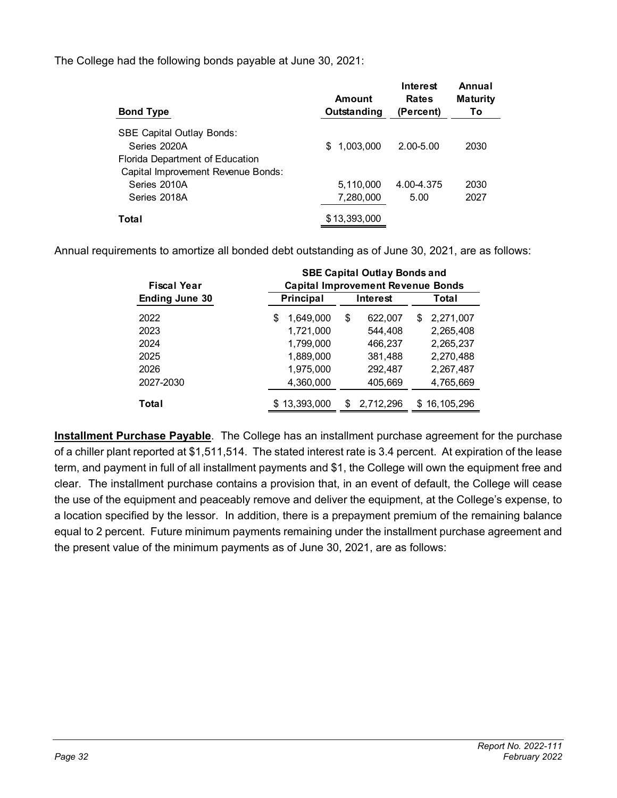The College had the following bonds payable at June 30, 2021:

| <b>Bond Type</b>                                 | Amount<br>Outstanding | Interest<br><b>Rates</b><br>(Percent) | Annual<br><b>Maturity</b><br>To |
|--------------------------------------------------|-----------------------|---------------------------------------|---------------------------------|
| <b>SBE Capital Outlay Bonds:</b><br>Series 2020A | 1,003,000<br>\$       | 2.00-5.00                             | 2030                            |
| Florida Department of Education                  |                       |                                       |                                 |
| Capital Improvement Revenue Bonds:               |                       |                                       |                                 |
| Series 2010A                                     | 5,110,000             | 4.00-4.375                            | 2030                            |
| Series 2018A                                     | 7,280,000             | 5.00                                  | 2027                            |
| Total                                            | \$13,393,000          |                                       |                                 |

Annual requirements to amortize all bonded debt outstanding as of June 30, 2021, are as follows:

| Fiscal Year           | <b>SBE Capital Outlay Bonds and</b><br><b>Capital Improvement Revenue Bonds</b> |                  |                  |
|-----------------------|---------------------------------------------------------------------------------|------------------|------------------|
| <b>Ending June 30</b> | Principal                                                                       | Interest         | Total            |
| 2022                  | 1,649,000<br>\$                                                                 | \$<br>622,007    | 2,271,007<br>\$. |
| 2023                  | 1,721,000                                                                       | 544.408          | 2,265,408        |
| 2024                  | 1,799,000                                                                       | 466,237          | 2,265,237        |
| 2025                  | 1,889,000                                                                       | 381,488          | 2,270,488        |
| 2026                  | 1,975,000                                                                       | 292,487          | 2,267,487        |
| 2027-2030             | 4,360,000                                                                       | 405,669          | 4,765,669        |
| Total                 | 13,393,000                                                                      | 2,712,296<br>\$. | \$16,105,296     |

**Installment Purchase Payable**. The College has an installment purchase agreement for the purchase of a chiller plant reported at \$1,511,514. The stated interest rate is 3.4 percent. At expiration of the lease term, and payment in full of all installment payments and \$1, the College will own the equipment free and clear. The installment purchase contains a provision that, in an event of default, the College will cease the use of the equipment and peaceably remove and deliver the equipment, at the College's expense, to a location specified by the lessor. In addition, there is a prepayment premium of the remaining balance equal to 2 percent. Future minimum payments remaining under the installment purchase agreement and the present value of the minimum payments as of June 30, 2021, are as follows: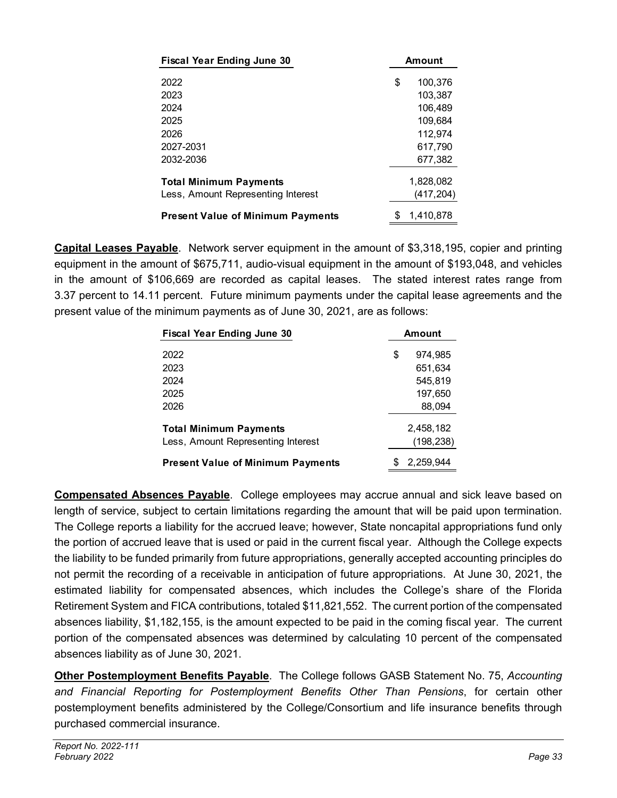| <b>Fiscal Year Ending June 30</b>        |    | <b>Amount</b> |
|------------------------------------------|----|---------------|
| 2022                                     | \$ | 100.376       |
| 2023                                     |    | 103,387       |
| 2024                                     |    | 106.489       |
| 2025                                     |    | 109,684       |
| 2026                                     |    | 112,974       |
| 2027-2031                                |    | 617,790       |
| 2032-2036                                |    | 677,382       |
| <b>Total Minimum Payments</b>            |    | 1.828.082     |
| Less, Amount Representing Interest       |    | (417, 204)    |
| <b>Present Value of Minimum Payments</b> | S  | 1.410.878     |

**Capital Leases Payable**. Network server equipment in the amount of \$3,318,195, copier and printing equipment in the amount of \$675,711, audio-visual equipment in the amount of \$193,048, and vehicles in the amount of \$106,669 are recorded as capital leases. The stated interest rates range from 3.37 percent to 14.11 percent. Future minimum payments under the capital lease agreements and the present value of the minimum payments as of June 30, 2021, are as follows:

| <b>Fiscal Year Ending June 30</b>        |    | Amount    |  |
|------------------------------------------|----|-----------|--|
| 2022                                     | \$ | 974,985   |  |
| 2023                                     |    | 651,634   |  |
| 2024                                     |    | 545,819   |  |
| 2025                                     |    | 197,650   |  |
| 2026                                     |    | 88,094    |  |
| <b>Total Minimum Payments</b>            |    | 2,458,182 |  |
| Less, Amount Representing Interest       |    | (198,238) |  |
| <b>Present Value of Minimum Payments</b> |    | 2,259,944 |  |

**Compensated Absences Payable**. College employees may accrue annual and sick leave based on length of service, subject to certain limitations regarding the amount that will be paid upon termination. The College reports a liability for the accrued leave; however, State noncapital appropriations fund only the portion of accrued leave that is used or paid in the current fiscal year. Although the College expects the liability to be funded primarily from future appropriations, generally accepted accounting principles do not permit the recording of a receivable in anticipation of future appropriations. At June 30, 2021, the estimated liability for compensated absences, which includes the College's share of the Florida Retirement System and FICA contributions, totaled \$11,821,552. The current portion of the compensated absences liability, \$1,182,155, is the amount expected to be paid in the coming fiscal year. The current portion of the compensated absences was determined by calculating 10 percent of the compensated absences liability as of June 30, 2021.

**Other Postemployment Benefits Payable**. The College follows GASB Statement No. 75, *Accounting and Financial Reporting for Postemployment Benefits Other Than Pensions*, for certain other postemployment benefits administered by the College/Consortium and life insurance benefits through purchased commercial insurance.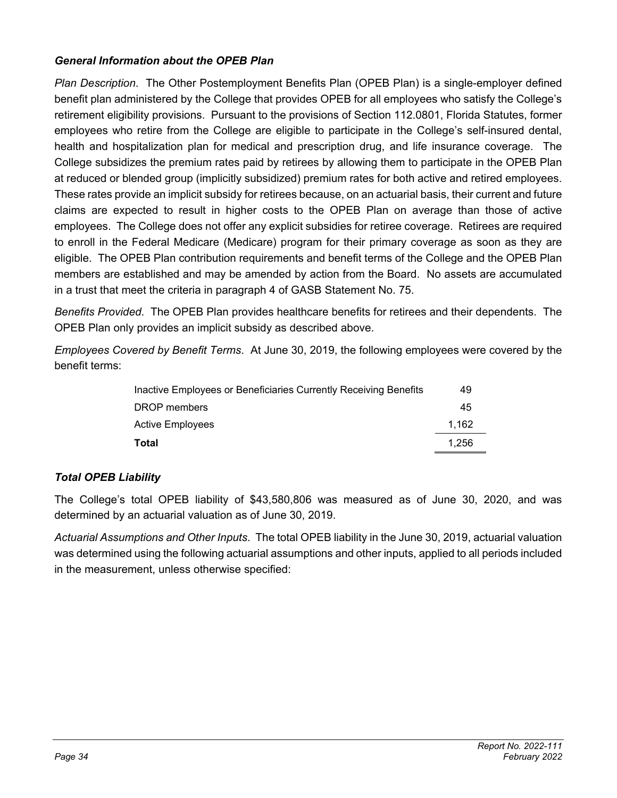## *General Information about the OPEB Plan*

*Plan Description*. The Other Postemployment Benefits Plan (OPEB Plan) is a single-employer defined benefit plan administered by the College that provides OPEB for all employees who satisfy the College's retirement eligibility provisions. Pursuant to the provisions of Section 112.0801, Florida Statutes, former employees who retire from the College are eligible to participate in the College's self-insured dental, health and hospitalization plan for medical and prescription drug, and life insurance coverage. The College subsidizes the premium rates paid by retirees by allowing them to participate in the OPEB Plan at reduced or blended group (implicitly subsidized) premium rates for both active and retired employees. These rates provide an implicit subsidy for retirees because, on an actuarial basis, their current and future claims are expected to result in higher costs to the OPEB Plan on average than those of active employees. The College does not offer any explicit subsidies for retiree coverage. Retirees are required to enroll in the Federal Medicare (Medicare) program for their primary coverage as soon as they are eligible. The OPEB Plan contribution requirements and benefit terms of the College and the OPEB Plan members are established and may be amended by action from the Board. No assets are accumulated in a trust that meet the criteria in paragraph 4 of GASB Statement No. 75.

*Benefits Provided*. The OPEB Plan provides healthcare benefits for retirees and their dependents. The OPEB Plan only provides an implicit subsidy as described above.

*Employees Covered by Benefit Terms*. At June 30, 2019, the following employees were covered by the benefit terms:

| Inactive Employees or Beneficiaries Currently Receiving Benefits | 49    |
|------------------------------------------------------------------|-------|
| DROP members                                                     | 45    |
| <b>Active Employees</b>                                          | 1.162 |
| Total                                                            | 1.256 |

## *Total OPEB Liability*

The College's total OPEB liability of \$43,580,806 was measured as of June 30, 2020, and was determined by an actuarial valuation as of June 30, 2019.

*Actuarial Assumptions and Other Inputs*. The total OPEB liability in the June 30, 2019, actuarial valuation was determined using the following actuarial assumptions and other inputs, applied to all periods included in the measurement, unless otherwise specified: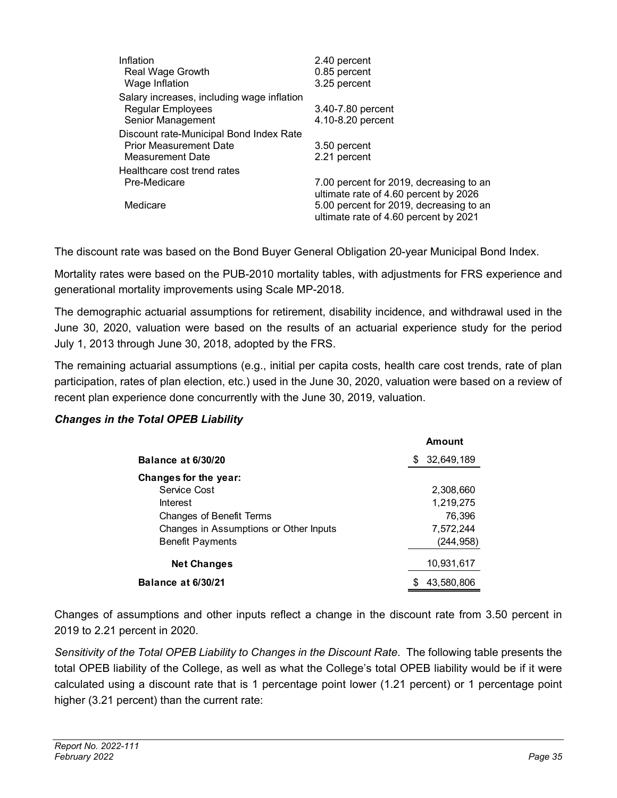| Inflation<br>Real Wage Growth<br>Wage Inflation | 2.40 percent<br>0.85 percent<br>3.25 percent                                     |
|-------------------------------------------------|----------------------------------------------------------------------------------|
| Salary increases, including wage inflation      |                                                                                  |
| <b>Regular Employees</b>                        | 3.40-7.80 percent                                                                |
| Senior Management                               | 4.10-8.20 percent                                                                |
| Discount rate-Municipal Bond Index Rate         |                                                                                  |
| <b>Prior Measurement Date</b>                   | 3.50 percent                                                                     |
| Measurement Date                                | 2.21 percent                                                                     |
| Healthcare cost trend rates                     |                                                                                  |
| Pre-Medicare                                    | 7.00 percent for 2019, decreasing to an<br>ultimate rate of 4.60 percent by 2026 |
| Medicare                                        | 5.00 percent for 2019, decreasing to an<br>ultimate rate of 4.60 percent by 2021 |

The discount rate was based on the Bond Buyer General Obligation 20-year Municipal Bond Index.

Mortality rates were based on the PUB-2010 mortality tables, with adjustments for FRS experience and generational mortality improvements using Scale MP-2018.

The demographic actuarial assumptions for retirement, disability incidence, and withdrawal used in the June 30, 2020, valuation were based on the results of an actuarial experience study for the period July 1, 2013 through June 30, 2018, adopted by the FRS.

The remaining actuarial assumptions (e.g., initial per capita costs, health care cost trends, rate of plan participation, rates of plan election, etc.) used in the June 30, 2020, valuation were based on a review of recent plan experience done concurrently with the June 30, 2019, valuation.

## *Changes in the Total OPEB Liability*

|                                        |   | Amount     |
|----------------------------------------|---|------------|
| Balance at 6/30/20                     | S | 32.649.189 |
| Changes for the year:                  |   |            |
| Service Cost                           |   | 2,308,660  |
| Interest                               |   | 1,219,275  |
| Changes of Benefit Terms               |   | 76,396     |
| Changes in Assumptions or Other Inputs |   | 7,572,244  |
| <b>Benefit Payments</b>                |   | (244, 958) |
| <b>Net Changes</b>                     |   | 10,931,617 |
| Balance at 6/30/21                     |   | 43,580,806 |

Changes of assumptions and other inputs reflect a change in the discount rate from 3.50 percent in 2019 to 2.21 percent in 2020.

*Sensitivity of the Total OPEB Liability to Changes in the Discount Rate*. The following table presents the total OPEB liability of the College, as well as what the College's total OPEB liability would be if it were calculated using a discount rate that is 1 percentage point lower (1.21 percent) or 1 percentage point higher (3.21 percent) than the current rate: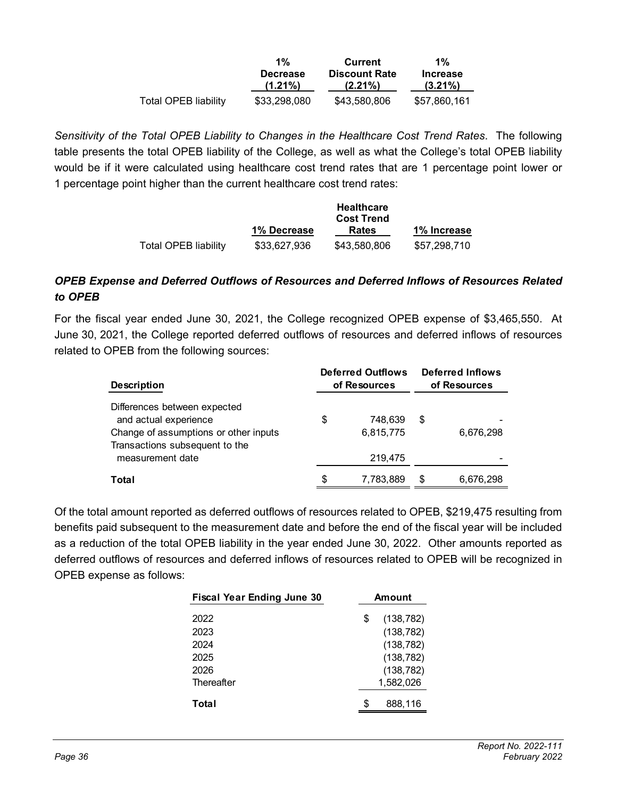|                      | $1\%$                         | Current                            | $1\%$                         |
|----------------------|-------------------------------|------------------------------------|-------------------------------|
|                      | <b>Decrease</b><br>$(1.21\%)$ | <b>Discount Rate</b><br>$(2.21\%)$ | <b>Increase</b><br>$(3.21\%)$ |
| Total OPEB liability | \$33,298,080                  | \$43,580,806                       | \$57,860,161                  |

*Sensitivity of the Total OPEB Liability to Changes in the Healthcare Cost Trend Rates*. The following table presents the total OPEB liability of the College, as well as what the College's total OPEB liability would be if it were calculated using healthcare cost trend rates that are 1 percentage point lower or 1 percentage point higher than the current healthcare cost trend rates:

|                      | <b>1% Decrease</b> | <b>Rates</b> | 1% Increase  |
|----------------------|--------------------|--------------|--------------|
| Total OPEB liability | \$33.627.936       | \$43,580,806 | \$57,298,710 |

## *OPEB Expense and Deferred Outflows of Resources and Deferred Inflows of Resources Related to OPEB*

For the fiscal year ended June 30, 2021, the College recognized OPEB expense of \$3,465,550. At June 30, 2021, the College reported deferred outflows of resources and deferred inflows of resources related to OPEB from the following sources:

| <b>Description</b>                                                                                                               | <b>Deferred Outflows</b><br>of Resources | <b>Deferred Inflows</b><br>of Resources |
|----------------------------------------------------------------------------------------------------------------------------------|------------------------------------------|-----------------------------------------|
| Differences between expected<br>and actual experience<br>Change of assumptions or other inputs<br>Transactions subsequent to the | \$<br>748,639<br>6,815,775               | \$<br>6,676,298                         |
| measurement date                                                                                                                 | 219,475                                  |                                         |
| Total                                                                                                                            | \$<br>7,783,889                          | \$<br>6,676,298                         |

Of the total amount reported as deferred outflows of resources related to OPEB, \$219,475 resulting from benefits paid subsequent to the measurement date and before the end of the fiscal year will be included as a reduction of the total OPEB liability in the year ended June 30, 2022. Other amounts reported as deferred outflows of resources and deferred inflows of resources related to OPEB will be recognized in OPEB expense as follows:

| <b>Fiscal Year Ending June 30</b> | Amount     |            |
|-----------------------------------|------------|------------|
| 2022                              | \$         | (138, 782) |
| 2023                              |            | (138, 782) |
| 2024                              | (138, 782) |            |
| 2025                              |            | (138, 782) |
| 2026                              | (138, 782) |            |
| Thereafter                        |            | 1,582,026  |
| Total                             |            | 888,116    |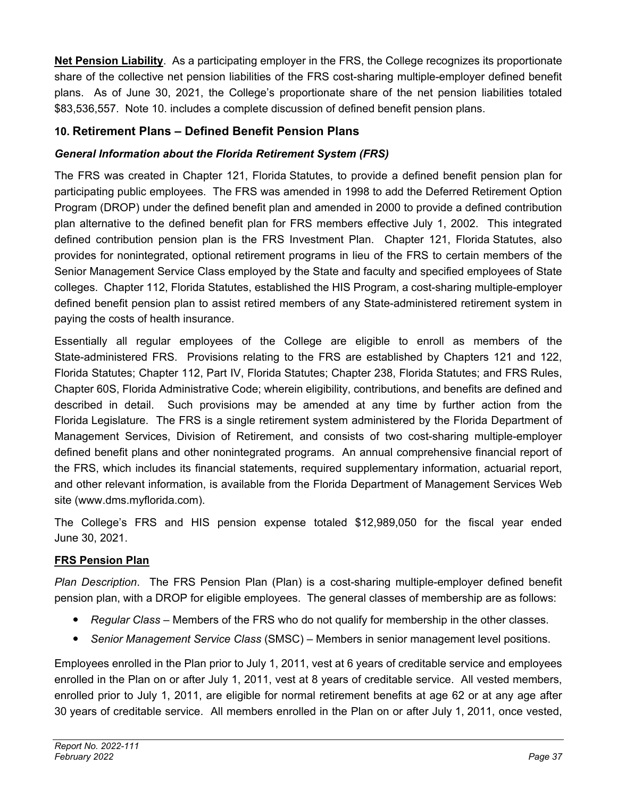**Net Pension Liability**. As a participating employer in the FRS, the College recognizes its proportionate share of the collective net pension liabilities of the FRS cost-sharing multiple-employer defined benefit plans. As of June 30, 2021, the College's proportionate share of the net pension liabilities totaled \$83,536,557. Note 10. includes a complete discussion of defined benefit pension plans.

## **10. Retirement Plans – Defined Benefit Pension Plans**

## *General Information about the Florida Retirement System (FRS)*

The FRS was created in Chapter 121, Florida Statutes, to provide a defined benefit pension plan for participating public employees. The FRS was amended in 1998 to add the Deferred Retirement Option Program (DROP) under the defined benefit plan and amended in 2000 to provide a defined contribution plan alternative to the defined benefit plan for FRS members effective July 1, 2002. This integrated defined contribution pension plan is the FRS Investment Plan. Chapter 121, Florida Statutes, also provides for nonintegrated, optional retirement programs in lieu of the FRS to certain members of the Senior Management Service Class employed by the State and faculty and specified employees of State colleges. Chapter 112, Florida Statutes, established the HIS Program, a cost-sharing multiple-employer defined benefit pension plan to assist retired members of any State-administered retirement system in paying the costs of health insurance.

Essentially all regular employees of the College are eligible to enroll as members of the State-administered FRS. Provisions relating to the FRS are established by Chapters 121 and 122, Florida Statutes; Chapter 112, Part IV, Florida Statutes; Chapter 238, Florida Statutes; and FRS Rules, Chapter 60S, Florida Administrative Code; wherein eligibility, contributions, and benefits are defined and described in detail. Such provisions may be amended at any time by further action from the Florida Legislature. The FRS is a single retirement system administered by the Florida Department of Management Services, Division of Retirement, and consists of two cost-sharing multiple-employer defined benefit plans and other nonintegrated programs. An annual comprehensive financial report of the FRS, which includes its financial statements, required supplementary information, actuarial report, and other relevant information, is available from the Florida Department of Management Services Web site (www.dms.myflorida.com).

The College's FRS and HIS pension expense totaled \$12,989,050 for the fiscal year ended June 30, 2021.

## **FRS Pension Plan**

*Plan Description*. The FRS Pension Plan (Plan) is a cost-sharing multiple-employer defined benefit pension plan, with a DROP for eligible employees. The general classes of membership are as follows:

- *Regular Class* Members of the FRS who do not qualify for membership in the other classes.
- *Senior Management Service Class* (SMSC) Members in senior management level positions.

Employees enrolled in the Plan prior to July 1, 2011, vest at 6 years of creditable service and employees enrolled in the Plan on or after July 1, 2011, vest at 8 years of creditable service. All vested members, enrolled prior to July 1, 2011, are eligible for normal retirement benefits at age 62 or at any age after 30 years of creditable service. All members enrolled in the Plan on or after July 1, 2011, once vested,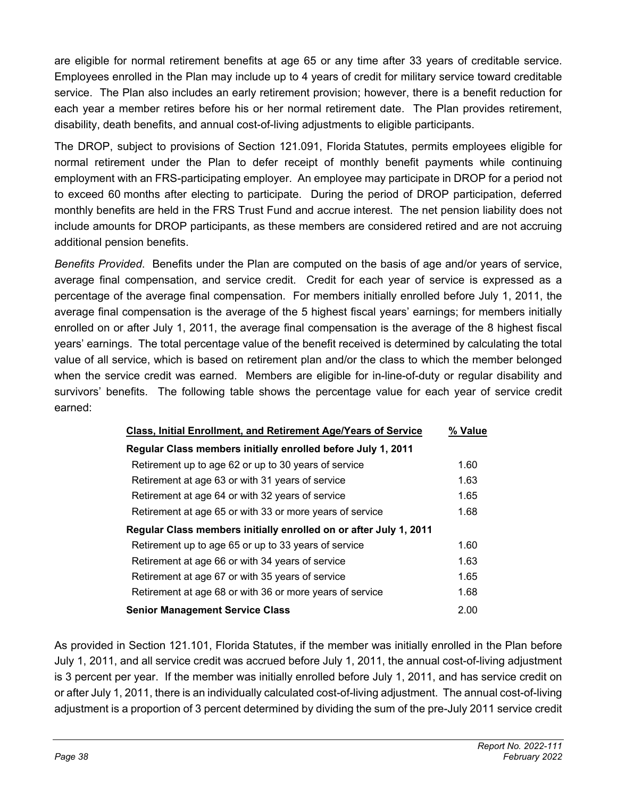are eligible for normal retirement benefits at age 65 or any time after 33 years of creditable service. Employees enrolled in the Plan may include up to 4 years of credit for military service toward creditable service. The Plan also includes an early retirement provision; however, there is a benefit reduction for each year a member retires before his or her normal retirement date. The Plan provides retirement, disability, death benefits, and annual cost-of-living adjustments to eligible participants.

The DROP, subject to provisions of Section 121.091, Florida Statutes, permits employees eligible for normal retirement under the Plan to defer receipt of monthly benefit payments while continuing employment with an FRS-participating employer. An employee may participate in DROP for a period not to exceed 60 months after electing to participate. During the period of DROP participation, deferred monthly benefits are held in the FRS Trust Fund and accrue interest. The net pension liability does not include amounts for DROP participants, as these members are considered retired and are not accruing additional pension benefits.

*Benefits Provided*. Benefits under the Plan are computed on the basis of age and/or years of service, average final compensation, and service credit. Credit for each year of service is expressed as a percentage of the average final compensation. For members initially enrolled before July 1, 2011, the average final compensation is the average of the 5 highest fiscal years' earnings; for members initially enrolled on or after July 1, 2011, the average final compensation is the average of the 8 highest fiscal years' earnings. The total percentage value of the benefit received is determined by calculating the total value of all service, which is based on retirement plan and/or the class to which the member belonged when the service credit was earned. Members are eligible for in-line-of-duty or regular disability and survivors' benefits. The following table shows the percentage value for each year of service credit earned:

| <b>Class, Initial Enrollment, and Retirement Age/Years of Service</b> | % Value |
|-----------------------------------------------------------------------|---------|
| Regular Class members initially enrolled before July 1, 2011          |         |
| Retirement up to age 62 or up to 30 years of service                  | 1.60    |
| Retirement at age 63 or with 31 years of service                      | 1.63    |
| Retirement at age 64 or with 32 years of service                      | 1.65    |
| Retirement at age 65 or with 33 or more years of service              | 1.68    |
| Regular Class members initially enrolled on or after July 1, 2011     |         |
| Retirement up to age 65 or up to 33 years of service                  | 1.60    |
| Retirement at age 66 or with 34 years of service                      | 1.63    |
| Retirement at age 67 or with 35 years of service                      | 1.65    |
| Retirement at age 68 or with 36 or more years of service              | 1.68    |
| <b>Senior Management Service Class</b>                                | 2.00    |

As provided in Section 121.101, Florida Statutes, if the member was initially enrolled in the Plan before July 1, 2011, and all service credit was accrued before July 1, 2011, the annual cost-of-living adjustment is 3 percent per year. If the member was initially enrolled before July 1, 2011, and has service credit on or after July 1, 2011, there is an individually calculated cost-of-living adjustment. The annual cost-of-living adjustment is a proportion of 3 percent determined by dividing the sum of the pre-July 2011 service credit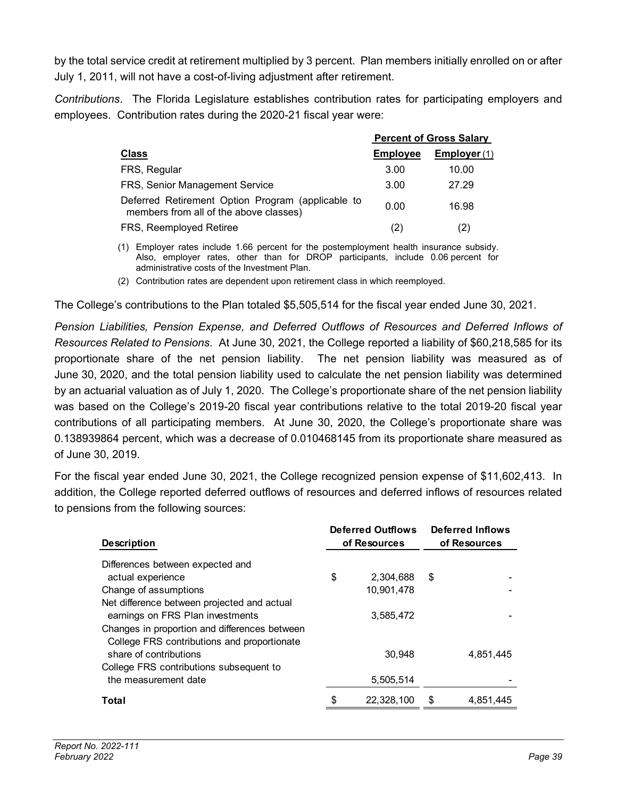by the total service credit at retirement multiplied by 3 percent. Plan members initially enrolled on or after July 1, 2011, will not have a cost-of-living adjustment after retirement.

*Contributions*. The Florida Legislature establishes contribution rates for participating employers and employees. Contribution rates during the 2020-21 fiscal year were:

|                                                                                             | <b>Percent of Gross Salary</b> |                |
|---------------------------------------------------------------------------------------------|--------------------------------|----------------|
| <b>Class</b>                                                                                | <b>Employee</b>                | Employer $(1)$ |
| FRS, Regular                                                                                | 3.00                           | 10.00          |
| FRS, Senior Management Service                                                              | 3.00                           | 27.29          |
| Deferred Retirement Option Program (applicable to<br>members from all of the above classes) | 0.00                           | 16.98          |
| FRS, Reemployed Retiree                                                                     |                                |                |

(1) Employer rates include 1.66 percent for the postemployment health insurance subsidy. Also, employer rates, other than for DROP participants, include 0.06 percent for administrative costs of the Investment Plan.

(2) Contribution rates are dependent upon retirement class in which reemployed.

The College's contributions to the Plan totaled \$5,505,514 for the fiscal year ended June 30, 2021.

*Pension Liabilities, Pension Expense, and Deferred Outflows of Resources and Deferred Inflows of Resources Related to Pensions*. At June 30, 2021, the College reported a liability of \$60,218,585 for its proportionate share of the net pension liability. The net pension liability was measured as of June 30, 2020, and the total pension liability used to calculate the net pension liability was determined by an actuarial valuation as of July 1, 2020. The College's proportionate share of the net pension liability was based on the College's 2019-20 fiscal year contributions relative to the total 2019-20 fiscal year contributions of all participating members. At June 30, 2020, the College's proportionate share was 0.138939864 percent, which was a decrease of 0.010468145 from its proportionate share measured as of June 30, 2019.

For the fiscal year ended June 30, 2021, the College recognized pension expense of \$11,602,413. In addition, the College reported deferred outflows of resources and deferred inflows of resources related to pensions from the following sources:

| <b>Description</b>                            | <b>Deferred Outflows</b><br>of Resources |            | <b>Deferred Inflows</b><br>of Resources |           |
|-----------------------------------------------|------------------------------------------|------------|-----------------------------------------|-----------|
| Differences between expected and              |                                          |            |                                         |           |
| actual experience                             | \$                                       | 2,304,688  | \$                                      |           |
| Change of assumptions                         |                                          | 10,901,478 |                                         |           |
| Net difference between projected and actual   |                                          |            |                                         |           |
| earnings on FRS Plan investments              |                                          | 3,585,472  |                                         |           |
| Changes in proportion and differences between |                                          |            |                                         |           |
| College FRS contributions and proportionate   |                                          |            |                                         |           |
| share of contributions                        |                                          | 30.948     |                                         | 4.851.445 |
| College FRS contributions subsequent to       |                                          |            |                                         |           |
| the measurement date                          |                                          | 5,505,514  |                                         |           |
| Total                                         | \$.                                      | 22,328,100 | \$.                                     | 4,851,445 |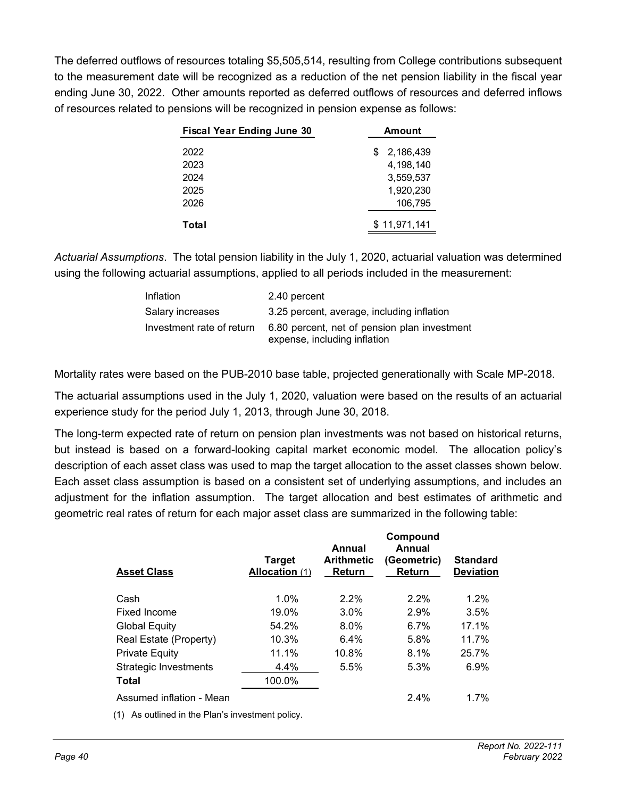The deferred outflows of resources totaling \$5,505,514, resulting from College contributions subsequent to the measurement date will be recognized as a reduction of the net pension liability in the fiscal year ending June 30, 2022. Other amounts reported as deferred outflows of resources and deferred inflows of resources related to pensions will be recognized in pension expense as follows:

| <b>Fiscal Year Ending June 30</b> | <b>Amount</b>    |
|-----------------------------------|------------------|
| 2022                              | 2,186,439<br>\$. |
| 2023                              | 4,198,140        |
| 2024                              | 3,559,537        |
| 2025                              | 1,920,230        |
| 2026                              | 106,795          |
| Total                             | \$11,971,141     |

*Actuarial Assumptions*. The total pension liability in the July 1, 2020, actuarial valuation was determined using the following actuarial assumptions, applied to all periods included in the measurement:

| Inflation                 | 2.40 percent                                                                 |
|---------------------------|------------------------------------------------------------------------------|
| Salary increases          | 3.25 percent, average, including inflation                                   |
| Investment rate of return | 6.80 percent, net of pension plan investment<br>expense, including inflation |

Mortality rates were based on the PUB-2010 base table, projected generationally with Scale MP-2018.

The actuarial assumptions used in the July 1, 2020, valuation were based on the results of an actuarial experience study for the period July 1, 2013, through June 30, 2018.

The long-term expected rate of return on pension plan investments was not based on historical returns, but instead is based on a forward-looking capital market economic model. The allocation policy's description of each asset class was used to map the target allocation to the asset classes shown below. Each asset class assumption is based on a consistent set of underlying assumptions, and includes an adjustment for the inflation assumption. The target allocation and best estimates of arithmetic and geometric real rates of return for each major asset class are summarized in the following table:

| <b>Asset Class</b>           | <b>Target</b><br><b>Allocation</b> (1) | Annual<br><b>Arithmetic</b><br>Return | Compound<br>Annual<br>(Geometric)<br>Return | <b>Standard</b><br><b>Deviation</b> |
|------------------------------|----------------------------------------|---------------------------------------|---------------------------------------------|-------------------------------------|
| Cash                         | 1.0%                                   | $2.2\%$                               | $2.2\%$                                     | $1.2\%$                             |
| Fixed Income                 | 19.0%                                  | $3.0\%$                               | 2.9%                                        | 3.5%                                |
| <b>Global Equity</b>         | 54.2%                                  | $8.0\%$                               | 6.7%                                        | 17.1%                               |
| Real Estate (Property)       | 10.3%                                  | $6.4\%$                               | 5.8%                                        | 11.7%                               |
| <b>Private Equity</b>        | 11.1%                                  | 10.8%                                 | 8.1%                                        | 25.7%                               |
| <b>Strategic Investments</b> | 4.4%                                   | 5.5%                                  | 5.3%                                        | 6.9%                                |
| Total                        | 100.0%                                 |                                       |                                             |                                     |
| Assumed inflation - Mean     |                                        |                                       | 2.4%                                        | 1.7%                                |

(1) As outlined in the Plan's investment policy.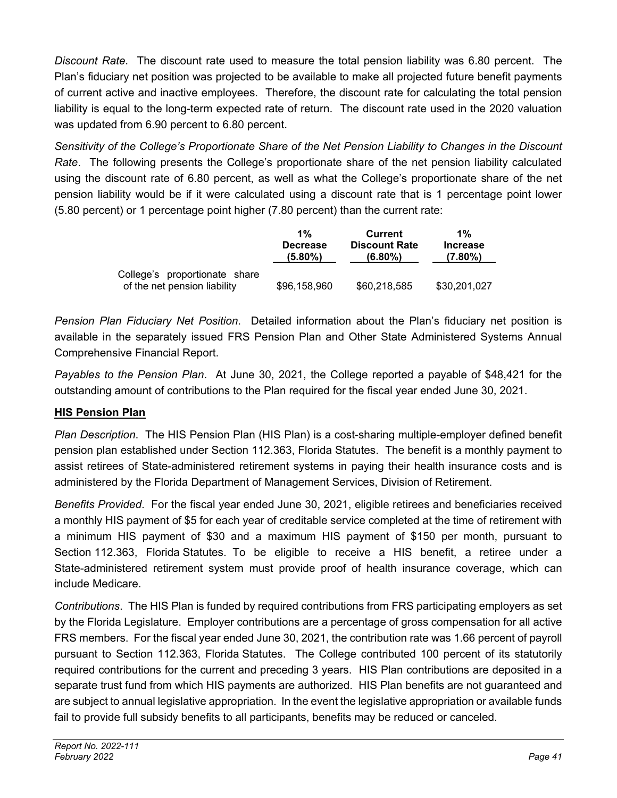*Discount Rate*. The discount rate used to measure the total pension liability was 6.80 percent. The Plan's fiduciary net position was projected to be available to make all projected future benefit payments of current active and inactive employees. Therefore, the discount rate for calculating the total pension liability is equal to the long-term expected rate of return. The discount rate used in the 2020 valuation was updated from 6.90 percent to 6.80 percent.

*Sensitivity of the College's Proportionate Share of the Net Pension Liability to Changes in the Discount Rate*. The following presents the College's proportionate share of the net pension liability calculated using the discount rate of 6.80 percent, as well as what the College's proportionate share of the net pension liability would be if it were calculated using a discount rate that is 1 percentage point lower (5.80 percent) or 1 percentage point higher (7.80 percent) than the current rate:

|                                                               | $1\%$           | Current              | $1\%$           |
|---------------------------------------------------------------|-----------------|----------------------|-----------------|
|                                                               | <b>Decrease</b> | <b>Discount Rate</b> | <b>Increase</b> |
|                                                               | $(5.80\%)$      | $(6.80\%)$           | $(7.80\%)$      |
| College's proportionate share<br>of the net pension liability | \$96,158,960    | \$60,218,585         | \$30,201,027    |

*Pension Plan Fiduciary Net Position*. Detailed information about the Plan's fiduciary net position is available in the separately issued FRS Pension Plan and Other State Administered Systems Annual Comprehensive Financial Report.

*Payables to the Pension Plan*. At June 30, 2021, the College reported a payable of \$48,421 for the outstanding amount of contributions to the Plan required for the fiscal year ended June 30, 2021.

## **HIS Pension Plan**

*Plan Description*. The HIS Pension Plan (HIS Plan) is a cost-sharing multiple-employer defined benefit pension plan established under Section 112.363, Florida Statutes. The benefit is a monthly payment to assist retirees of State-administered retirement systems in paying their health insurance costs and is administered by the Florida Department of Management Services, Division of Retirement.

*Benefits Provided*. For the fiscal year ended June 30, 2021, eligible retirees and beneficiaries received a monthly HIS payment of \$5 for each year of creditable service completed at the time of retirement with a minimum HIS payment of \$30 and a maximum HIS payment of \$150 per month, pursuant to Section 112.363, Florida Statutes. To be eligible to receive a HIS benefit, a retiree under a State-administered retirement system must provide proof of health insurance coverage, which can include Medicare.

*Contributions*. The HIS Plan is funded by required contributions from FRS participating employers as set by the Florida Legislature. Employer contributions are a percentage of gross compensation for all active FRS members. For the fiscal year ended June 30, 2021, the contribution rate was 1.66 percent of payroll pursuant to Section 112.363, Florida Statutes. The College contributed 100 percent of its statutorily required contributions for the current and preceding 3 years. HIS Plan contributions are deposited in a separate trust fund from which HIS payments are authorized. HIS Plan benefits are not guaranteed and are subject to annual legislative appropriation. In the event the legislative appropriation or available funds fail to provide full subsidy benefits to all participants, benefits may be reduced or canceled.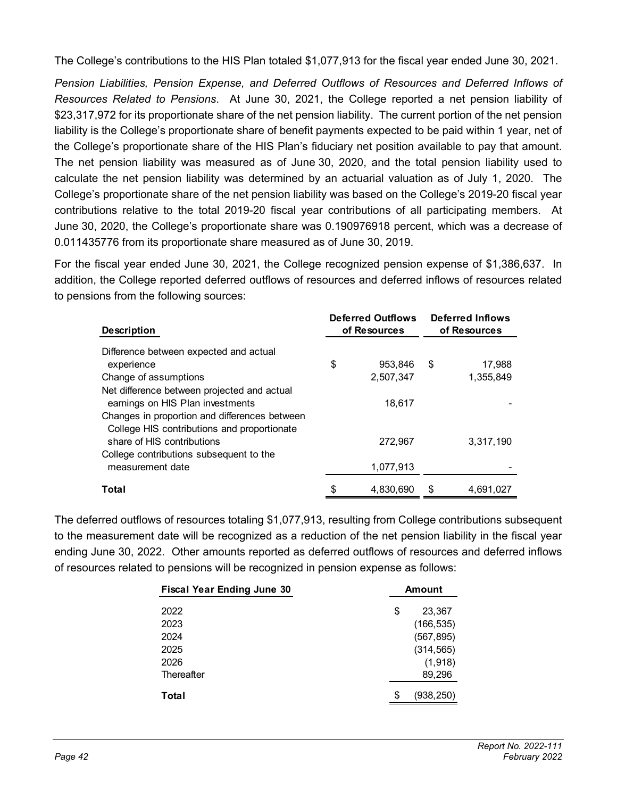The College's contributions to the HIS Plan totaled \$1,077,913 for the fiscal year ended June 30, 2021.

*Pension Liabilities, Pension Expense, and Deferred Outflows of Resources and Deferred Inflows of Resources Related to Pensions*. At June 30, 2021, the College reported a net pension liability of \$23,317,972 for its proportionate share of the net pension liability. The current portion of the net pension liability is the College's proportionate share of benefit payments expected to be paid within 1 year, net of the College's proportionate share of the HIS Plan's fiduciary net position available to pay that amount. The net pension liability was measured as of June 30, 2020, and the total pension liability used to calculate the net pension liability was determined by an actuarial valuation as of July 1, 2020. The College's proportionate share of the net pension liability was based on the College's 2019-20 fiscal year contributions relative to the total 2019-20 fiscal year contributions of all participating members. At June 30, 2020, the College's proportionate share was 0.190976918 percent, which was a decrease of 0.011435776 from its proportionate share measured as of June 30, 2019.

For the fiscal year ended June 30, 2021, the College recognized pension expense of \$1,386,637. In addition, the College reported deferred outflows of resources and deferred inflows of resources related to pensions from the following sources:

| <b>Description</b>                            | <b>Deferred Outflows</b><br>of Resources |           | <b>Deferred Inflows</b><br>of Resources |           |
|-----------------------------------------------|------------------------------------------|-----------|-----------------------------------------|-----------|
| Difference between expected and actual        |                                          |           |                                         |           |
| experience                                    | \$                                       | 953,846   | \$                                      | 17,988    |
| Change of assumptions                         |                                          | 2,507,347 |                                         | 1,355,849 |
| Net difference between projected and actual   |                                          |           |                                         |           |
| earnings on HIS Plan investments              |                                          | 18,617    |                                         |           |
| Changes in proportion and differences between |                                          |           |                                         |           |
| College HIS contributions and proportionate   |                                          |           |                                         |           |
| share of HIS contributions                    |                                          | 272,967   |                                         | 3,317,190 |
| College contributions subsequent to the       |                                          |           |                                         |           |
| measurement date                              |                                          | 1,077,913 |                                         |           |
| Total                                         | \$                                       | 4.830.690 | S                                       | 4.691.027 |

The deferred outflows of resources totaling \$1,077,913, resulting from College contributions subsequent to the measurement date will be recognized as a reduction of the net pension liability in the fiscal year ending June 30, 2022. Other amounts reported as deferred outflows of resources and deferred inflows of resources related to pensions will be recognized in pension expense as follows:

| <b>Fiscal Year Ending June 30</b> |    | <b>Amount</b> |  |
|-----------------------------------|----|---------------|--|
| 2022                              | \$ | 23,367        |  |
| 2023                              |    | (166, 535)    |  |
| 2024                              |    | (567, 895)    |  |
| 2025                              |    | (314, 565)    |  |
| 2026                              |    | (1, 918)      |  |
| Thereafter                        |    | 89,296        |  |
| Total                             | S. | (938, 250)    |  |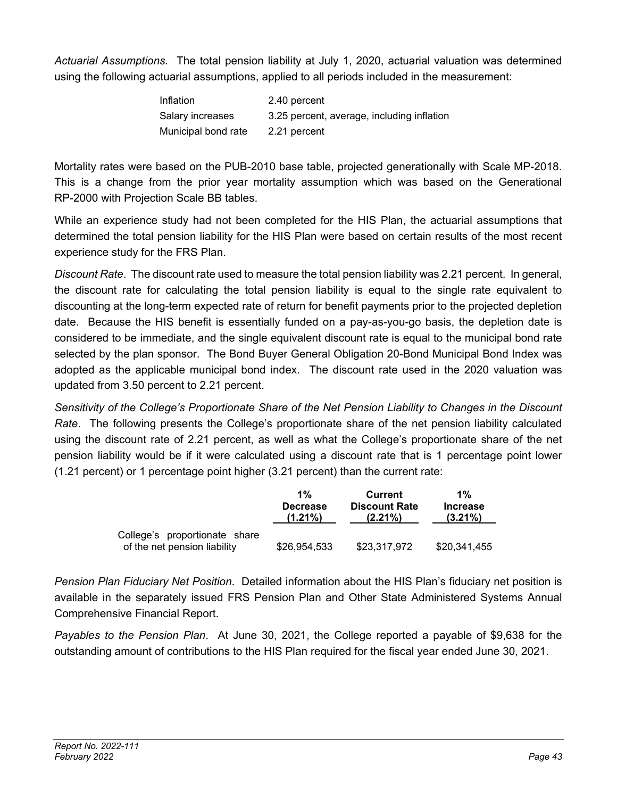*Actuarial Assumptions.* The total pension liability at July 1, 2020, actuarial valuation was determined using the following actuarial assumptions, applied to all periods included in the measurement:

| Inflation           | 2.40 percent                               |
|---------------------|--------------------------------------------|
| Salary increases    | 3.25 percent, average, including inflation |
| Municipal bond rate | 2.21 percent                               |

Mortality rates were based on the PUB-2010 base table, projected generationally with Scale MP-2018. This is a change from the prior year mortality assumption which was based on the Generational RP-2000 with Projection Scale BB tables.

While an experience study had not been completed for the HIS Plan, the actuarial assumptions that determined the total pension liability for the HIS Plan were based on certain results of the most recent experience study for the FRS Plan.

*Discount Rate*. The discount rate used to measure the total pension liability was 2.21 percent. In general, the discount rate for calculating the total pension liability is equal to the single rate equivalent to discounting at the long-term expected rate of return for benefit payments prior to the projected depletion date. Because the HIS benefit is essentially funded on a pay-as-you-go basis, the depletion date is considered to be immediate, and the single equivalent discount rate is equal to the municipal bond rate selected by the plan sponsor. The Bond Buyer General Obligation 20-Bond Municipal Bond Index was adopted as the applicable municipal bond index. The discount rate used in the 2020 valuation was updated from 3.50 percent to 2.21 percent.

*Sensitivity of the College's Proportionate Share of the Net Pension Liability to Changes in the Discount Rate*. The following presents the College's proportionate share of the net pension liability calculated using the discount rate of 2.21 percent, as well as what the College's proportionate share of the net pension liability would be if it were calculated using a discount rate that is 1 percentage point lower (1.21 percent) or 1 percentage point higher (3.21 percent) than the current rate:

|                                                               | 1%              | <b>Current</b>       | 1%              |
|---------------------------------------------------------------|-----------------|----------------------|-----------------|
|                                                               | <b>Decrease</b> | <b>Discount Rate</b> | <b>Increase</b> |
|                                                               | $(1.21\%)$      | $(2.21\%)$           | $(3.21\%)$      |
| College's proportionate share<br>of the net pension liability | \$26,954,533    | \$23,317,972         | \$20,341,455    |

*Pension Plan Fiduciary Net Position*. Detailed information about the HIS Plan's fiduciary net position is available in the separately issued FRS Pension Plan and Other State Administered Systems Annual Comprehensive Financial Report.

*Payables to the Pension Plan*. At June 30, 2021, the College reported a payable of \$9,638 for the outstanding amount of contributions to the HIS Plan required for the fiscal year ended June 30, 2021.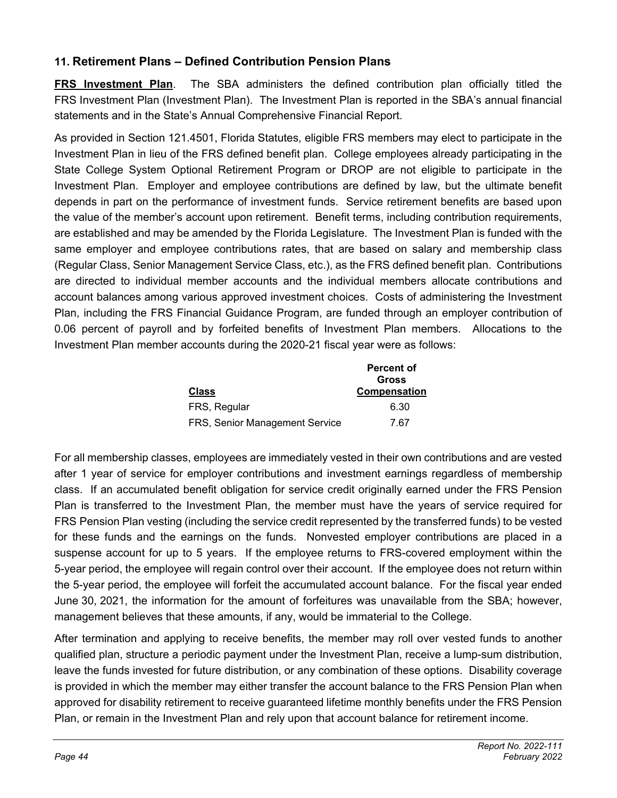## **11. Retirement Plans – Defined Contribution Pension Plans**

**FRS Investment Plan**. The SBA administers the defined contribution plan officially titled the FRS Investment Plan (Investment Plan). The Investment Plan is reported in the SBA's annual financial statements and in the State's Annual Comprehensive Financial Report.

As provided in Section 121.4501, Florida Statutes, eligible FRS members may elect to participate in the Investment Plan in lieu of the FRS defined benefit plan. College employees already participating in the State College System Optional Retirement Program or DROP are not eligible to participate in the Investment Plan. Employer and employee contributions are defined by law, but the ultimate benefit depends in part on the performance of investment funds. Service retirement benefits are based upon the value of the member's account upon retirement. Benefit terms, including contribution requirements, are established and may be amended by the Florida Legislature. The Investment Plan is funded with the same employer and employee contributions rates, that are based on salary and membership class (Regular Class, Senior Management Service Class, etc.), as the FRS defined benefit plan. Contributions are directed to individual member accounts and the individual members allocate contributions and account balances among various approved investment choices. Costs of administering the Investment Plan, including the FRS Financial Guidance Program, are funded through an employer contribution of 0.06 percent of payroll and by forfeited benefits of Investment Plan members. Allocations to the Investment Plan member accounts during the 2020-21 fiscal year were as follows:

|                                       | <b>Percent of</b> |  |
|---------------------------------------|-------------------|--|
|                                       | Gross             |  |
| Class                                 | Compensation      |  |
| FRS, Regular                          | 6.30              |  |
| <b>FRS, Senior Management Service</b> | 767               |  |

For all membership classes, employees are immediately vested in their own contributions and are vested after 1 year of service for employer contributions and investment earnings regardless of membership class. If an accumulated benefit obligation for service credit originally earned under the FRS Pension Plan is transferred to the Investment Plan, the member must have the years of service required for FRS Pension Plan vesting (including the service credit represented by the transferred funds) to be vested for these funds and the earnings on the funds. Nonvested employer contributions are placed in a suspense account for up to 5 years. If the employee returns to FRS-covered employment within the 5-year period, the employee will regain control over their account. If the employee does not return within the 5-year period, the employee will forfeit the accumulated account balance. For the fiscal year ended June 30, 2021, the information for the amount of forfeitures was unavailable from the SBA; however, management believes that these amounts, if any, would be immaterial to the College.

After termination and applying to receive benefits, the member may roll over vested funds to another qualified plan, structure a periodic payment under the Investment Plan, receive a lump-sum distribution, leave the funds invested for future distribution, or any combination of these options. Disability coverage is provided in which the member may either transfer the account balance to the FRS Pension Plan when approved for disability retirement to receive guaranteed lifetime monthly benefits under the FRS Pension Plan, or remain in the Investment Plan and rely upon that account balance for retirement income.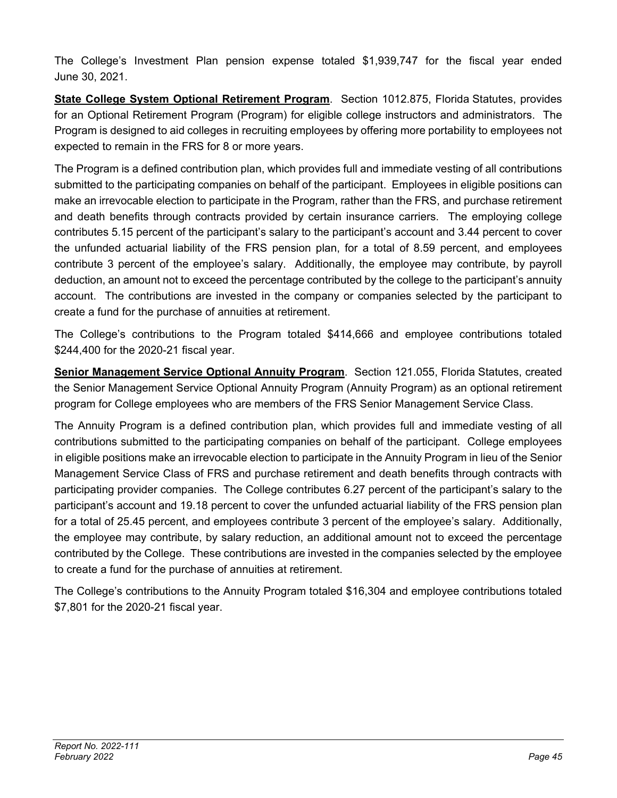The College's Investment Plan pension expense totaled \$1,939,747 for the fiscal year ended June 30, 2021.

**State College System Optional Retirement Program**. Section 1012.875, Florida Statutes, provides for an Optional Retirement Program (Program) for eligible college instructors and administrators. The Program is designed to aid colleges in recruiting employees by offering more portability to employees not expected to remain in the FRS for 8 or more years.

The Program is a defined contribution plan, which provides full and immediate vesting of all contributions submitted to the participating companies on behalf of the participant. Employees in eligible positions can make an irrevocable election to participate in the Program, rather than the FRS, and purchase retirement and death benefits through contracts provided by certain insurance carriers. The employing college contributes 5.15 percent of the participant's salary to the participant's account and 3.44 percent to cover the unfunded actuarial liability of the FRS pension plan, for a total of 8.59 percent, and employees contribute 3 percent of the employee's salary. Additionally, the employee may contribute, by payroll deduction, an amount not to exceed the percentage contributed by the college to the participant's annuity account. The contributions are invested in the company or companies selected by the participant to create a fund for the purchase of annuities at retirement.

The College's contributions to the Program totaled \$414,666 and employee contributions totaled \$244,400 for the 2020-21 fiscal year.

**Senior Management Service Optional Annuity Program**. Section 121.055, Florida Statutes, created the Senior Management Service Optional Annuity Program (Annuity Program) as an optional retirement program for College employees who are members of the FRS Senior Management Service Class.

The Annuity Program is a defined contribution plan, which provides full and immediate vesting of all contributions submitted to the participating companies on behalf of the participant. College employees in eligible positions make an irrevocable election to participate in the Annuity Program in lieu of the Senior Management Service Class of FRS and purchase retirement and death benefits through contracts with participating provider companies. The College contributes 6.27 percent of the participant's salary to the participant's account and 19.18 percent to cover the unfunded actuarial liability of the FRS pension plan for a total of 25.45 percent, and employees contribute 3 percent of the employee's salary. Additionally, the employee may contribute, by salary reduction, an additional amount not to exceed the percentage contributed by the College. These contributions are invested in the companies selected by the employee to create a fund for the purchase of annuities at retirement.

The College's contributions to the Annuity Program totaled \$16,304 and employee contributions totaled \$7,801 for the 2020-21 fiscal year.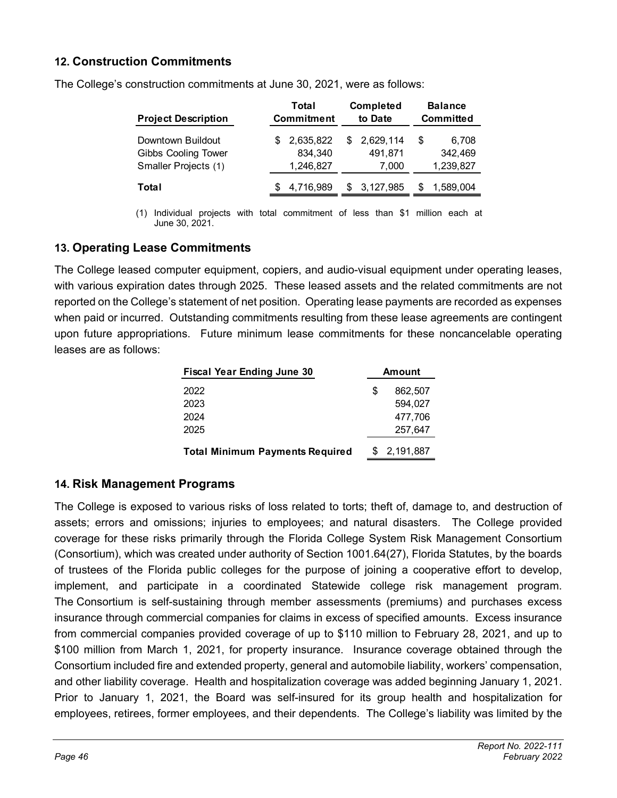## **12. Construction Commitments**

| <b>Project Description</b>                                              |   | Total<br><b>Commitment</b>        |   | <b>Completed</b><br>to Date   |    | <b>Balance</b><br><b>Committed</b> |
|-------------------------------------------------------------------------|---|-----------------------------------|---|-------------------------------|----|------------------------------------|
| Downtown Buildout<br><b>Gibbs Cooling Tower</b><br>Smaller Projects (1) | S | 2.635.822<br>834.340<br>1,246,827 | S | 2,629,114<br>491.871<br>7,000 | S  | 6,708<br>342.469<br>1,239,827      |
| Total                                                                   |   | 4,716,989                         | S | 3,127,985                     | \$ | 1,589,004                          |

The College's construction commitments at June 30, 2021, were as follows:

(1) Individual projects with total commitment of less than \$1 million each at June 30, 2021.

## **13. Operating Lease Commitments**

The College leased computer equipment, copiers, and audio-visual equipment under operating leases, with various expiration dates through 2025. These leased assets and the related commitments are not reported on the College's statement of net position. Operating lease payments are recorded as expenses when paid or incurred. Outstanding commitments resulting from these lease agreements are contingent upon future appropriations. Future minimum lease commitments for these noncancelable operating leases are as follows:

| <b>Fiscal Year Ending June 30</b>      |   | Amount    |  |  |
|----------------------------------------|---|-----------|--|--|
| 2022                                   | S | 862,507   |  |  |
| 2023                                   |   | 594.027   |  |  |
| 2024                                   |   | 477,706   |  |  |
| 2025                                   |   | 257,647   |  |  |
| <b>Total Minimum Payments Required</b> |   | 2,191,887 |  |  |

## **14. Risk Management Programs**

The College is exposed to various risks of loss related to torts; theft of, damage to, and destruction of assets; errors and omissions; injuries to employees; and natural disasters. The College provided coverage for these risks primarily through the Florida College System Risk Management Consortium (Consortium), which was created under authority of Section 1001.64(27), Florida Statutes, by the boards of trustees of the Florida public colleges for the purpose of joining a cooperative effort to develop, implement, and participate in a coordinated Statewide college risk management program. The Consortium is self-sustaining through member assessments (premiums) and purchases excess insurance through commercial companies for claims in excess of specified amounts. Excess insurance from commercial companies provided coverage of up to \$110 million to February 28, 2021, and up to \$100 million from March 1, 2021, for property insurance. Insurance coverage obtained through the Consortium included fire and extended property, general and automobile liability, workers' compensation, and other liability coverage. Health and hospitalization coverage was added beginning January 1, 2021. Prior to January 1, 2021, the Board was self-insured for its group health and hospitalization for employees, retirees, former employees, and their dependents. The College's liability was limited by the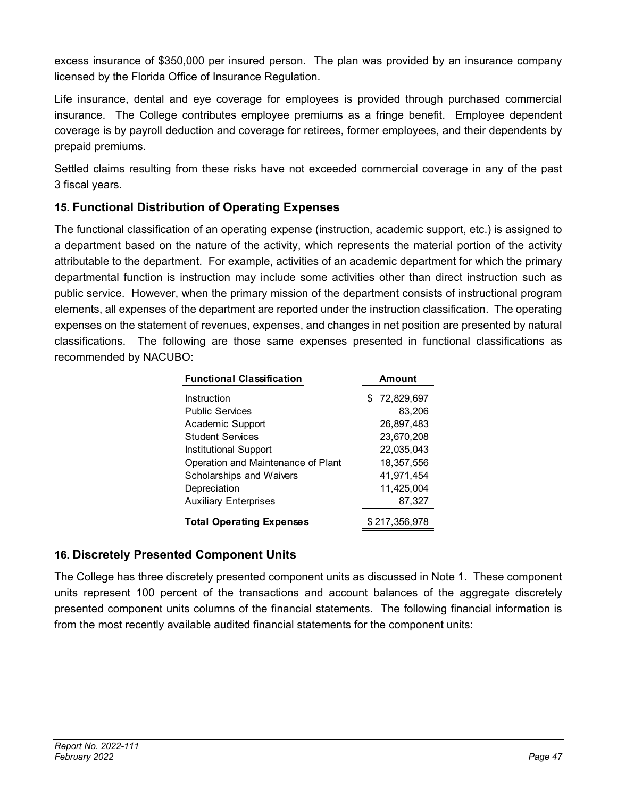excess insurance of \$350,000 per insured person. The plan was provided by an insurance company licensed by the Florida Office of Insurance Regulation.

Life insurance, dental and eye coverage for employees is provided through purchased commercial insurance. The College contributes employee premiums as a fringe benefit. Employee dependent coverage is by payroll deduction and coverage for retirees, former employees, and their dependents by prepaid premiums.

Settled claims resulting from these risks have not exceeded commercial coverage in any of the past 3 fiscal years.

## **15. Functional Distribution of Operating Expenses**

The functional classification of an operating expense (instruction, academic support, etc.) is assigned to a department based on the nature of the activity, which represents the material portion of the activity attributable to the department. For example, activities of an academic department for which the primary departmental function is instruction may include some activities other than direct instruction such as public service. However, when the primary mission of the department consists of instructional program elements, all expenses of the department are reported under the instruction classification. The operating expenses on the statement of revenues, expenses, and changes in net position are presented by natural classifications. The following are those same expenses presented in functional classifications as recommended by NACUBO:

| <b>Functional Classification</b>   |   | Amount        |
|------------------------------------|---|---------------|
| Instruction                        | S | 72,829,697    |
| <b>Public Services</b>             |   | 83,206        |
| Academic Support                   |   | 26,897,483    |
| <b>Student Services</b>            |   | 23,670,208    |
| Institutional Support              |   | 22.035.043    |
| Operation and Maintenance of Plant |   | 18,357,556    |
| Scholarships and Waivers           |   | 41,971,454    |
| Depreciation                       |   | 11,425,004    |
| <b>Auxiliary Enterprises</b>       |   | 87,327        |
| <b>Total Operating Expenses</b>    |   | \$217,356,978 |

## **16. Discretely Presented Component Units**

The College has three discretely presented component units as discussed in Note 1. These component units represent 100 percent of the transactions and account balances of the aggregate discretely presented component units columns of the financial statements. The following financial information is from the most recently available audited financial statements for the component units: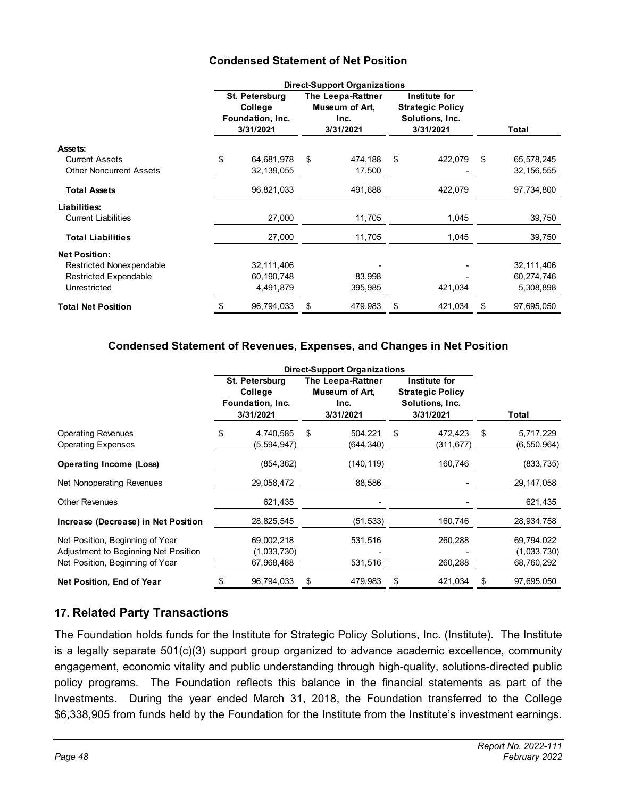### **Condensed Statement of Net Position**

|                                |    | St. Petersburg<br>College<br>Foundation, Inc.<br>3/31/2021 |    | The Leepa-Rattner<br>Museum of Art.<br>Inc.<br>3/31/2021 | Institute for<br><b>Strategic Policy</b><br>Solutions, Inc.<br>3/31/2021 | Total            |
|--------------------------------|----|------------------------------------------------------------|----|----------------------------------------------------------|--------------------------------------------------------------------------|------------------|
| Assets:                        |    |                                                            |    |                                                          |                                                                          |                  |
| <b>Current Assets</b>          | \$ | 64,681,978                                                 | \$ | 474,188                                                  | \$<br>422,079                                                            | \$<br>65,578,245 |
| <b>Other Noncurrent Assets</b> |    | 32,139,055                                                 |    | 17,500                                                   |                                                                          | 32, 156, 555     |
| <b>Total Assets</b>            |    | 96,821,033                                                 |    | 491,688                                                  | 422,079                                                                  | 97,734,800       |
| Liabilities:                   |    |                                                            |    |                                                          |                                                                          |                  |
| <b>Current Liabilities</b>     |    | 27,000                                                     |    | 11,705                                                   | 1,045                                                                    | 39,750           |
| <b>Total Liabilities</b>       |    | 27,000                                                     |    | 11,705                                                   | 1,045                                                                    | 39,750           |
| <b>Net Position:</b>           |    |                                                            |    |                                                          |                                                                          |                  |
| Restricted Nonexpendable       |    | 32,111,406                                                 |    |                                                          |                                                                          | 32,111,406       |
| <b>Restricted Expendable</b>   |    | 60,190,748                                                 |    | 83,998                                                   |                                                                          | 60,274,746       |
| Unrestricted                   |    | 4,491,879                                                  |    | 395,985                                                  | 421,034                                                                  | 5,308,898        |
| <b>Total Net Position</b>      | \$ | 96.794,033                                                 | \$ | 479,983                                                  | \$<br>421,034                                                            | \$<br>97,695,050 |

#### **Condensed Statement of Revenues, Expenses, and Changes in Net Position**

|                                      |                                                            | <b>Direct-Support Organizations</b> |                                                          |                                                                          |    |               |
|--------------------------------------|------------------------------------------------------------|-------------------------------------|----------------------------------------------------------|--------------------------------------------------------------------------|----|---------------|
|                                      | St. Petersburg<br>College<br>Foundation, Inc.<br>3/31/2021 |                                     | The Leepa-Rattner<br>Museum of Art.<br>Inc.<br>3/31/2021 | Institute for<br><b>Strategic Policy</b><br>Solutions, Inc.<br>3/31/2021 |    | Total         |
| <b>Operating Revenues</b>            | \$                                                         | 4,740,585                           | \$<br>504,221                                            | \$<br>472,423                                                            | \$ | 5,717,229     |
| <b>Operating Expenses</b>            |                                                            | (5,594,947)                         | (644, 340)                                               | (311,677)                                                                |    | (6, 550, 964) |
| <b>Operating Income (Loss)</b>       |                                                            | (854, 362)                          | (140,119)                                                | 160,746                                                                  |    | (833, 735)    |
| Net Nonoperating Revenues            |                                                            | 29,058,472                          | 88,586                                                   |                                                                          |    | 29, 147, 058  |
| <b>Other Revenues</b>                |                                                            | 621,435                             |                                                          |                                                                          |    | 621,435       |
| Increase (Decrease) in Net Position  |                                                            | 28,825,545                          | (51, 533)                                                | 160,746                                                                  |    | 28,934,758    |
| Net Position, Beginning of Year      |                                                            | 69,002,218                          | 531,516                                                  | 260,288                                                                  |    | 69,794,022    |
| Adjustment to Beginning Net Position |                                                            | (1,033,730)                         |                                                          |                                                                          |    | (1,033,730)   |
| Net Position, Beginning of Year      |                                                            | 67,968,488                          | 531,516                                                  | 260,288                                                                  |    | 68,760,292    |
| Net Position, End of Year            |                                                            | 96,794,033                          | \$<br>479,983                                            | \$<br>421,034                                                            | S  | 97,695,050    |

## **17. Related Party Transactions**

The Foundation holds funds for the Institute for Strategic Policy Solutions, Inc. (Institute). The Institute is a legally separate 501(c)(3) support group organized to advance academic excellence, community engagement, economic vitality and public understanding through high-quality, solutions-directed public policy programs. The Foundation reflects this balance in the financial statements as part of the Investments. During the year ended March 31, 2018, the Foundation transferred to the College \$6,338,905 from funds held by the Foundation for the Institute from the Institute's investment earnings.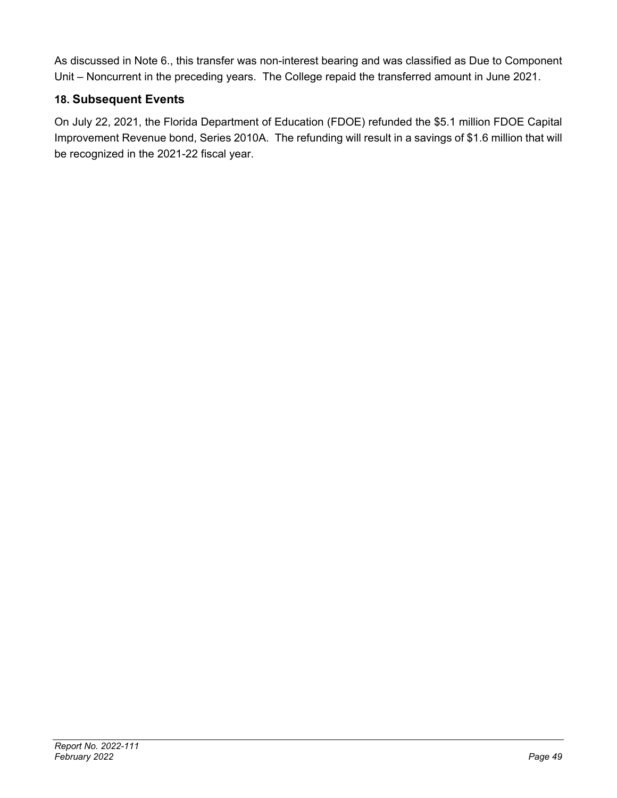As discussed in Note 6., this transfer was non-interest bearing and was classified as Due to Component Unit – Noncurrent in the preceding years. The College repaid the transferred amount in June 2021.

## **18. Subsequent Events**

On July 22, 2021, the Florida Department of Education (FDOE) refunded the \$5.1 million FDOE Capital Improvement Revenue bond, Series 2010A. The refunding will result in a savings of \$1.6 million that will be recognized in the 2021-22 fiscal year.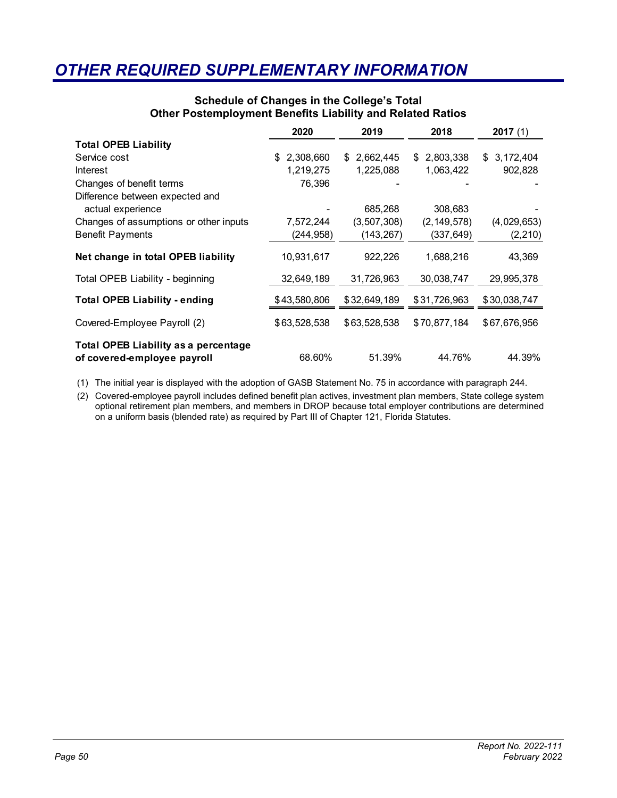## <span id="page-53-0"></span>*OTHER REQUIRED SUPPLEMENTARY INFORMATION*

|                                                                            | 2020            | 2019             | 2018            | 2017(1)      |
|----------------------------------------------------------------------------|-----------------|------------------|-----------------|--------------|
| <b>Total OPEB Liability</b>                                                |                 |                  |                 |              |
| Service cost                                                               | 2,308,660<br>\$ | 2,662,445<br>\$. | 2,803,338<br>\$ | \$3,172,404  |
| <b>Interest</b>                                                            | 1,219,275       | 1,225,088        | 1,063,422       | 902,828      |
| Changes of benefit terms                                                   | 76,396          |                  |                 |              |
| Difference between expected and                                            |                 |                  |                 |              |
| actual experience                                                          |                 | 685,268          | 308,683         |              |
| Changes of assumptions or other inputs                                     | 7,572,244       | (3,507,308)      | (2, 149, 578)   | (4,029,653)  |
| <b>Benefit Payments</b>                                                    | (244, 958)      | (143, 267)       | (337, 649)      | (2, 210)     |
| Net change in total OPEB liability                                         | 10,931,617      | 922,226          | 1,688,216       | 43,369       |
| Total OPEB Liability - beginning                                           | 32,649,189      | 31,726,963       | 30,038,747      | 29,995,378   |
| <b>Total OPEB Liability - ending</b>                                       | \$43,580,806    | \$32,649,189     | \$31,726,963    | \$30,038,747 |
| Covered-Employee Payroll (2)                                               | \$63,528,538    | \$63,528,538     | \$70,877,184    | \$67,676,956 |
| <b>Total OPEB Liability as a percentage</b><br>of covered-employee payroll | 68.60%          | 51.39%           | 44.76%          | 44.39%       |

#### **Schedule of Changes in the College's Total Other Postemployment Benefits Liability and Related Ratios**

(1) The initial year is displayed with the adoption of GASB Statement No. 75 in accordance with paragraph 244.

(2) Covered-employee payroll includes defined benefit plan actives, investment plan members, State college system optional retirement plan members, and members in DROP because total employer contributions are determined on a uniform basis (blended rate) as required by Part III of Chapter 121, Florida Statutes.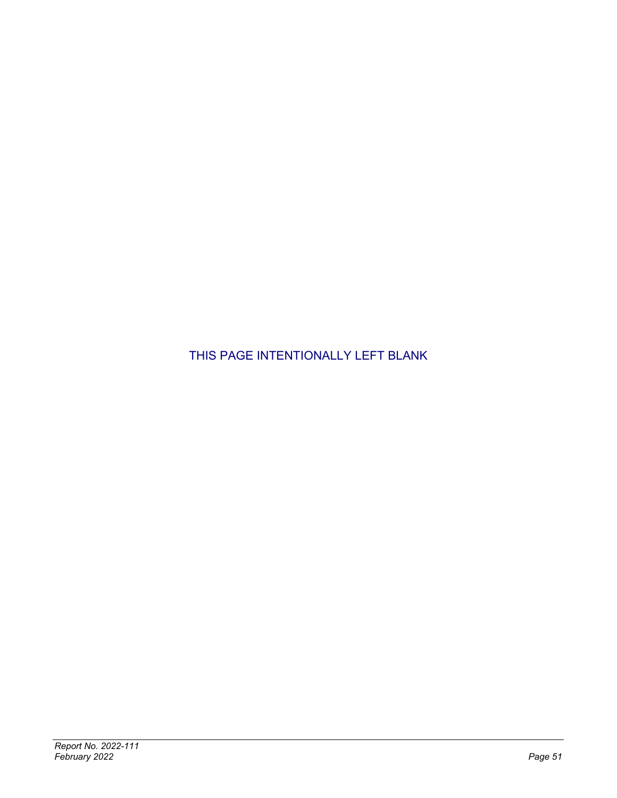THIS PAGE INTENTIONALLY LEFT BLANK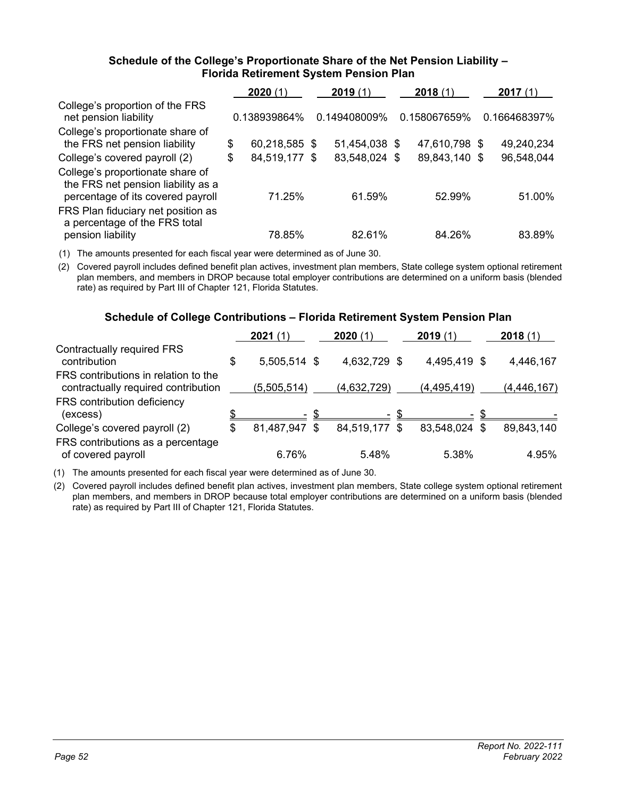#### **Schedule of the College's Proportionate Share of the Net Pension Liability – Florida Retirement System Pension Plan**

<span id="page-55-0"></span>

|                                                                                                             | 2020(1)             | 2019(1)       | 2018(1)       | 2017(1)      |
|-------------------------------------------------------------------------------------------------------------|---------------------|---------------|---------------|--------------|
| College's proportion of the FRS<br>net pension liability<br>College's proportionate share of                | 0.138939864%        | 0.149408009%  | 0.158067659%  | 0.166468397% |
| the FRS net pension liability                                                                               | \$<br>60,218,585 \$ | 51,454,038 \$ | 47,610,798 \$ | 49,240,234   |
| College's covered payroll (2)                                                                               | \$<br>84,519,177 \$ | 83,548,024 \$ | 89,843,140 \$ | 96,548,044   |
| College's proportionate share of<br>the FRS net pension liability as a<br>percentage of its covered payroll | 71.25%              | 61.59%        | 52.99%        | 51.00%       |
| FRS Plan fiduciary net position as<br>a percentage of the FRS total<br>pension liability                    | 78.85%              | 82.61%        | 84.26%        | 83.89%       |

(1) The amounts presented for each fiscal year were determined as of June 30.

(2) Covered payroll includes defined benefit plan actives, investment plan members, State college system optional retirement plan members, and members in DROP because total employer contributions are determined on a uniform basis (blended rate) as required by Part III of Chapter 121, Florida Statutes.

#### **Schedule of College Contributions – Florida Retirement System Pension Plan**

|                                                                             | 2021(1)             | 2020(1)                  | 2019(1)      |     | 2018(1)       |
|-----------------------------------------------------------------------------|---------------------|--------------------------|--------------|-----|---------------|
| Contractually required FRS<br>contribution                                  | \$<br>5,505,514 \$  | 4,632,729 \$             | 4,495,419 \$ |     | 4,446,167     |
| FRS contributions in relation to the<br>contractually required contribution | (5, 505, 514)       | (4,632,729)              | (4,495,419)  |     | (4, 446, 167) |
| FRS contribution deficiency<br>(excess)                                     |                     | $\overline{\phantom{0}}$ |              |     |               |
| College's covered payroll (2)                                               | \$<br>81,487,947 \$ | 84,519,177 \$            | 83,548,024   | \$. | 89,843,140    |
| FRS contributions as a percentage<br>of covered payroll                     | 6.76%               | 5.48%                    | 5.38%        |     | 4.95%         |

(1) The amounts presented for each fiscal year were determined as of June 30.

(2) Covered payroll includes defined benefit plan actives, investment plan members, State college system optional retirement plan members, and members in DROP because total employer contributions are determined on a uniform basis (blended rate) as required by Part III of Chapter 121, Florida Statutes.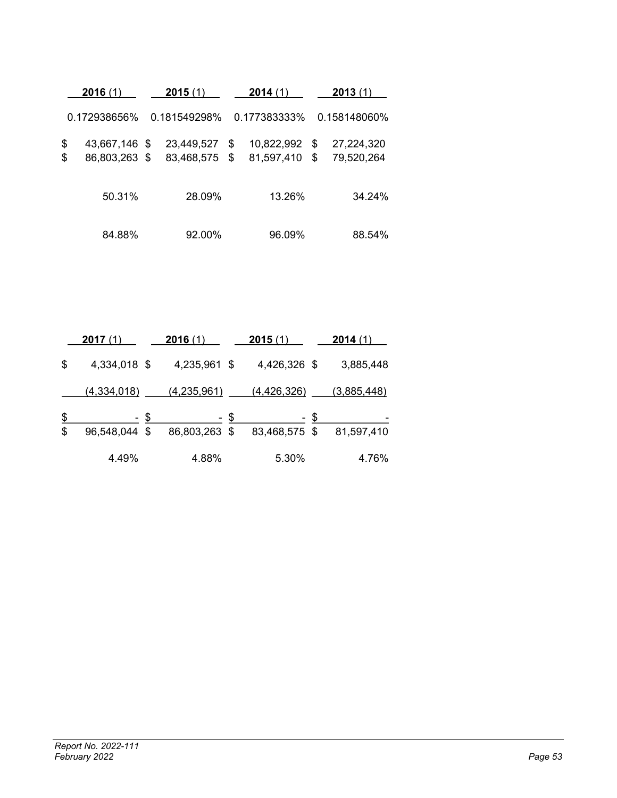|          | 2016(1)                        | 2015(1)                  |          | 2014(1)                  |          | 2013 (1)                 |
|----------|--------------------------------|--------------------------|----------|--------------------------|----------|--------------------------|
|          | 0.172938656%                   | 0.181549298%             |          | 0.177383333%             |          | 0.158148060%             |
| \$<br>\$ | 43,667,146 \$<br>86,803,263 \$ | 23,449,527<br>83,468,575 | \$<br>\$ | 10,822,992<br>81,597,410 | \$<br>\$ | 27,224,320<br>79,520,264 |
|          | 50.31%                         | 28.09%                   |          | 13.26%                   |          | 34.24%                   |
|          | 84.88%                         | 92.00%                   |          | 96.09%                   |          | 88.54%                   |

| 2017(1)             | 2016(1)       | 2015(1)       | 2014(1)     |
|---------------------|---------------|---------------|-------------|
| \$<br>4,334,018 \$  | 4,235,961 \$  | 4,426,326 \$  | 3,885,448   |
| (4,334,018)         | (4,235,961)   | (4,426,326)   | (3,885,448) |
|                     |               |               |             |
| \$<br>96,548,044 \$ | 86,803,263 \$ | 83,468,575 \$ | 81,597,410  |
| 4.49%               | 4.88%         | 5.30%         | 4.76%       |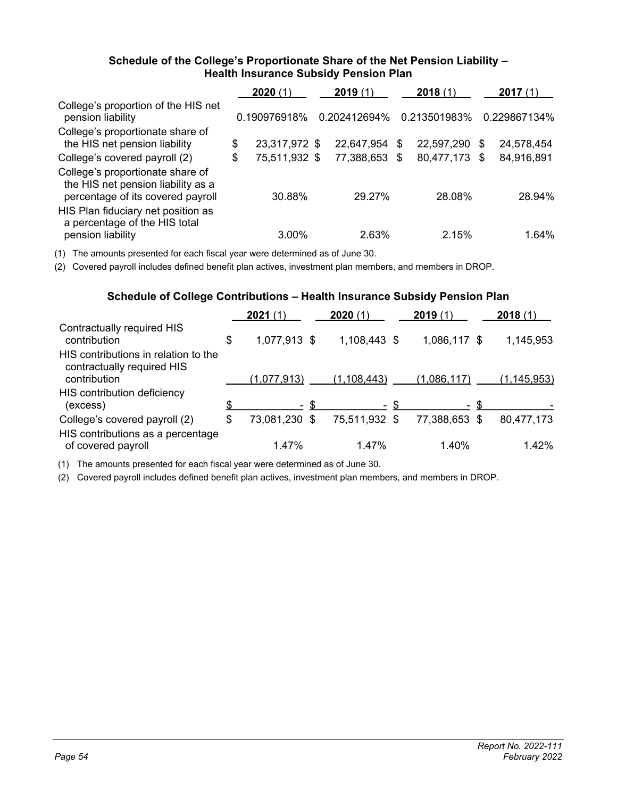#### **Schedule of the College's Proportionate Share of the Net Pension Liability – Health Insurance Subsidy Pension Plan**

<span id="page-57-0"></span>

|                                                                                                             | 2020(1)             | 2019(1)      |   | 2018(1)      |   | 2017(1)      |
|-------------------------------------------------------------------------------------------------------------|---------------------|--------------|---|--------------|---|--------------|
| College's proportion of the HIS net<br>pension liability<br>College's proportionate share of                | 0.190976918%        | 0.202412694% |   | 0.213501983% |   | 0.229867134% |
| the HIS net pension liability                                                                               | \$<br>23,317,972 \$ | 22,647,954   | S | 22,597,290   | S | 24,578,454   |
| College's covered payroll (2)                                                                               | \$<br>75,511,932 \$ | 77,388,653   | S | 80,477,173   | S | 84,916,891   |
| College's proportionate share of<br>the HIS net pension liability as a<br>percentage of its covered payroll | 30.88%              | 29.27%       |   | 28.08%       |   | 28.94%       |
| HIS Plan fiduciary net position as<br>a percentage of the HIS total<br>pension liability                    | $3.00\%$            | 2.63%        |   | 2.15%        |   | 1.64%        |

(1) The amounts presented for each fiscal year were determined as of June 30.

(2) Covered payroll includes defined benefit plan actives, investment plan members, and members in DROP.

#### **Schedule of College Contributions – Health Insurance Subsidy Pension Plan**

|                                                                    | 2021(1)             | 2020(1)       | 2019(1)       | 2018(1)     |
|--------------------------------------------------------------------|---------------------|---------------|---------------|-------------|
| Contractually required HIS<br>contribution                         | \$<br>1,077,913 \$  | 1,108,443 \$  | 1,086,117 \$  | 1,145,953   |
| HIS contributions in relation to the<br>contractually required HIS |                     |               |               |             |
| contribution                                                       | (1,077,913)         | (1, 108, 443) | (1,086,117)   | (1,145,953) |
| HIS contribution deficiency                                        |                     |               |               |             |
| (excess)                                                           |                     |               |               |             |
| College's covered payroll (2)                                      | \$<br>73,081,230 \$ | 75,511,932 \$ | 77,388,653 \$ | 80,477,173  |
| HIS contributions as a percentage<br>of covered payroll            | 1.47%               | 1.47%         | 1.40%         | 1.42%       |

(1) The amounts presented for each fiscal year were determined as of June 30.

(2) Covered payroll includes defined benefit plan actives, investment plan members, and members in DROP.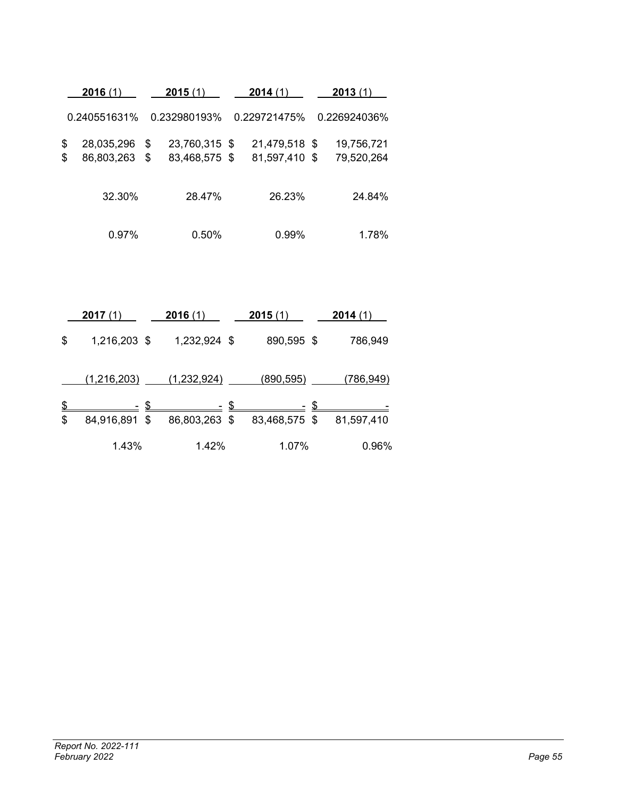|          | 2016(1)                  |         | 2015(1)                        | 2014(1)                        | 2013 (1                  |
|----------|--------------------------|---------|--------------------------------|--------------------------------|--------------------------|
|          | 0.240551631%             |         | 0.232980193%                   | 0.229721475%                   | 0.226924036%             |
| \$<br>\$ | 28,035,296<br>86,803,263 | S<br>\$ | 23,760,315 \$<br>83,468,575 \$ | 21,479,518 \$<br>81,597,410 \$ | 19,756,721<br>79,520,264 |
|          | 32.30%                   |         | 28.47%                         | 26.23%                         | 24.84%                   |
|          | 0.97%                    |         | 0.50%                          | 0.99%                          | 1.78%                    |

| 2017(1)            | 2016(1)             |      | 2015(1)       | 2014(1)    |
|--------------------|---------------------|------|---------------|------------|
| \$<br>1,216,203 \$ | 1,232,924 \$        |      | 890,595 \$    | 786,949    |
| (1,216,203)        | (1,232,924)         |      | (890, 595)    | (786,949)  |
|                    |                     | - \$ |               |            |
| \$<br>84,916,891   | \$<br>86,803,263 \$ |      | 83,468,575 \$ | 81,597,410 |
| 1.43%              | 1.42%               |      | 1.07%         | 0.96%      |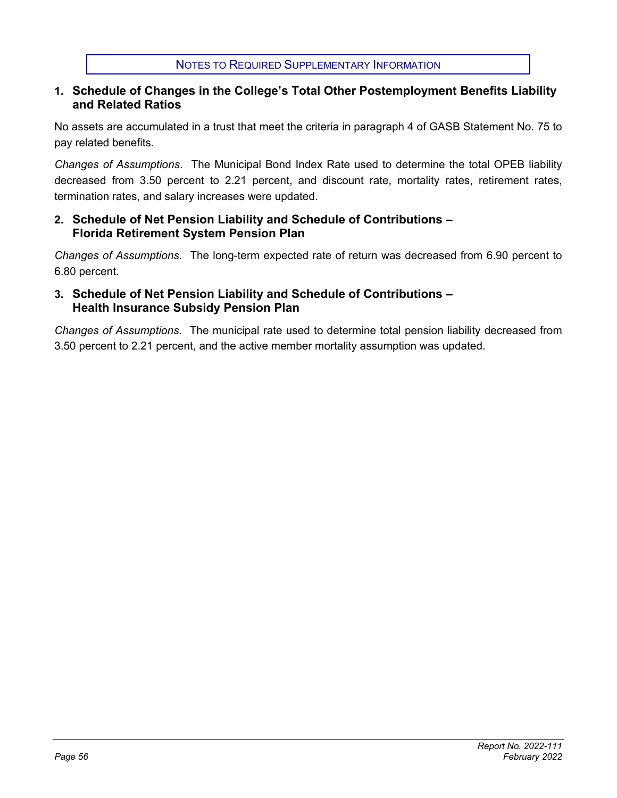## <span id="page-59-0"></span>**1. Schedule of Changes in the College's Total Other Postemployment Benefits Liability and Related Ratios**

No assets are accumulated in a trust that meet the criteria in paragraph 4 of GASB Statement No. 75 to pay related benefits.

*Changes of Assumptions*. The Municipal Bond Index Rate used to determine the total OPEB liability decreased from 3.50 percent to 2.21 percent, and discount rate, mortality rates, retirement rates, termination rates, and salary increases were updated.

## **2. Schedule of Net Pension Liability and Schedule of Contributions – Florida Retirement System Pension Plan**

*Changes of Assumptions.* The long-term expected rate of return was decreased from 6.90 percent to 6.80 percent.

## **3. Schedule of Net Pension Liability and Schedule of Contributions – Health Insurance Subsidy Pension Plan**

*Changes of Assumptions.* The municipal rate used to determine total pension liability decreased from 3.50 percent to 2.21 percent, and the active member mortality assumption was updated.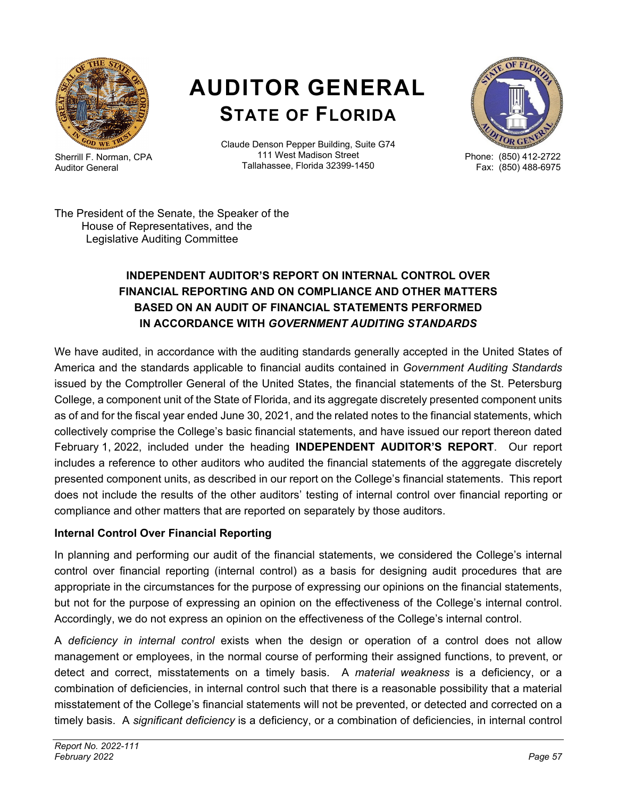<span id="page-60-0"></span>

Sherrill F. Norman, CPA Auditor General

# **AUDITOR GENERAL STATE OF FLORIDA**

Claude Denson Pepper Building, Suite G74 111 West Madison Street Tallahassee, Florida 32399-1450



Phone: (850) 412-2722 Fax: (850) 488-6975

The President of the Senate, the Speaker of the House of Representatives, and the Legislative Auditing Committee

## **INDEPENDENT AUDITOR'S REPORT ON INTERNAL CONTROL OVER FINANCIAL REPORTING AND ON COMPLIANCE AND OTHER MATTERS BASED ON AN AUDIT OF FINANCIAL STATEMENTS PERFORMED IN ACCORDANCE WITH** *GOVERNMENT AUDITING STANDARDS*

We have audited, in accordance with the auditing standards generally accepted in the United States of America and the standards applicable to financial audits contained in *Government Auditing Standards* issued by the Comptroller General of the United States, the financial statements of the St. Petersburg College, a component unit of the State of Florida, and its aggregate discretely presented component units as of and for the fiscal year ended June 30, 2021, and the related notes to the financial statements, which collectively comprise the College's basic financial statements, and have issued our report thereon dated February 1, 2022, included under the heading **INDEPENDENT AUDITOR'S REPORT**. Our report includes a reference to other auditors who audited the financial statements of the aggregate discretely presented component units, as described in our report on the College's financial statements. This report does not include the results of the other auditors' testing of internal control over financial reporting or compliance and other matters that are reported on separately by those auditors.

## **Internal Control Over Financial Reporting**

In planning and performing our audit of the financial statements, we considered the College's internal control over financial reporting (internal control) as a basis for designing audit procedures that are appropriate in the circumstances for the purpose of expressing our opinions on the financial statements, but not for the purpose of expressing an opinion on the effectiveness of the College's internal control. Accordingly, we do not express an opinion on the effectiveness of the College's internal control.

A *deficiency in internal control* exists when the design or operation of a control does not allow management or employees, in the normal course of performing their assigned functions, to prevent, or detect and correct, misstatements on a timely basis. A *material weakness* is a deficiency, or a combination of deficiencies, in internal control such that there is a reasonable possibility that a material misstatement of the College's financial statements will not be prevented, or detected and corrected on a timely basis. A *significant deficiency* is a deficiency, or a combination of deficiencies, in internal control